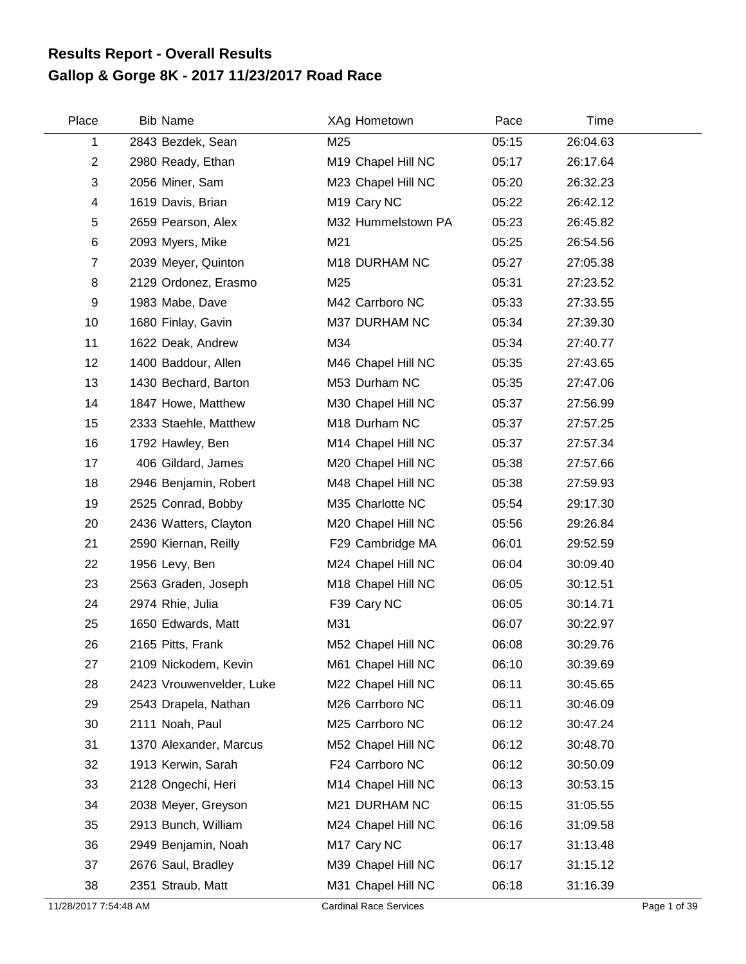## **Gallop & Gorge 8K - 2017 11/23/2017 Road Race Results Report - Overall Results**

| Place          | <b>Bib Name</b>          | XAg Hometown            | Pace  | Time     |  |
|----------------|--------------------------|-------------------------|-------|----------|--|
| 1              | 2843 Bezdek, Sean        | M25                     | 05:15 | 26:04.63 |  |
| $\overline{2}$ | 2980 Ready, Ethan        | M19 Chapel Hill NC      | 05:17 | 26:17.64 |  |
| 3              | 2056 Miner, Sam          | M23 Chapel Hill NC      | 05:20 | 26:32.23 |  |
| 4              | 1619 Davis, Brian        | M <sub>19</sub> Cary NC | 05:22 | 26:42.12 |  |
| 5              | 2659 Pearson, Alex       | M32 Hummelstown PA      | 05:23 | 26:45.82 |  |
| $\,6$          | 2093 Myers, Mike         | M21                     | 05:25 | 26:54.56 |  |
| $\overline{7}$ | 2039 Meyer, Quinton      | M18 DURHAM NC           | 05:27 | 27:05.38 |  |
| 8              | 2129 Ordonez, Erasmo     | M25                     | 05:31 | 27:23.52 |  |
| 9              | 1983 Mabe, Dave          | M42 Carrboro NC         | 05:33 | 27:33.55 |  |
| 10             | 1680 Finlay, Gavin       | M37 DURHAM NC           | 05:34 | 27:39.30 |  |
| 11             | 1622 Deak, Andrew        | M34                     | 05:34 | 27:40.77 |  |
| 12             | 1400 Baddour, Allen      | M46 Chapel Hill NC      | 05:35 | 27:43.65 |  |
| 13             | 1430 Bechard, Barton     | M53 Durham NC           | 05:35 | 27:47.06 |  |
| 14             | 1847 Howe, Matthew       | M30 Chapel Hill NC      | 05:37 | 27:56.99 |  |
| 15             | 2333 Staehle, Matthew    | M18 Durham NC           | 05:37 | 27:57.25 |  |
| 16             | 1792 Hawley, Ben         | M14 Chapel Hill NC      | 05:37 | 27:57.34 |  |
| 17             | 406 Gildard, James       | M20 Chapel Hill NC      | 05:38 | 27:57.66 |  |
| 18             | 2946 Benjamin, Robert    | M48 Chapel Hill NC      | 05:38 | 27:59.93 |  |
| 19             | 2525 Conrad, Bobby       | M35 Charlotte NC        | 05:54 | 29:17.30 |  |
| 20             | 2436 Watters, Clayton    | M20 Chapel Hill NC      | 05:56 | 29:26.84 |  |
| 21             | 2590 Kiernan, Reilly     | F29 Cambridge MA        | 06:01 | 29:52.59 |  |
| 22             | 1956 Levy, Ben           | M24 Chapel Hill NC      | 06:04 | 30:09.40 |  |
| 23             | 2563 Graden, Joseph      | M18 Chapel Hill NC      | 06:05 | 30:12.51 |  |
| 24             | 2974 Rhie, Julia         | F39 Cary NC             | 06:05 | 30:14.71 |  |
| 25             | 1650 Edwards, Matt       | M31                     | 06:07 | 30:22.97 |  |
| 26             | 2165 Pitts, Frank        | M52 Chapel Hill NC      | 06:08 | 30:29.76 |  |
| 27             | 2109 Nickodem, Kevin     | M61 Chapel Hill NC      | 06:10 | 30:39.69 |  |
| 28             | 2423 Vrouwenvelder, Luke | M22 Chapel Hill NC      | 06:11 | 30:45.65 |  |
| 29             | 2543 Drapela, Nathan     | M26 Carrboro NC         | 06:11 | 30:46.09 |  |
| 30             | 2111 Noah, Paul          | M25 Carrboro NC         | 06:12 | 30:47.24 |  |
| 31             | 1370 Alexander, Marcus   | M52 Chapel Hill NC      | 06:12 | 30:48.70 |  |
| 32             | 1913 Kerwin, Sarah       | F24 Carrboro NC         | 06:12 | 30:50.09 |  |
| 33             | 2128 Ongechi, Heri       | M14 Chapel Hill NC      | 06:13 | 30:53.15 |  |
| 34             | 2038 Meyer, Greyson      | M21 DURHAM NC           | 06:15 | 31:05.55 |  |
| 35             | 2913 Bunch, William      | M24 Chapel Hill NC      | 06:16 | 31:09.58 |  |
| 36             | 2949 Benjamin, Noah      | M17 Cary NC             | 06:17 | 31:13.48 |  |
| 37             | 2676 Saul, Bradley       | M39 Chapel Hill NC      | 06:17 | 31:15.12 |  |
| 38             | 2351 Straub, Matt        | M31 Chapel Hill NC      | 06:18 | 31:16.39 |  |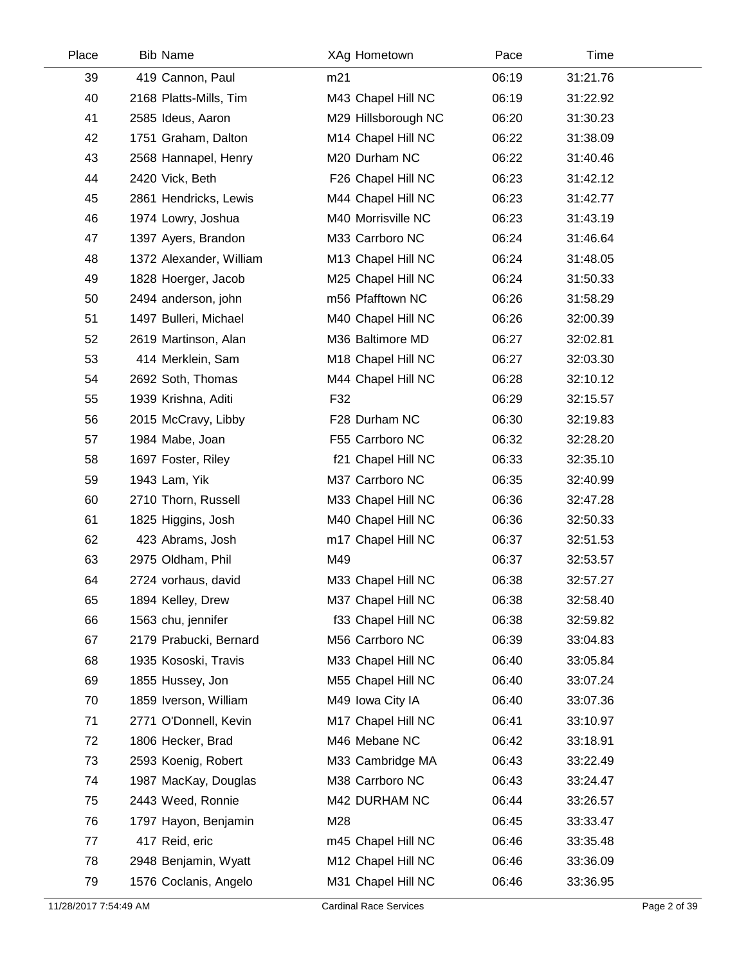| Place | <b>Bib Name</b>         | XAg Hometown        | Pace  | Time     |
|-------|-------------------------|---------------------|-------|----------|
| 39    | 419 Cannon, Paul        | m21                 | 06:19 | 31:21.76 |
| 40    | 2168 Platts-Mills, Tim  | M43 Chapel Hill NC  | 06:19 | 31:22.92 |
| 41    | 2585 Ideus, Aaron       | M29 Hillsborough NC | 06:20 | 31:30.23 |
| 42    | 1751 Graham, Dalton     | M14 Chapel Hill NC  | 06:22 | 31:38.09 |
| 43    | 2568 Hannapel, Henry    | M20 Durham NC       | 06:22 | 31:40.46 |
| 44    | 2420 Vick, Beth         | F26 Chapel Hill NC  | 06:23 | 31:42.12 |
| 45    | 2861 Hendricks, Lewis   | M44 Chapel Hill NC  | 06:23 | 31:42.77 |
| 46    | 1974 Lowry, Joshua      | M40 Morrisville NC  | 06:23 | 31:43.19 |
| 47    | 1397 Ayers, Brandon     | M33 Carrboro NC     | 06:24 | 31:46.64 |
| 48    | 1372 Alexander, William | M13 Chapel Hill NC  | 06:24 | 31:48.05 |
| 49    | 1828 Hoerger, Jacob     | M25 Chapel Hill NC  | 06:24 | 31:50.33 |
| 50    | 2494 anderson, john     | m56 Pfafftown NC    | 06:26 | 31:58.29 |
| 51    | 1497 Bulleri, Michael   | M40 Chapel Hill NC  | 06:26 | 32:00.39 |
| 52    | 2619 Martinson, Alan    | M36 Baltimore MD    | 06:27 | 32:02.81 |
| 53    | 414 Merklein, Sam       | M18 Chapel Hill NC  | 06:27 | 32:03.30 |
| 54    | 2692 Soth, Thomas       | M44 Chapel Hill NC  | 06:28 | 32:10.12 |
| 55    | 1939 Krishna, Aditi     | F32                 | 06:29 | 32:15.57 |
| 56    | 2015 McCravy, Libby     | F28 Durham NC       | 06:30 | 32:19.83 |
| 57    | 1984 Mabe, Joan         | F55 Carrboro NC     | 06:32 | 32:28.20 |
| 58    | 1697 Foster, Riley      | f21 Chapel Hill NC  | 06:33 | 32:35.10 |
| 59    | 1943 Lam, Yik           | M37 Carrboro NC     | 06:35 | 32:40.99 |
| 60    | 2710 Thorn, Russell     | M33 Chapel Hill NC  | 06:36 | 32:47.28 |
| 61    | 1825 Higgins, Josh      | M40 Chapel Hill NC  | 06:36 | 32:50.33 |
| 62    | 423 Abrams, Josh        | m17 Chapel Hill NC  | 06:37 | 32:51.53 |
| 63    | 2975 Oldham, Phil       | M49                 | 06:37 | 32:53.57 |
| 64    | 2724 vorhaus, david     | M33 Chapel Hill NC  | 06:38 | 32:57.27 |
| 65    | 1894 Kelley, Drew       | M37 Chapel Hill NC  | 06:38 | 32:58.40 |
| 66    | 1563 chu, jennifer      | f33 Chapel Hill NC  | 06:38 | 32:59.82 |
| 67    | 2179 Prabucki, Bernard  | M56 Carrboro NC     | 06:39 | 33:04.83 |
| 68    | 1935 Kososki, Travis    | M33 Chapel Hill NC  | 06:40 | 33:05.84 |
| 69    | 1855 Hussey, Jon        | M55 Chapel Hill NC  | 06:40 | 33:07.24 |
| 70    | 1859 Iverson, William   | M49 Iowa City IA    | 06:40 | 33:07.36 |
| 71    | 2771 O'Donnell, Kevin   | M17 Chapel Hill NC  | 06:41 | 33:10.97 |
| 72    | 1806 Hecker, Brad       | M46 Mebane NC       | 06:42 | 33:18.91 |
| 73    | 2593 Koenig, Robert     | M33 Cambridge MA    | 06:43 | 33:22.49 |
| 74    | 1987 MacKay, Douglas    | M38 Carrboro NC     | 06:43 | 33:24.47 |
| 75    | 2443 Weed, Ronnie       | M42 DURHAM NC       | 06:44 | 33:26.57 |
| 76    | 1797 Hayon, Benjamin    | M28                 | 06:45 | 33:33.47 |
| 77    | 417 Reid, eric          | m45 Chapel Hill NC  | 06:46 | 33:35.48 |
| 78    | 2948 Benjamin, Wyatt    | M12 Chapel Hill NC  | 06:46 | 33:36.09 |
| 79    | 1576 Coclanis, Angelo   | M31 Chapel Hill NC  | 06:46 | 33:36.95 |
|       |                         |                     |       |          |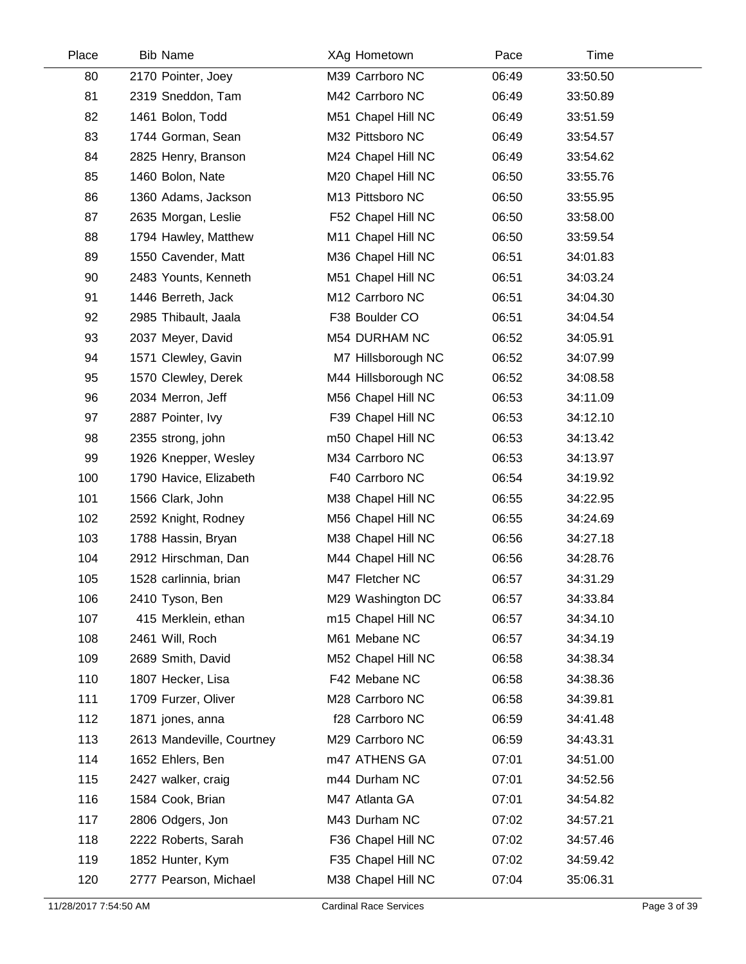| Place | <b>Bib Name</b>           | XAg Hometown        | Pace  | Time     |  |
|-------|---------------------------|---------------------|-------|----------|--|
| 80    | 2170 Pointer, Joey        | M39 Carrboro NC     | 06:49 | 33:50.50 |  |
| 81    | 2319 Sneddon, Tam         | M42 Carrboro NC     | 06:49 | 33:50.89 |  |
| 82    | 1461 Bolon, Todd          | M51 Chapel Hill NC  | 06:49 | 33:51.59 |  |
| 83    | 1744 Gorman, Sean         | M32 Pittsboro NC    | 06:49 | 33:54.57 |  |
| 84    | 2825 Henry, Branson       | M24 Chapel Hill NC  | 06:49 | 33:54.62 |  |
| 85    | 1460 Bolon, Nate          | M20 Chapel Hill NC  | 06:50 | 33:55.76 |  |
| 86    | 1360 Adams, Jackson       | M13 Pittsboro NC    | 06:50 | 33:55.95 |  |
| 87    | 2635 Morgan, Leslie       | F52 Chapel Hill NC  | 06:50 | 33:58.00 |  |
| 88    | 1794 Hawley, Matthew      | M11 Chapel Hill NC  | 06:50 | 33:59.54 |  |
| 89    | 1550 Cavender, Matt       | M36 Chapel Hill NC  | 06:51 | 34:01.83 |  |
| 90    | 2483 Younts, Kenneth      | M51 Chapel Hill NC  | 06:51 | 34:03.24 |  |
| 91    | 1446 Berreth, Jack        | M12 Carrboro NC     | 06:51 | 34:04.30 |  |
| 92    | 2985 Thibault, Jaala      | F38 Boulder CO      | 06:51 | 34:04.54 |  |
| 93    | 2037 Meyer, David         | M54 DURHAM NC       | 06:52 | 34:05.91 |  |
| 94    | 1571 Clewley, Gavin       | M7 Hillsborough NC  | 06:52 | 34:07.99 |  |
| 95    | 1570 Clewley, Derek       | M44 Hillsborough NC | 06:52 | 34:08.58 |  |
| 96    | 2034 Merron, Jeff         | M56 Chapel Hill NC  | 06:53 | 34:11.09 |  |
| 97    | 2887 Pointer, Ivy         | F39 Chapel Hill NC  | 06:53 | 34:12.10 |  |
| 98    | 2355 strong, john         | m50 Chapel Hill NC  | 06:53 | 34:13.42 |  |
| 99    | 1926 Knepper, Wesley      | M34 Carrboro NC     | 06:53 | 34:13.97 |  |
| 100   | 1790 Havice, Elizabeth    | F40 Carrboro NC     | 06:54 | 34:19.92 |  |
| 101   | 1566 Clark, John          | M38 Chapel Hill NC  | 06:55 | 34:22.95 |  |
| 102   | 2592 Knight, Rodney       | M56 Chapel Hill NC  | 06:55 | 34:24.69 |  |
| 103   | 1788 Hassin, Bryan        | M38 Chapel Hill NC  | 06:56 | 34:27.18 |  |
| 104   | 2912 Hirschman, Dan       | M44 Chapel Hill NC  | 06:56 | 34:28.76 |  |
| 105   | 1528 carlinnia, brian     | M47 Fletcher NC     | 06:57 | 34:31.29 |  |
| 106   | 2410 Tyson, Ben           | M29 Washington DC   | 06:57 | 34:33.84 |  |
| 107   | 415 Merklein, ethan       | m15 Chapel Hill NC  | 06:57 | 34:34.10 |  |
| 108   | 2461 Will, Roch           | M61 Mebane NC       | 06:57 | 34:34.19 |  |
| 109   | 2689 Smith, David         | M52 Chapel Hill NC  | 06:58 | 34:38.34 |  |
| 110   | 1807 Hecker, Lisa         | F42 Mebane NC       | 06:58 | 34:38.36 |  |
| 111   | 1709 Furzer, Oliver       | M28 Carrboro NC     | 06:58 | 34:39.81 |  |
| 112   | 1871 jones, anna          | f28 Carrboro NC     | 06:59 | 34:41.48 |  |
| 113   | 2613 Mandeville, Courtney | M29 Carrboro NC     | 06:59 | 34:43.31 |  |
| 114   | 1652 Ehlers, Ben          | m47 ATHENS GA       | 07:01 | 34:51.00 |  |
| 115   | 2427 walker, craig        | m44 Durham NC       | 07:01 | 34:52.56 |  |
| 116   | 1584 Cook, Brian          | M47 Atlanta GA      | 07:01 | 34:54.82 |  |
| 117   | 2806 Odgers, Jon          | M43 Durham NC       | 07:02 | 34:57.21 |  |
| 118   | 2222 Roberts, Sarah       | F36 Chapel Hill NC  | 07:02 | 34:57.46 |  |
| 119   | 1852 Hunter, Kym          | F35 Chapel Hill NC  | 07:02 | 34:59.42 |  |
| 120   | 2777 Pearson, Michael     | M38 Chapel Hill NC  | 07:04 | 35:06.31 |  |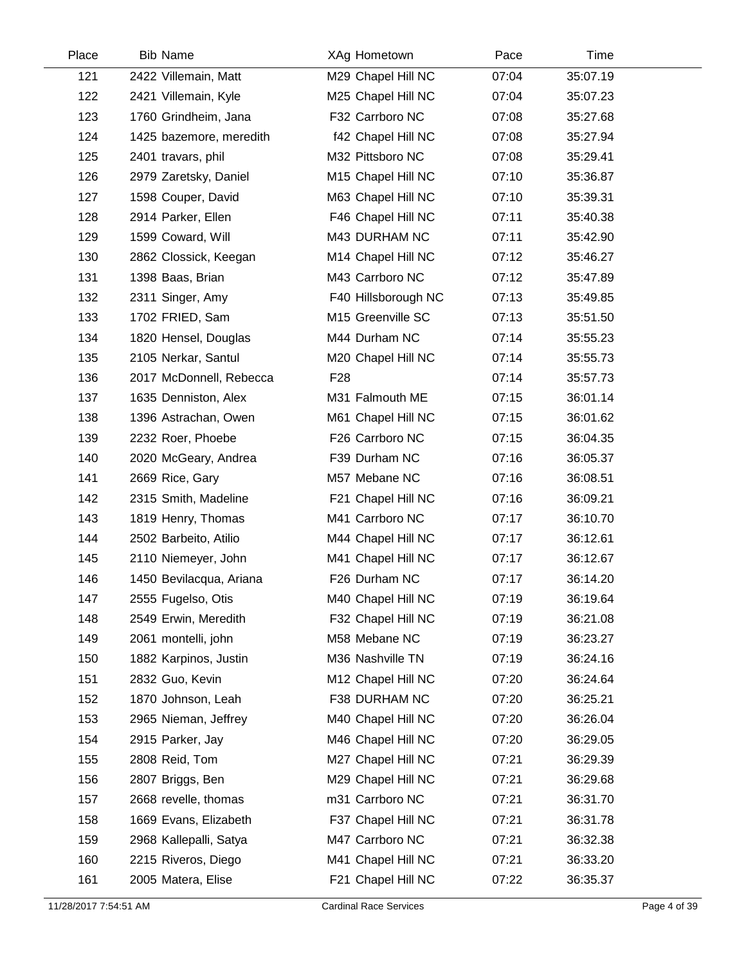| Place | <b>Bib Name</b>         | XAg Hometown        | Pace  | Time     |  |
|-------|-------------------------|---------------------|-------|----------|--|
| 121   | 2422 Villemain, Matt    | M29 Chapel Hill NC  | 07:04 | 35:07.19 |  |
| 122   | 2421 Villemain, Kyle    | M25 Chapel Hill NC  | 07:04 | 35:07.23 |  |
| 123   | 1760 Grindheim, Jana    | F32 Carrboro NC     | 07:08 | 35:27.68 |  |
| 124   | 1425 bazemore, meredith | f42 Chapel Hill NC  | 07:08 | 35:27.94 |  |
| 125   | 2401 travars, phil      | M32 Pittsboro NC    | 07:08 | 35:29.41 |  |
| 126   | 2979 Zaretsky, Daniel   | M15 Chapel Hill NC  | 07:10 | 35:36.87 |  |
| 127   | 1598 Couper, David      | M63 Chapel Hill NC  | 07:10 | 35:39.31 |  |
| 128   | 2914 Parker, Ellen      | F46 Chapel Hill NC  | 07:11 | 35:40.38 |  |
| 129   | 1599 Coward, Will       | M43 DURHAM NC       | 07:11 | 35:42.90 |  |
| 130   | 2862 Clossick, Keegan   | M14 Chapel Hill NC  | 07:12 | 35:46.27 |  |
| 131   | 1398 Baas, Brian        | M43 Carrboro NC     | 07:12 | 35:47.89 |  |
| 132   | 2311 Singer, Amy        | F40 Hillsborough NC | 07:13 | 35:49.85 |  |
| 133   | 1702 FRIED, Sam         | M15 Greenville SC   | 07:13 | 35:51.50 |  |
| 134   | 1820 Hensel, Douglas    | M44 Durham NC       | 07:14 | 35:55.23 |  |
| 135   | 2105 Nerkar, Santul     | M20 Chapel Hill NC  | 07:14 | 35:55.73 |  |
| 136   | 2017 McDonnell, Rebecca | F <sub>28</sub>     | 07:14 | 35:57.73 |  |
| 137   | 1635 Denniston, Alex    | M31 Falmouth ME     | 07:15 | 36:01.14 |  |
| 138   | 1396 Astrachan, Owen    | M61 Chapel Hill NC  | 07:15 | 36:01.62 |  |
| 139   | 2232 Roer, Phoebe       | F26 Carrboro NC     | 07:15 | 36:04.35 |  |
| 140   | 2020 McGeary, Andrea    | F39 Durham NC       | 07:16 | 36:05.37 |  |
| 141   | 2669 Rice, Gary         | M57 Mebane NC       | 07:16 | 36:08.51 |  |
| 142   | 2315 Smith, Madeline    | F21 Chapel Hill NC  | 07:16 | 36:09.21 |  |
| 143   | 1819 Henry, Thomas      | M41 Carrboro NC     | 07:17 | 36:10.70 |  |
| 144   | 2502 Barbeito, Atilio   | M44 Chapel Hill NC  | 07:17 | 36:12.61 |  |
| 145   | 2110 Niemeyer, John     | M41 Chapel Hill NC  | 07:17 | 36:12.67 |  |
| 146   | 1450 Bevilacqua, Ariana | F26 Durham NC       | 07:17 | 36:14.20 |  |
| 147   | 2555 Fugelso, Otis      | M40 Chapel Hill NC  | 07:19 | 36:19.64 |  |
| 148   | 2549 Erwin, Meredith    | F32 Chapel Hill NC  | 07:19 | 36:21.08 |  |
| 149   | 2061 montelli, john     | M58 Mebane NC       | 07:19 | 36:23.27 |  |
| 150   | 1882 Karpinos, Justin   | M36 Nashville TN    | 07:19 | 36:24.16 |  |
| 151   | 2832 Guo, Kevin         | M12 Chapel Hill NC  | 07:20 | 36:24.64 |  |
| 152   | 1870 Johnson, Leah      | F38 DURHAM NC       | 07:20 | 36:25.21 |  |
| 153   | 2965 Nieman, Jeffrey    | M40 Chapel Hill NC  | 07:20 | 36:26.04 |  |
| 154   | 2915 Parker, Jay        | M46 Chapel Hill NC  | 07:20 | 36:29.05 |  |
| 155   | 2808 Reid, Tom          | M27 Chapel Hill NC  | 07:21 | 36:29.39 |  |
| 156   | 2807 Briggs, Ben        | M29 Chapel Hill NC  | 07:21 | 36:29.68 |  |
| 157   | 2668 revelle, thomas    | m31 Carrboro NC     | 07:21 | 36:31.70 |  |
| 158   | 1669 Evans, Elizabeth   | F37 Chapel Hill NC  | 07:21 | 36:31.78 |  |
| 159   | 2968 Kallepalli, Satya  | M47 Carrboro NC     | 07:21 | 36:32.38 |  |
| 160   | 2215 Riveros, Diego     | M41 Chapel Hill NC  | 07:21 | 36:33.20 |  |
| 161   | 2005 Matera, Elise      | F21 Chapel Hill NC  | 07:22 | 36:35.37 |  |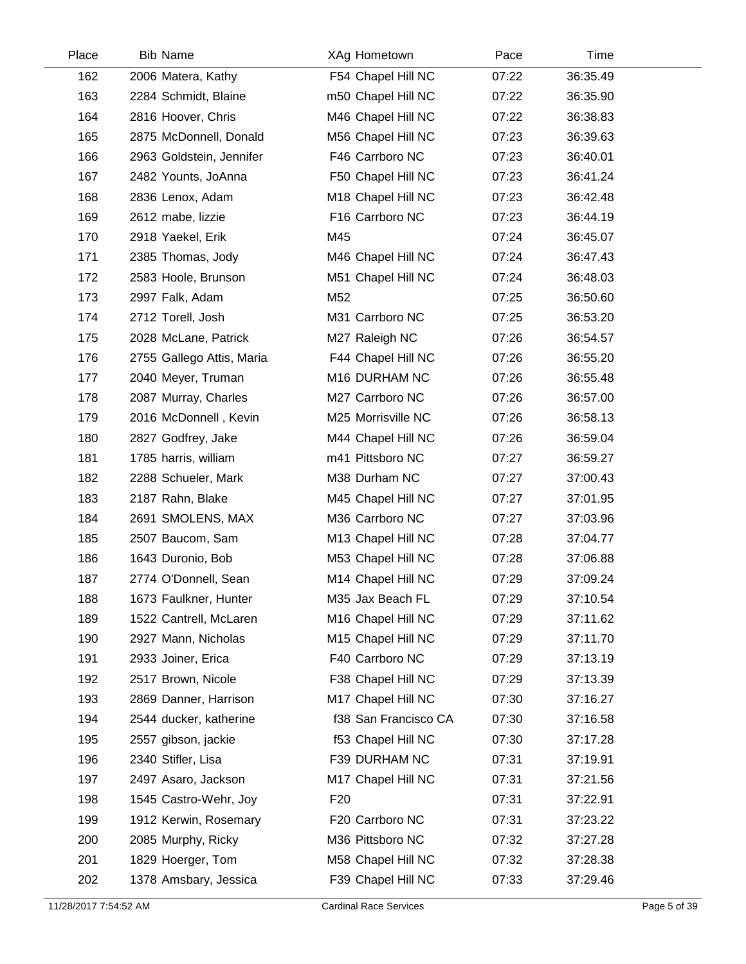| Place | <b>Bib Name</b>           | XAg Hometown         | Pace  | Time     |  |
|-------|---------------------------|----------------------|-------|----------|--|
| 162   | 2006 Matera, Kathy        | F54 Chapel Hill NC   | 07:22 | 36:35.49 |  |
| 163   | 2284 Schmidt, Blaine      | m50 Chapel Hill NC   | 07:22 | 36:35.90 |  |
| 164   | 2816 Hoover, Chris        | M46 Chapel Hill NC   | 07:22 | 36:38.83 |  |
| 165   | 2875 McDonnell, Donald    | M56 Chapel Hill NC   | 07:23 | 36:39.63 |  |
| 166   | 2963 Goldstein, Jennifer  | F46 Carrboro NC      | 07:23 | 36:40.01 |  |
| 167   | 2482 Younts, JoAnna       | F50 Chapel Hill NC   | 07:23 | 36:41.24 |  |
| 168   | 2836 Lenox, Adam          | M18 Chapel Hill NC   | 07:23 | 36:42.48 |  |
| 169   | 2612 mabe, lizzie         | F16 Carrboro NC      | 07:23 | 36:44.19 |  |
| 170   | 2918 Yaekel, Erik         | M45                  | 07:24 | 36:45.07 |  |
| 171   | 2385 Thomas, Jody         | M46 Chapel Hill NC   | 07:24 | 36:47.43 |  |
| 172   | 2583 Hoole, Brunson       | M51 Chapel Hill NC   | 07:24 | 36:48.03 |  |
| 173   | 2997 Falk, Adam           | M52                  | 07:25 | 36:50.60 |  |
| 174   | 2712 Torell, Josh         | M31 Carrboro NC      | 07:25 | 36:53.20 |  |
| 175   | 2028 McLane, Patrick      | M27 Raleigh NC       | 07:26 | 36:54.57 |  |
| 176   | 2755 Gallego Attis, Maria | F44 Chapel Hill NC   | 07:26 | 36:55.20 |  |
| 177   | 2040 Meyer, Truman        | M16 DURHAM NC        | 07:26 | 36:55.48 |  |
| 178   | 2087 Murray, Charles      | M27 Carrboro NC      | 07:26 | 36:57.00 |  |
| 179   | 2016 McDonnell, Kevin     | M25 Morrisville NC   | 07:26 | 36:58.13 |  |
| 180   | 2827 Godfrey, Jake        | M44 Chapel Hill NC   | 07:26 | 36:59.04 |  |
| 181   | 1785 harris, william      | m41 Pittsboro NC     | 07:27 | 36:59.27 |  |
| 182   | 2288 Schueler, Mark       | M38 Durham NC        | 07:27 | 37:00.43 |  |
| 183   | 2187 Rahn, Blake          | M45 Chapel Hill NC   | 07:27 | 37:01.95 |  |
| 184   | 2691 SMOLENS, MAX         | M36 Carrboro NC      | 07:27 | 37:03.96 |  |
| 185   | 2507 Baucom, Sam          | M13 Chapel Hill NC   | 07:28 | 37:04.77 |  |
| 186   | 1643 Duronio, Bob         | M53 Chapel Hill NC   | 07:28 | 37:06.88 |  |
| 187   | 2774 O'Donnell, Sean      | M14 Chapel Hill NC   | 07:29 | 37:09.24 |  |
| 188   | 1673 Faulkner, Hunter     | M35 Jax Beach FL     | 07:29 | 37:10.54 |  |
| 189   | 1522 Cantrell, McLaren    | M16 Chapel Hill NC   | 07:29 | 37:11.62 |  |
| 190   | 2927 Mann, Nicholas       | M15 Chapel Hill NC   | 07:29 | 37:11.70 |  |
| 191   | 2933 Joiner, Erica        | F40 Carrboro NC      | 07:29 | 37:13.19 |  |
| 192   | 2517 Brown, Nicole        | F38 Chapel Hill NC   | 07:29 | 37:13.39 |  |
| 193   | 2869 Danner, Harrison     | M17 Chapel Hill NC   | 07:30 | 37:16.27 |  |
| 194   | 2544 ducker, katherine    | f38 San Francisco CA | 07:30 | 37:16.58 |  |
| 195   | 2557 gibson, jackie       | f53 Chapel Hill NC   | 07:30 | 37:17.28 |  |
| 196   | 2340 Stifler, Lisa        | F39 DURHAM NC        | 07:31 | 37:19.91 |  |
| 197   | 2497 Asaro, Jackson       | M17 Chapel Hill NC   | 07:31 | 37:21.56 |  |
| 198   | 1545 Castro-Wehr, Joy     | F <sub>20</sub>      | 07:31 | 37:22.91 |  |
| 199   | 1912 Kerwin, Rosemary     | F20 Carrboro NC      | 07:31 | 37:23.22 |  |
| 200   | 2085 Murphy, Ricky        | M36 Pittsboro NC     | 07:32 | 37:27.28 |  |
| 201   | 1829 Hoerger, Tom         | M58 Chapel Hill NC   | 07:32 | 37:28.38 |  |
| 202   | 1378 Amsbary, Jessica     | F39 Chapel Hill NC   | 07:33 | 37:29.46 |  |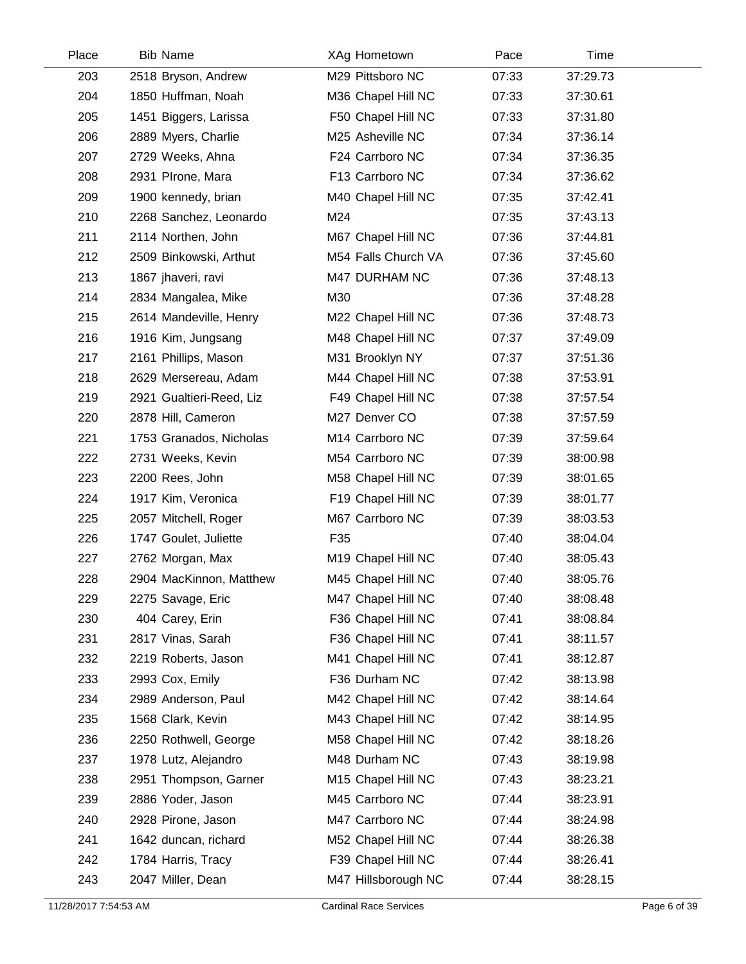| Place | <b>Bib Name</b>          | XAg Hometown        | Pace  | Time     |
|-------|--------------------------|---------------------|-------|----------|
| 203   | 2518 Bryson, Andrew      | M29 Pittsboro NC    | 07:33 | 37:29.73 |
| 204   | 1850 Huffman, Noah       | M36 Chapel Hill NC  | 07:33 | 37:30.61 |
| 205   | 1451 Biggers, Larissa    | F50 Chapel Hill NC  | 07:33 | 37:31.80 |
| 206   | 2889 Myers, Charlie      | M25 Asheville NC    | 07:34 | 37:36.14 |
| 207   | 2729 Weeks, Ahna         | F24 Carrboro NC     | 07:34 | 37:36.35 |
| 208   | 2931 PIrone, Mara        | F13 Carrboro NC     | 07:34 | 37:36.62 |
| 209   | 1900 kennedy, brian      | M40 Chapel Hill NC  | 07:35 | 37:42.41 |
| 210   | 2268 Sanchez, Leonardo   | M24                 | 07:35 | 37:43.13 |
| 211   | 2114 Northen, John       | M67 Chapel Hill NC  | 07:36 | 37:44.81 |
| 212   | 2509 Binkowski, Arthut   | M54 Falls Church VA | 07:36 | 37:45.60 |
| 213   | 1867 jhaveri, ravi       | M47 DURHAM NC       | 07:36 | 37:48.13 |
| 214   | 2834 Mangalea, Mike      | M30                 | 07:36 | 37:48.28 |
| 215   | 2614 Mandeville, Henry   | M22 Chapel Hill NC  | 07:36 | 37:48.73 |
| 216   | 1916 Kim, Jungsang       | M48 Chapel Hill NC  | 07:37 | 37:49.09 |
| 217   | 2161 Phillips, Mason     | M31 Brooklyn NY     | 07:37 | 37:51.36 |
| 218   | 2629 Mersereau, Adam     | M44 Chapel Hill NC  | 07:38 | 37:53.91 |
| 219   | 2921 Gualtieri-Reed, Liz | F49 Chapel Hill NC  | 07:38 | 37:57.54 |
| 220   | 2878 Hill, Cameron       | M27 Denver CO       | 07:38 | 37:57.59 |
| 221   | 1753 Granados, Nicholas  | M14 Carrboro NC     | 07:39 | 37:59.64 |
| 222   | 2731 Weeks, Kevin        | M54 Carrboro NC     | 07:39 | 38:00.98 |
| 223   | 2200 Rees, John          | M58 Chapel Hill NC  | 07:39 | 38:01.65 |
| 224   | 1917 Kim, Veronica       | F19 Chapel Hill NC  | 07:39 | 38:01.77 |
| 225   | 2057 Mitchell, Roger     | M67 Carrboro NC     | 07:39 | 38:03.53 |
| 226   | 1747 Goulet, Juliette    | F35                 | 07:40 | 38:04.04 |
| 227   | 2762 Morgan, Max         | M19 Chapel Hill NC  | 07:40 | 38:05.43 |
| 228   | 2904 MacKinnon, Matthew  | M45 Chapel Hill NC  | 07:40 | 38:05.76 |
| 229   | 2275 Savage, Eric        | M47 Chapel Hill NC  | 07:40 | 38:08.48 |
| 230   | 404 Carey, Erin          | F36 Chapel Hill NC  | 07:41 | 38:08.84 |
| 231   | 2817 Vinas, Sarah        | F36 Chapel Hill NC  | 07:41 | 38:11.57 |
| 232   | 2219 Roberts, Jason      | M41 Chapel Hill NC  | 07:41 | 38:12.87 |
| 233   | 2993 Cox, Emily          | F36 Durham NC       | 07:42 | 38:13.98 |
| 234   | 2989 Anderson, Paul      | M42 Chapel Hill NC  | 07:42 | 38:14.64 |
| 235   | 1568 Clark, Kevin        | M43 Chapel Hill NC  | 07:42 | 38:14.95 |
| 236   | 2250 Rothwell, George    | M58 Chapel Hill NC  | 07:42 | 38:18.26 |
| 237   | 1978 Lutz, Alejandro     | M48 Durham NC       | 07:43 | 38:19.98 |
| 238   | 2951 Thompson, Garner    | M15 Chapel Hill NC  | 07:43 | 38:23.21 |
| 239   | 2886 Yoder, Jason        | M45 Carrboro NC     | 07:44 | 38:23.91 |
| 240   | 2928 Pirone, Jason       | M47 Carrboro NC     | 07:44 | 38:24.98 |
| 241   | 1642 duncan, richard     | M52 Chapel Hill NC  | 07:44 | 38:26.38 |
| 242   | 1784 Harris, Tracy       | F39 Chapel Hill NC  | 07:44 | 38:26.41 |
| 243   | 2047 Miller, Dean        | M47 Hillsborough NC | 07:44 | 38:28.15 |
|       |                          |                     |       |          |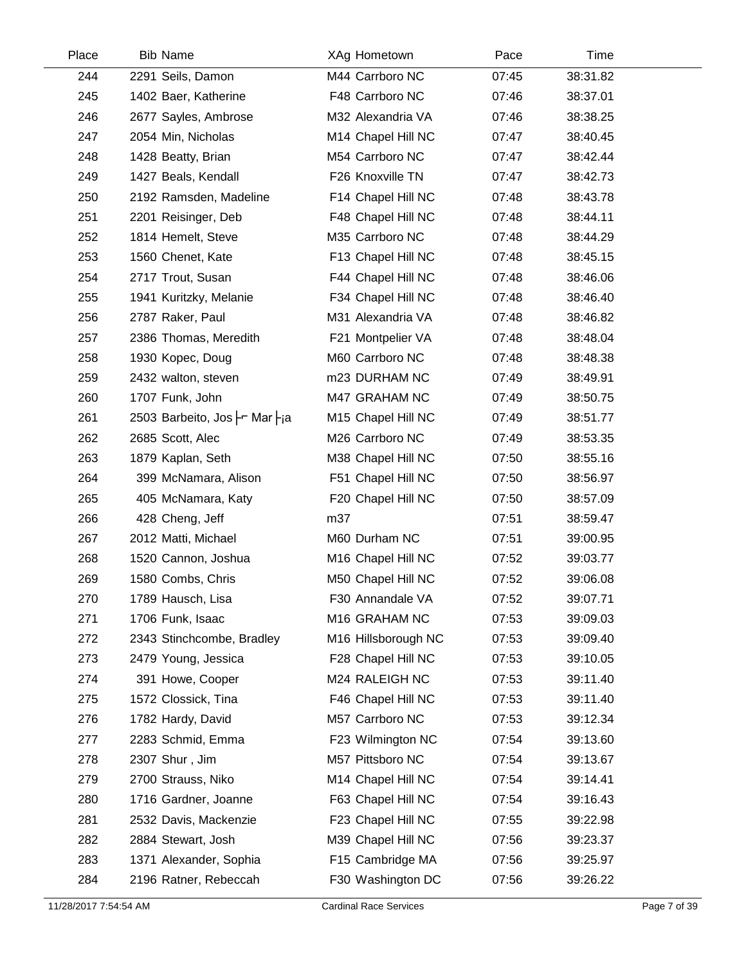| Place | <b>Bib Name</b>               | XAg Hometown                    | Pace  | Time     |  |
|-------|-------------------------------|---------------------------------|-------|----------|--|
| 244   | 2291 Seils, Damon             | M44 Carrboro NC                 | 07:45 | 38:31.82 |  |
| 245   | 1402 Baer, Katherine          | F48 Carrboro NC                 | 07:46 | 38:37.01 |  |
| 246   | 2677 Sayles, Ambrose          | M32 Alexandria VA               | 07:46 | 38:38.25 |  |
| 247   | 2054 Min, Nicholas            | M14 Chapel Hill NC              | 07:47 | 38:40.45 |  |
| 248   | 1428 Beatty, Brian            | M54 Carrboro NC                 | 07:47 | 38:42.44 |  |
| 249   | 1427 Beals, Kendall           | F26 Knoxville TN                | 07:47 | 38:42.73 |  |
| 250   | 2192 Ramsden, Madeline        | F14 Chapel Hill NC              | 07:48 | 38:43.78 |  |
| 251   | 2201 Reisinger, Deb           | F48 Chapel Hill NC              | 07:48 | 38:44.11 |  |
| 252   | 1814 Hemelt, Steve            | M35 Carrboro NC                 | 07:48 | 38:44.29 |  |
| 253   | 1560 Chenet, Kate             | F13 Chapel Hill NC              | 07:48 | 38:45.15 |  |
| 254   | 2717 Trout, Susan             | F44 Chapel Hill NC              | 07:48 | 38:46.06 |  |
| 255   | 1941 Kuritzky, Melanie        | F34 Chapel Hill NC              | 07:48 | 38:46.40 |  |
| 256   | 2787 Raker, Paul              | M31 Alexandria VA               | 07:48 | 38:46.82 |  |
| 257   | 2386 Thomas, Meredith         | F21 Montpelier VA               | 07:48 | 38:48.04 |  |
| 258   | 1930 Kopec, Doug              | M60 Carrboro NC                 | 07:48 | 38:48.38 |  |
| 259   | 2432 walton, steven           | m23 DURHAM NC                   | 07:49 | 38:49.91 |  |
| 260   | 1707 Funk, John               | M47 GRAHAM NC                   | 07:49 | 38:50.75 |  |
| 261   | 2503 Barbeito, Jos -r Mar -ia | M15 Chapel Hill NC              | 07:49 | 38:51.77 |  |
| 262   | 2685 Scott, Alec              | M26 Carrboro NC                 | 07:49 | 38:53.35 |  |
| 263   | 1879 Kaplan, Seth             | M38 Chapel Hill NC              | 07:50 | 38:55.16 |  |
| 264   | 399 McNamara, Alison          | F51 Chapel Hill NC              | 07:50 | 38:56.97 |  |
| 265   | 405 McNamara, Katy            | F20 Chapel Hill NC              | 07:50 | 38:57.09 |  |
| 266   | 428 Cheng, Jeff               | m37                             | 07:51 | 38:59.47 |  |
| 267   | 2012 Matti, Michael           | M60 Durham NC                   | 07:51 | 39:00.95 |  |
| 268   | 1520 Cannon, Joshua           | M16 Chapel Hill NC              | 07:52 | 39:03.77 |  |
| 269   | 1580 Combs, Chris             | M50 Chapel Hill NC              | 07:52 | 39:06.08 |  |
| 270   | 1789 Hausch, Lisa             | F30 Annandale VA                | 07:52 | 39:07.71 |  |
| 271   | 1706 Funk, Isaac              | M16 GRAHAM NC                   | 07:53 | 39:09.03 |  |
| 272   | 2343 Stinchcombe, Bradley     | M <sub>16</sub> Hillsborough NC | 07:53 | 39:09.40 |  |
| 273   | 2479 Young, Jessica           | F28 Chapel Hill NC              | 07:53 | 39:10.05 |  |
| 274   | 391 Howe, Cooper              | M24 RALEIGH NC                  | 07:53 | 39:11.40 |  |
| 275   | 1572 Clossick, Tina           | F46 Chapel Hill NC              | 07:53 | 39:11.40 |  |
| 276   | 1782 Hardy, David             | M57 Carrboro NC                 | 07:53 | 39:12.34 |  |
| 277   | 2283 Schmid, Emma             | F23 Wilmington NC               | 07:54 | 39:13.60 |  |
| 278   | 2307 Shur, Jim                | M57 Pittsboro NC                | 07:54 | 39:13.67 |  |
| 279   | 2700 Strauss, Niko            | M14 Chapel Hill NC              | 07:54 | 39:14.41 |  |
| 280   | 1716 Gardner, Joanne          | F63 Chapel Hill NC              | 07:54 | 39:16.43 |  |
| 281   | 2532 Davis, Mackenzie         | F23 Chapel Hill NC              | 07:55 | 39:22.98 |  |
| 282   | 2884 Stewart, Josh            | M39 Chapel Hill NC              | 07:56 | 39:23.37 |  |
| 283   | 1371 Alexander, Sophia        | F15 Cambridge MA                | 07:56 | 39:25.97 |  |
| 284   | 2196 Ratner, Rebeccah         | F30 Washington DC               | 07:56 | 39:26.22 |  |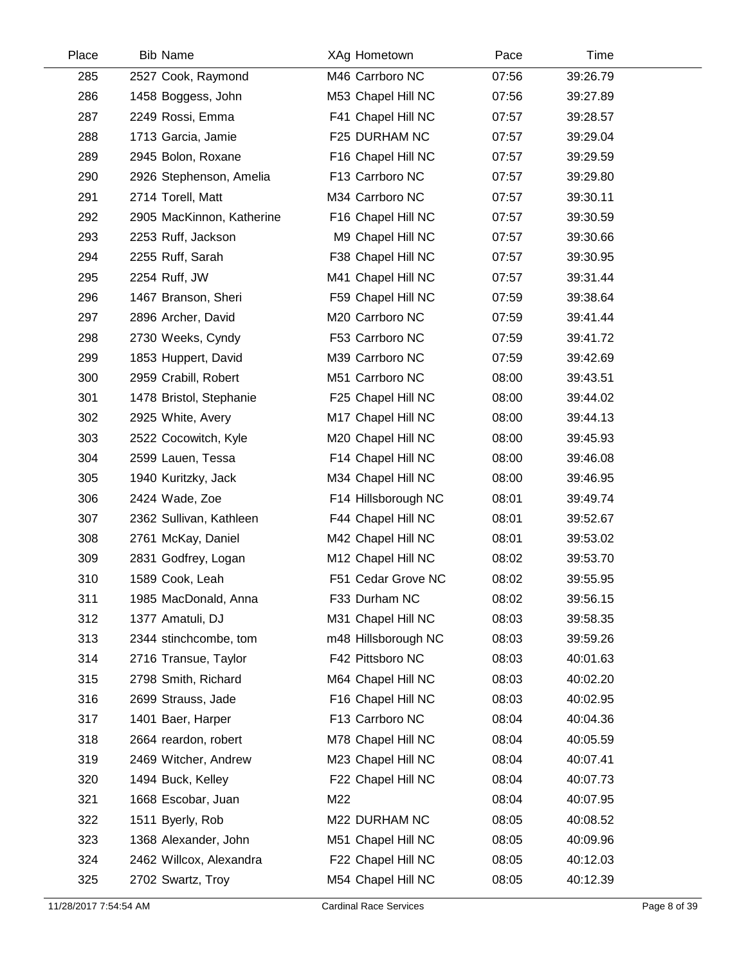| Place | <b>Bib Name</b>           | XAg Hometown        | Pace  | Time     |  |
|-------|---------------------------|---------------------|-------|----------|--|
| 285   | 2527 Cook, Raymond        | M46 Carrboro NC     | 07:56 | 39:26.79 |  |
| 286   | 1458 Boggess, John        | M53 Chapel Hill NC  | 07:56 | 39:27.89 |  |
| 287   | 2249 Rossi, Emma          | F41 Chapel Hill NC  | 07:57 | 39:28.57 |  |
| 288   | 1713 Garcia, Jamie        | F25 DURHAM NC       | 07:57 | 39:29.04 |  |
| 289   | 2945 Bolon, Roxane        | F16 Chapel Hill NC  | 07:57 | 39:29.59 |  |
| 290   | 2926 Stephenson, Amelia   | F13 Carrboro NC     | 07:57 | 39:29.80 |  |
| 291   | 2714 Torell, Matt         | M34 Carrboro NC     | 07:57 | 39:30.11 |  |
| 292   | 2905 MacKinnon, Katherine | F16 Chapel Hill NC  | 07:57 | 39:30.59 |  |
| 293   | 2253 Ruff, Jackson        | M9 Chapel Hill NC   | 07:57 | 39:30.66 |  |
| 294   | 2255 Ruff, Sarah          | F38 Chapel Hill NC  | 07:57 | 39:30.95 |  |
| 295   | 2254 Ruff, JW             | M41 Chapel Hill NC  | 07:57 | 39:31.44 |  |
| 296   | 1467 Branson, Sheri       | F59 Chapel Hill NC  | 07:59 | 39:38.64 |  |
| 297   | 2896 Archer, David        | M20 Carrboro NC     | 07:59 | 39:41.44 |  |
| 298   | 2730 Weeks, Cyndy         | F53 Carrboro NC     | 07:59 | 39:41.72 |  |
| 299   | 1853 Huppert, David       | M39 Carrboro NC     | 07:59 | 39:42.69 |  |
| 300   | 2959 Crabill, Robert      | M51 Carrboro NC     | 08:00 | 39:43.51 |  |
| 301   | 1478 Bristol, Stephanie   | F25 Chapel Hill NC  | 08:00 | 39:44.02 |  |
| 302   | 2925 White, Avery         | M17 Chapel Hill NC  | 08:00 | 39:44.13 |  |
| 303   | 2522 Cocowitch, Kyle      | M20 Chapel Hill NC  | 08:00 | 39:45.93 |  |
| 304   | 2599 Lauen, Tessa         | F14 Chapel Hill NC  | 08:00 | 39:46.08 |  |
| 305   | 1940 Kuritzky, Jack       | M34 Chapel Hill NC  | 08:00 | 39:46.95 |  |
| 306   | 2424 Wade, Zoe            | F14 Hillsborough NC | 08:01 | 39:49.74 |  |
| 307   | 2362 Sullivan, Kathleen   | F44 Chapel Hill NC  | 08:01 | 39:52.67 |  |
| 308   | 2761 McKay, Daniel        | M42 Chapel Hill NC  | 08:01 | 39:53.02 |  |
| 309   | 2831 Godfrey, Logan       | M12 Chapel Hill NC  | 08:02 | 39:53.70 |  |
| 310   | 1589 Cook, Leah           | F51 Cedar Grove NC  | 08:02 | 39:55.95 |  |
| 311   | 1985 MacDonald, Anna      | F33 Durham NC       | 08:02 | 39:56.15 |  |
| 312   | 1377 Amatuli, DJ          | M31 Chapel Hill NC  | 08:03 | 39:58.35 |  |
| 313   | 2344 stinchcombe, tom     | m48 Hillsborough NC | 08:03 | 39:59.26 |  |
| 314   | 2716 Transue, Taylor      | F42 Pittsboro NC    | 08:03 | 40:01.63 |  |
| 315   | 2798 Smith, Richard       | M64 Chapel Hill NC  | 08:03 | 40:02.20 |  |
| 316   | 2699 Strauss, Jade        | F16 Chapel Hill NC  | 08:03 | 40:02.95 |  |
| 317   | 1401 Baer, Harper         | F13 Carrboro NC     | 08:04 | 40:04.36 |  |
| 318   | 2664 reardon, robert      | M78 Chapel Hill NC  | 08:04 | 40:05.59 |  |
| 319   | 2469 Witcher, Andrew      | M23 Chapel Hill NC  | 08:04 | 40:07.41 |  |
| 320   | 1494 Buck, Kelley         | F22 Chapel Hill NC  | 08:04 | 40:07.73 |  |
| 321   | 1668 Escobar, Juan        | M22                 | 08:04 | 40:07.95 |  |
| 322   | 1511 Byerly, Rob          | M22 DURHAM NC       | 08:05 | 40:08.52 |  |
| 323   | 1368 Alexander, John      | M51 Chapel Hill NC  | 08:05 | 40:09.96 |  |
| 324   | 2462 Willcox, Alexandra   | F22 Chapel Hill NC  | 08:05 | 40:12.03 |  |
| 325   | 2702 Swartz, Troy         | M54 Chapel Hill NC  | 08:05 | 40:12.39 |  |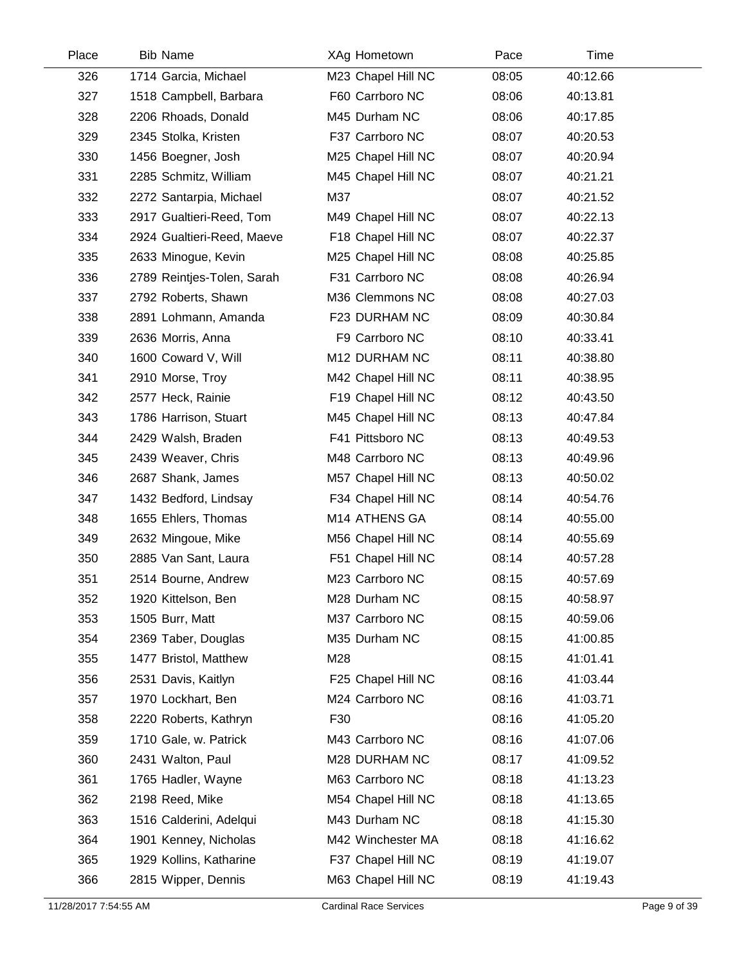| Place | <b>Bib Name</b>            | XAg Hometown       | Pace  | Time     |
|-------|----------------------------|--------------------|-------|----------|
| 326   | 1714 Garcia, Michael       | M23 Chapel Hill NC | 08:05 | 40:12.66 |
| 327   | 1518 Campbell, Barbara     | F60 Carrboro NC    | 08:06 | 40:13.81 |
| 328   | 2206 Rhoads, Donald        | M45 Durham NC      | 08:06 | 40:17.85 |
| 329   | 2345 Stolka, Kristen       | F37 Carrboro NC    | 08:07 | 40:20.53 |
| 330   | 1456 Boegner, Josh         | M25 Chapel Hill NC | 08:07 | 40:20.94 |
| 331   | 2285 Schmitz, William      | M45 Chapel Hill NC | 08:07 | 40:21.21 |
| 332   | 2272 Santarpia, Michael    | M37                | 08:07 | 40:21.52 |
| 333   | 2917 Gualtieri-Reed, Tom   | M49 Chapel Hill NC | 08:07 | 40:22.13 |
| 334   | 2924 Gualtieri-Reed, Maeve | F18 Chapel Hill NC | 08:07 | 40:22.37 |
| 335   | 2633 Minogue, Kevin        | M25 Chapel Hill NC | 08:08 | 40:25.85 |
| 336   | 2789 Reintjes-Tolen, Sarah | F31 Carrboro NC    | 08:08 | 40:26.94 |
| 337   | 2792 Roberts, Shawn        | M36 Clemmons NC    | 08:08 | 40:27.03 |
| 338   | 2891 Lohmann, Amanda       | F23 DURHAM NC      | 08:09 | 40:30.84 |
| 339   | 2636 Morris, Anna          | F9 Carrboro NC     | 08:10 | 40:33.41 |
| 340   | 1600 Coward V, Will        | M12 DURHAM NC      | 08:11 | 40:38.80 |
| 341   | 2910 Morse, Troy           | M42 Chapel Hill NC | 08:11 | 40:38.95 |
| 342   | 2577 Heck, Rainie          | F19 Chapel Hill NC | 08:12 | 40:43.50 |
| 343   | 1786 Harrison, Stuart      | M45 Chapel Hill NC | 08:13 | 40:47.84 |
| 344   | 2429 Walsh, Braden         | F41 Pittsboro NC   | 08:13 | 40:49.53 |
| 345   | 2439 Weaver, Chris         | M48 Carrboro NC    | 08:13 | 40:49.96 |
| 346   | 2687 Shank, James          | M57 Chapel Hill NC | 08:13 | 40:50.02 |
| 347   | 1432 Bedford, Lindsay      | F34 Chapel Hill NC | 08:14 | 40:54.76 |
| 348   | 1655 Ehlers, Thomas        | M14 ATHENS GA      | 08:14 | 40:55.00 |
| 349   | 2632 Mingoue, Mike         | M56 Chapel Hill NC | 08:14 | 40:55.69 |
| 350   | 2885 Van Sant, Laura       | F51 Chapel Hill NC | 08:14 | 40:57.28 |
| 351   | 2514 Bourne, Andrew        | M23 Carrboro NC    | 08:15 | 40:57.69 |
| 352   | 1920 Kittelson, Ben        | M28 Durham NC      | 08:15 | 40:58.97 |
| 353   | 1505 Burr, Matt            | M37 Carrboro NC    | 08:15 | 40:59.06 |
| 354   | 2369 Taber, Douglas        | M35 Durham NC      | 08:15 | 41:00.85 |
| 355   | 1477 Bristol, Matthew      | M28                | 08:15 | 41:01.41 |
| 356   | 2531 Davis, Kaitlyn        | F25 Chapel Hill NC | 08:16 | 41:03.44 |
| 357   | 1970 Lockhart, Ben         | M24 Carrboro NC    | 08:16 | 41:03.71 |
| 358   | 2220 Roberts, Kathryn      | F30                | 08:16 | 41:05.20 |
| 359   | 1710 Gale, w. Patrick      | M43 Carrboro NC    | 08:16 | 41:07.06 |
| 360   | 2431 Walton, Paul          | M28 DURHAM NC      | 08:17 | 41:09.52 |
| 361   | 1765 Hadler, Wayne         | M63 Carrboro NC    | 08:18 | 41:13.23 |
| 362   | 2198 Reed, Mike            | M54 Chapel Hill NC | 08:18 | 41:13.65 |
| 363   | 1516 Calderini, Adelqui    | M43 Durham NC      | 08:18 | 41:15.30 |
| 364   | 1901 Kenney, Nicholas      | M42 Winchester MA  | 08:18 | 41:16.62 |
| 365   | 1929 Kollins, Katharine    | F37 Chapel Hill NC | 08:19 | 41:19.07 |
| 366   | 2815 Wipper, Dennis        | M63 Chapel Hill NC | 08:19 | 41:19.43 |
|       |                            |                    |       |          |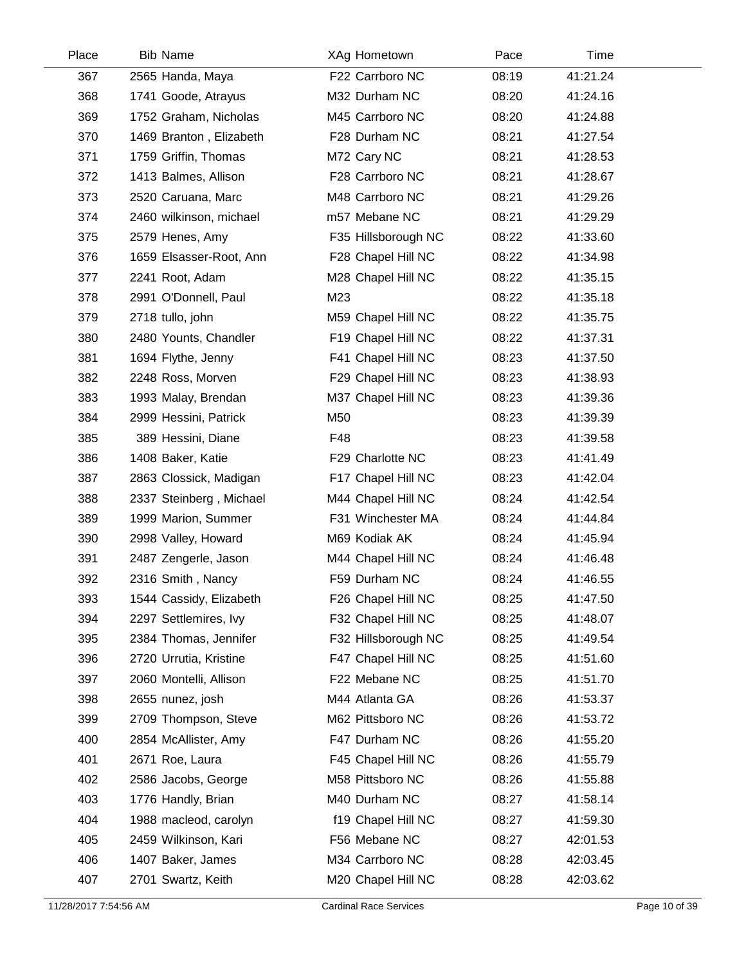| Place | <b>Bib Name</b>         | XAg Hometown        | Pace  | Time     |  |
|-------|-------------------------|---------------------|-------|----------|--|
| 367   | 2565 Handa, Maya        | F22 Carrboro NC     | 08:19 | 41:21.24 |  |
| 368   | 1741 Goode, Atrayus     | M32 Durham NC       | 08:20 | 41:24.16 |  |
| 369   | 1752 Graham, Nicholas   | M45 Carrboro NC     | 08:20 | 41:24.88 |  |
| 370   | 1469 Branton, Elizabeth | F28 Durham NC       | 08:21 | 41:27.54 |  |
| 371   | 1759 Griffin, Thomas    | M72 Cary NC         | 08:21 | 41:28.53 |  |
| 372   | 1413 Balmes, Allison    | F28 Carrboro NC     | 08:21 | 41:28.67 |  |
| 373   | 2520 Caruana, Marc      | M48 Carrboro NC     | 08:21 | 41:29.26 |  |
| 374   | 2460 wilkinson, michael | m57 Mebane NC       | 08:21 | 41:29.29 |  |
| 375   | 2579 Henes, Amy         | F35 Hillsborough NC | 08:22 | 41:33.60 |  |
| 376   | 1659 Elsasser-Root, Ann | F28 Chapel Hill NC  | 08:22 | 41:34.98 |  |
| 377   | 2241 Root, Adam         | M28 Chapel Hill NC  | 08:22 | 41:35.15 |  |
| 378   | 2991 O'Donnell, Paul    | M23                 | 08:22 | 41:35.18 |  |
| 379   | 2718 tullo, john        | M59 Chapel Hill NC  | 08:22 | 41:35.75 |  |
| 380   | 2480 Younts, Chandler   | F19 Chapel Hill NC  | 08:22 | 41:37.31 |  |
| 381   | 1694 Flythe, Jenny      | F41 Chapel Hill NC  | 08:23 | 41:37.50 |  |
| 382   | 2248 Ross, Morven       | F29 Chapel Hill NC  | 08:23 | 41:38.93 |  |
| 383   | 1993 Malay, Brendan     | M37 Chapel Hill NC  | 08:23 | 41:39.36 |  |
| 384   | 2999 Hessini, Patrick   | M50                 | 08:23 | 41:39.39 |  |
| 385   | 389 Hessini, Diane      | F48                 | 08:23 | 41:39.58 |  |
| 386   | 1408 Baker, Katie       | F29 Charlotte NC    | 08:23 | 41:41.49 |  |
| 387   | 2863 Clossick, Madigan  | F17 Chapel Hill NC  | 08:23 | 41:42.04 |  |
| 388   | 2337 Steinberg, Michael | M44 Chapel Hill NC  | 08:24 | 41:42.54 |  |
| 389   | 1999 Marion, Summer     | F31 Winchester MA   | 08:24 | 41:44.84 |  |
| 390   | 2998 Valley, Howard     | M69 Kodiak AK       | 08:24 | 41:45.94 |  |
| 391   | 2487 Zengerle, Jason    | M44 Chapel Hill NC  | 08:24 | 41:46.48 |  |
| 392   | 2316 Smith, Nancy       | F59 Durham NC       | 08:24 | 41:46.55 |  |
| 393   | 1544 Cassidy, Elizabeth | F26 Chapel Hill NC  | 08:25 | 41:47.50 |  |
| 394   | 2297 Settlemires, Ivy   | F32 Chapel Hill NC  | 08:25 | 41:48.07 |  |
| 395   | 2384 Thomas, Jennifer   | F32 Hillsborough NC | 08:25 | 41:49.54 |  |
| 396   | 2720 Urrutia, Kristine  | F47 Chapel Hill NC  | 08:25 | 41:51.60 |  |
| 397   | 2060 Montelli, Allison  | F22 Mebane NC       | 08:25 | 41:51.70 |  |
| 398   | 2655 nunez, josh        | M44 Atlanta GA      | 08:26 | 41:53.37 |  |
| 399   | 2709 Thompson, Steve    | M62 Pittsboro NC    | 08:26 | 41:53.72 |  |
| 400   | 2854 McAllister, Amy    | F47 Durham NC       | 08:26 | 41:55.20 |  |
| 401   | 2671 Roe, Laura         | F45 Chapel Hill NC  | 08:26 | 41:55.79 |  |
| 402   | 2586 Jacobs, George     | M58 Pittsboro NC    | 08:26 | 41:55.88 |  |
| 403   | 1776 Handly, Brian      | M40 Durham NC       | 08:27 | 41:58.14 |  |
| 404   | 1988 macleod, carolyn   | f19 Chapel Hill NC  | 08:27 | 41:59.30 |  |
| 405   | 2459 Wilkinson, Kari    | F56 Mebane NC       | 08:27 | 42:01.53 |  |
| 406   | 1407 Baker, James       | M34 Carrboro NC     | 08:28 | 42:03.45 |  |
| 407   | 2701 Swartz, Keith      | M20 Chapel Hill NC  | 08:28 | 42:03.62 |  |
|       |                         |                     |       |          |  |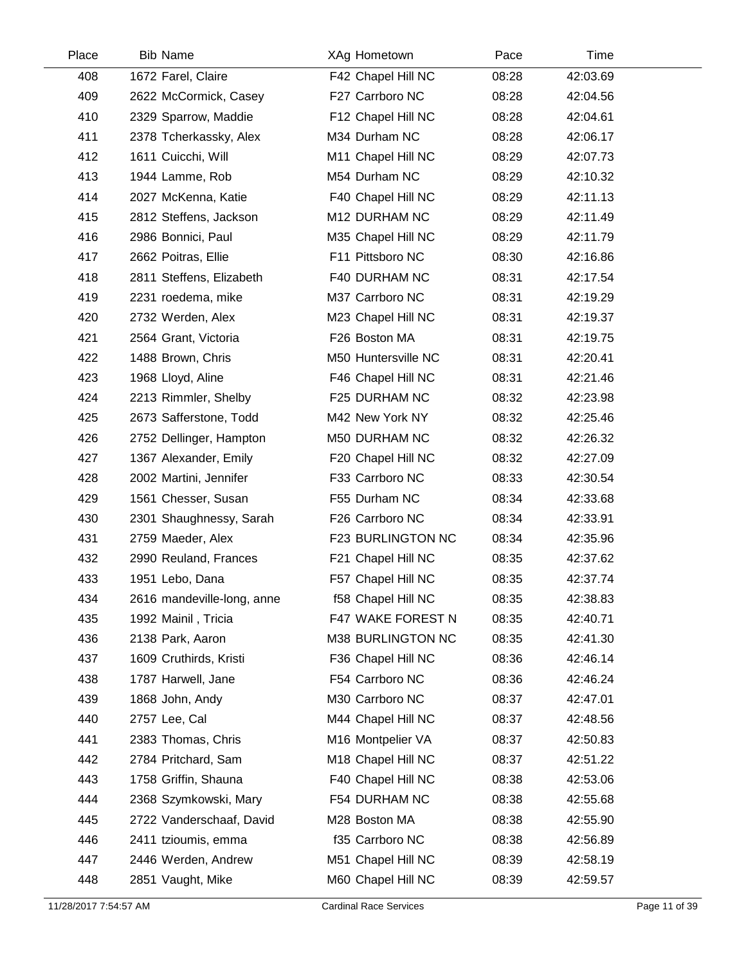| Place | <b>Bib Name</b>            | XAg Hometown        | Pace  | Time     |  |
|-------|----------------------------|---------------------|-------|----------|--|
| 408   | 1672 Farel, Claire         | F42 Chapel Hill NC  | 08:28 | 42:03.69 |  |
| 409   | 2622 McCormick, Casey      | F27 Carrboro NC     | 08:28 | 42:04.56 |  |
| 410   | 2329 Sparrow, Maddie       | F12 Chapel Hill NC  | 08:28 | 42:04.61 |  |
| 411   | 2378 Tcherkassky, Alex     | M34 Durham NC       | 08:28 | 42:06.17 |  |
| 412   | 1611 Cuicchi, Will         | M11 Chapel Hill NC  | 08:29 | 42:07.73 |  |
| 413   | 1944 Lamme, Rob            | M54 Durham NC       | 08:29 | 42:10.32 |  |
| 414   | 2027 McKenna, Katie        | F40 Chapel Hill NC  | 08:29 | 42:11.13 |  |
| 415   | 2812 Steffens, Jackson     | M12 DURHAM NC       | 08:29 | 42:11.49 |  |
| 416   | 2986 Bonnici, Paul         | M35 Chapel Hill NC  | 08:29 | 42:11.79 |  |
| 417   | 2662 Poitras, Ellie        | F11 Pittsboro NC    | 08:30 | 42:16.86 |  |
| 418   | 2811 Steffens, Elizabeth   | F40 DURHAM NC       | 08:31 | 42:17.54 |  |
| 419   | 2231 roedema, mike         | M37 Carrboro NC     | 08:31 | 42:19.29 |  |
| 420   | 2732 Werden, Alex          | M23 Chapel Hill NC  | 08:31 | 42:19.37 |  |
| 421   | 2564 Grant, Victoria       | F26 Boston MA       | 08:31 | 42:19.75 |  |
| 422   | 1488 Brown, Chris          | M50 Huntersville NC | 08:31 | 42:20.41 |  |
| 423   | 1968 Lloyd, Aline          | F46 Chapel Hill NC  | 08:31 | 42:21.46 |  |
| 424   | 2213 Rimmler, Shelby       | F25 DURHAM NC       | 08:32 | 42:23.98 |  |
| 425   | 2673 Safferstone, Todd     | M42 New York NY     | 08:32 | 42:25.46 |  |
| 426   | 2752 Dellinger, Hampton    | M50 DURHAM NC       | 08:32 | 42:26.32 |  |
| 427   | 1367 Alexander, Emily      | F20 Chapel Hill NC  | 08:32 | 42:27.09 |  |
| 428   | 2002 Martini, Jennifer     | F33 Carrboro NC     | 08:33 | 42:30.54 |  |
| 429   | 1561 Chesser, Susan        | F55 Durham NC       | 08:34 | 42:33.68 |  |
| 430   | 2301 Shaughnessy, Sarah    | F26 Carrboro NC     | 08:34 | 42:33.91 |  |
| 431   | 2759 Maeder, Alex          | F23 BURLINGTON NC   | 08:34 | 42:35.96 |  |
| 432   | 2990 Reuland, Frances      | F21 Chapel Hill NC  | 08:35 | 42:37.62 |  |
| 433   | 1951 Lebo, Dana            | F57 Chapel Hill NC  | 08:35 | 42:37.74 |  |
| 434   | 2616 mandeville-long, anne | f58 Chapel Hill NC  | 08:35 | 42:38.83 |  |
| 435   | 1992 Mainil, Tricia        | F47 WAKE FOREST N   | 08:35 | 42:40.71 |  |
| 436   | 2138 Park, Aaron           | M38 BURLINGTON NC   | 08:35 | 42:41.30 |  |
| 437   | 1609 Cruthirds, Kristi     | F36 Chapel Hill NC  | 08:36 | 42:46.14 |  |
| 438   | 1787 Harwell, Jane         | F54 Carrboro NC     | 08:36 | 42:46.24 |  |
| 439   | 1868 John, Andy            | M30 Carrboro NC     | 08:37 | 42:47.01 |  |
| 440   | 2757 Lee, Cal              | M44 Chapel Hill NC  | 08:37 | 42:48.56 |  |
| 441   | 2383 Thomas, Chris         | M16 Montpelier VA   | 08:37 | 42:50.83 |  |
| 442   | 2784 Pritchard, Sam        | M18 Chapel Hill NC  | 08:37 | 42:51.22 |  |
| 443   | 1758 Griffin, Shauna       | F40 Chapel Hill NC  | 08:38 | 42:53.06 |  |
| 444   | 2368 Szymkowski, Mary      | F54 DURHAM NC       | 08:38 | 42:55.68 |  |
| 445   | 2722 Vanderschaaf, David   | M28 Boston MA       | 08:38 | 42:55.90 |  |
| 446   | 2411 tzioumis, emma        | f35 Carrboro NC     | 08:38 | 42:56.89 |  |
| 447   | 2446 Werden, Andrew        | M51 Chapel Hill NC  | 08:39 | 42:58.19 |  |
| 448   | 2851 Vaught, Mike          | M60 Chapel Hill NC  | 08:39 | 42:59.57 |  |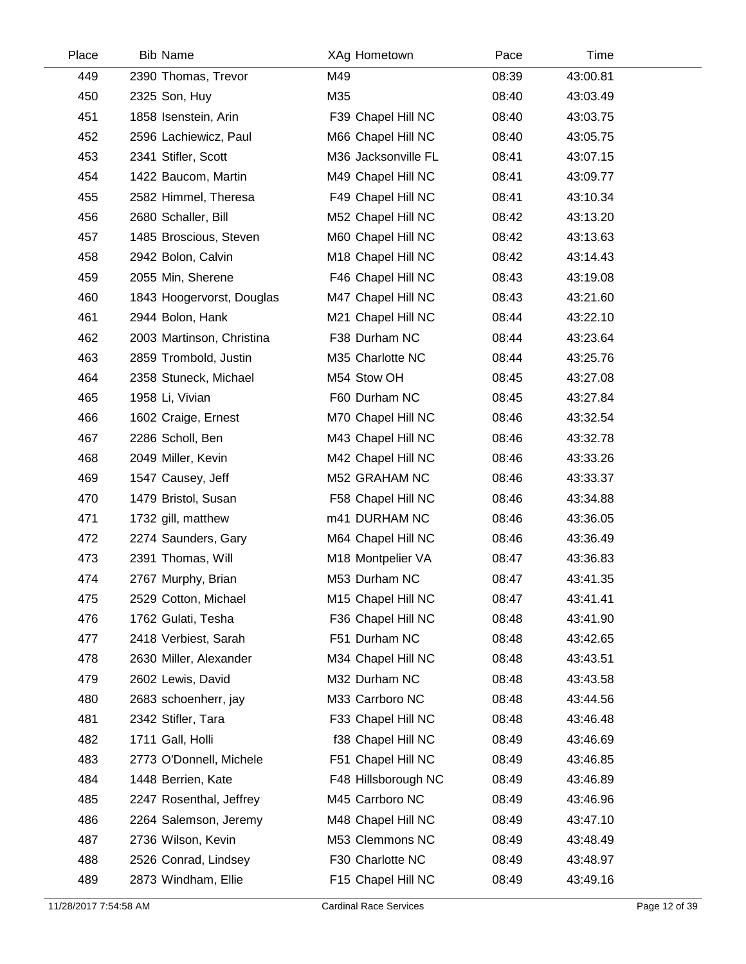| Place | <b>Bib Name</b>           | XAg Hometown        | Pace  | Time     |  |
|-------|---------------------------|---------------------|-------|----------|--|
| 449   | 2390 Thomas, Trevor       | M49                 | 08:39 | 43:00.81 |  |
| 450   | 2325 Son, Huy             | M35                 | 08:40 | 43:03.49 |  |
| 451   | 1858 Isenstein, Arin      | F39 Chapel Hill NC  | 08:40 | 43:03.75 |  |
| 452   | 2596 Lachiewicz, Paul     | M66 Chapel Hill NC  | 08:40 | 43:05.75 |  |
| 453   | 2341 Stifler, Scott       | M36 Jacksonville FL | 08:41 | 43:07.15 |  |
| 454   | 1422 Baucom, Martin       | M49 Chapel Hill NC  | 08:41 | 43:09.77 |  |
| 455   | 2582 Himmel, Theresa      | F49 Chapel Hill NC  | 08:41 | 43:10.34 |  |
| 456   | 2680 Schaller, Bill       | M52 Chapel Hill NC  | 08:42 | 43:13.20 |  |
| 457   | 1485 Broscious, Steven    | M60 Chapel Hill NC  | 08:42 | 43:13.63 |  |
| 458   | 2942 Bolon, Calvin        | M18 Chapel Hill NC  | 08:42 | 43:14.43 |  |
| 459   | 2055 Min, Sherene         | F46 Chapel Hill NC  | 08:43 | 43:19.08 |  |
| 460   | 1843 Hoogervorst, Douglas | M47 Chapel Hill NC  | 08:43 | 43:21.60 |  |
| 461   | 2944 Bolon, Hank          | M21 Chapel Hill NC  | 08:44 | 43:22.10 |  |
| 462   | 2003 Martinson, Christina | F38 Durham NC       | 08:44 | 43:23.64 |  |
| 463   | 2859 Trombold, Justin     | M35 Charlotte NC    | 08:44 | 43:25.76 |  |
| 464   | 2358 Stuneck, Michael     | M54 Stow OH         | 08:45 | 43:27.08 |  |
| 465   | 1958 Li, Vivian           | F60 Durham NC       | 08:45 | 43:27.84 |  |
| 466   | 1602 Craige, Ernest       | M70 Chapel Hill NC  | 08:46 | 43:32.54 |  |
| 467   | 2286 Scholl, Ben          | M43 Chapel Hill NC  | 08:46 | 43:32.78 |  |
| 468   | 2049 Miller, Kevin        | M42 Chapel Hill NC  | 08:46 | 43:33.26 |  |
| 469   | 1547 Causey, Jeff         | M52 GRAHAM NC       | 08:46 | 43:33.37 |  |
| 470   | 1479 Bristol, Susan       | F58 Chapel Hill NC  | 08:46 | 43:34.88 |  |
| 471   | 1732 gill, matthew        | m41 DURHAM NC       | 08:46 | 43:36.05 |  |
| 472   | 2274 Saunders, Gary       | M64 Chapel Hill NC  | 08:46 | 43:36.49 |  |
| 473   | 2391 Thomas, Will         | M18 Montpelier VA   | 08:47 | 43:36.83 |  |
| 474   | 2767 Murphy, Brian        | M53 Durham NC       | 08:47 | 43:41.35 |  |
| 475   | 2529 Cotton, Michael      | M15 Chapel Hill NC  | 08:47 | 43:41.41 |  |
| 476   | 1762 Gulati, Tesha        | F36 Chapel Hill NC  | 08:48 | 43:41.90 |  |
| 477   | 2418 Verbiest, Sarah      | F51 Durham NC       | 08:48 | 43:42.65 |  |
| 478   | 2630 Miller, Alexander    | M34 Chapel Hill NC  | 08:48 | 43:43.51 |  |
| 479   | 2602 Lewis, David         | M32 Durham NC       | 08:48 | 43:43.58 |  |
| 480   | 2683 schoenherr, jay      | M33 Carrboro NC     | 08:48 | 43:44.56 |  |
| 481   | 2342 Stifler, Tara        | F33 Chapel Hill NC  | 08:48 | 43:46.48 |  |
| 482   | 1711 Gall, Holli          | f38 Chapel Hill NC  | 08:49 | 43:46.69 |  |
| 483   | 2773 O'Donnell, Michele   | F51 Chapel Hill NC  | 08:49 | 43:46.85 |  |
| 484   | 1448 Berrien, Kate        | F48 Hillsborough NC | 08:49 | 43:46.89 |  |
| 485   | 2247 Rosenthal, Jeffrey   | M45 Carrboro NC     | 08:49 | 43:46.96 |  |
| 486   | 2264 Salemson, Jeremy     | M48 Chapel Hill NC  | 08:49 | 43:47.10 |  |
| 487   | 2736 Wilson, Kevin        | M53 Clemmons NC     | 08:49 | 43:48.49 |  |
| 488   | 2526 Conrad, Lindsey      | F30 Charlotte NC    | 08:49 | 43:48.97 |  |
| 489   | 2873 Windham, Ellie       | F15 Chapel Hill NC  | 08:49 | 43:49.16 |  |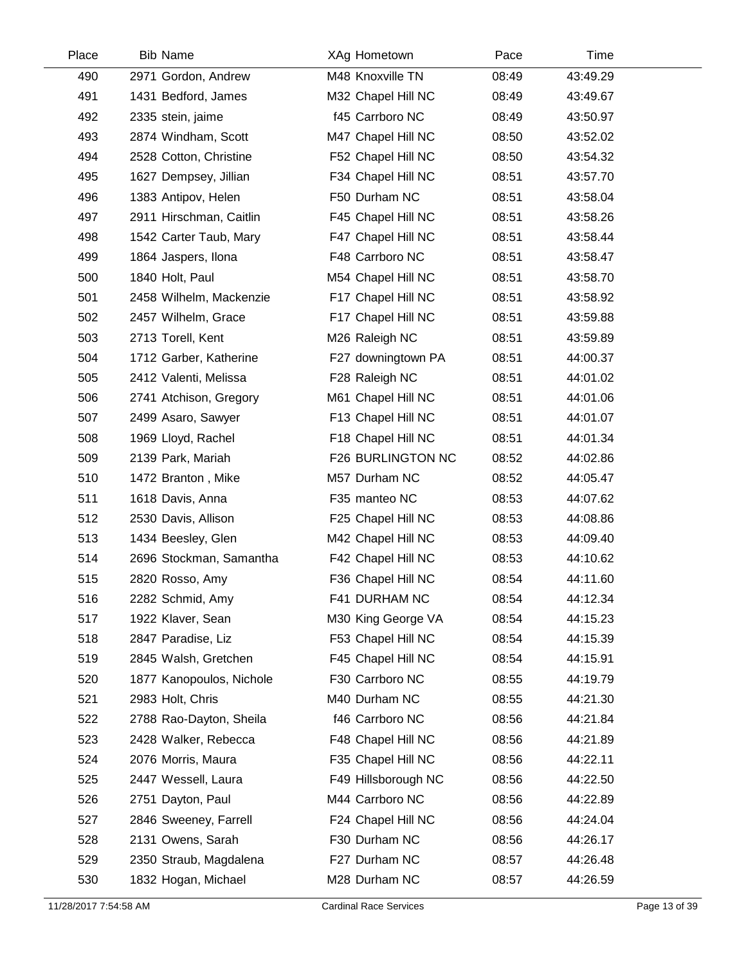| Place | <b>Bib Name</b>          | XAg Hometown        | Pace  | Time     |
|-------|--------------------------|---------------------|-------|----------|
| 490   | 2971 Gordon, Andrew      | M48 Knoxville TN    | 08:49 | 43:49.29 |
| 491   | 1431 Bedford, James      | M32 Chapel Hill NC  | 08:49 | 43:49.67 |
| 492   | 2335 stein, jaime        | f45 Carrboro NC     | 08:49 | 43:50.97 |
| 493   | 2874 Windham, Scott      | M47 Chapel Hill NC  | 08:50 | 43:52.02 |
| 494   | 2528 Cotton, Christine   | F52 Chapel Hill NC  | 08:50 | 43:54.32 |
| 495   | 1627 Dempsey, Jillian    | F34 Chapel Hill NC  | 08:51 | 43:57.70 |
| 496   | 1383 Antipov, Helen      | F50 Durham NC       | 08:51 | 43:58.04 |
| 497   | 2911 Hirschman, Caitlin  | F45 Chapel Hill NC  | 08:51 | 43:58.26 |
| 498   | 1542 Carter Taub, Mary   | F47 Chapel Hill NC  | 08:51 | 43:58.44 |
| 499   | 1864 Jaspers, Ilona      | F48 Carrboro NC     | 08:51 | 43:58.47 |
| 500   | 1840 Holt, Paul          | M54 Chapel Hill NC  | 08:51 | 43:58.70 |
| 501   | 2458 Wilhelm, Mackenzie  | F17 Chapel Hill NC  | 08:51 | 43:58.92 |
| 502   | 2457 Wilhelm, Grace      | F17 Chapel Hill NC  | 08:51 | 43:59.88 |
| 503   | 2713 Torell, Kent        | M26 Raleigh NC      | 08:51 | 43:59.89 |
| 504   | 1712 Garber, Katherine   | F27 downingtown PA  | 08:51 | 44:00.37 |
| 505   | 2412 Valenti, Melissa    | F28 Raleigh NC      | 08:51 | 44:01.02 |
| 506   | 2741 Atchison, Gregory   | M61 Chapel Hill NC  | 08:51 | 44:01.06 |
| 507   | 2499 Asaro, Sawyer       | F13 Chapel Hill NC  | 08:51 | 44:01.07 |
| 508   | 1969 Lloyd, Rachel       | F18 Chapel Hill NC  | 08:51 | 44:01.34 |
| 509   | 2139 Park, Mariah        | F26 BURLINGTON NC   | 08:52 | 44:02.86 |
| 510   | 1472 Branton, Mike       | M57 Durham NC       | 08:52 | 44:05.47 |
| 511   | 1618 Davis, Anna         | F35 manteo NC       | 08:53 | 44:07.62 |
| 512   | 2530 Davis, Allison      | F25 Chapel Hill NC  | 08:53 | 44:08.86 |
| 513   | 1434 Beesley, Glen       | M42 Chapel Hill NC  | 08:53 | 44:09.40 |
| 514   | 2696 Stockman, Samantha  | F42 Chapel Hill NC  | 08:53 | 44:10.62 |
| 515   | 2820 Rosso, Amy          | F36 Chapel Hill NC  | 08:54 | 44:11.60 |
| 516   | 2282 Schmid, Amy         | F41 DURHAM NC       | 08:54 | 44:12.34 |
| 517   | 1922 Klaver, Sean        | M30 King George VA  | 08:54 | 44:15.23 |
| 518   | 2847 Paradise, Liz       | F53 Chapel Hill NC  | 08:54 | 44:15.39 |
| 519   | 2845 Walsh, Gretchen     | F45 Chapel Hill NC  | 08:54 | 44:15.91 |
| 520   | 1877 Kanopoulos, Nichole | F30 Carrboro NC     | 08:55 | 44:19.79 |
| 521   | 2983 Holt, Chris         | M40 Durham NC       | 08:55 | 44:21.30 |
| 522   | 2788 Rao-Dayton, Sheila  | f46 Carrboro NC     | 08:56 | 44:21.84 |
| 523   | 2428 Walker, Rebecca     | F48 Chapel Hill NC  | 08:56 | 44:21.89 |
| 524   | 2076 Morris, Maura       | F35 Chapel Hill NC  | 08:56 | 44:22.11 |
| 525   | 2447 Wessell, Laura      | F49 Hillsborough NC | 08:56 | 44:22.50 |
| 526   | 2751 Dayton, Paul        | M44 Carrboro NC     | 08:56 | 44:22.89 |
| 527   | 2846 Sweeney, Farrell    | F24 Chapel Hill NC  | 08:56 | 44:24.04 |
| 528   | 2131 Owens, Sarah        | F30 Durham NC       | 08:56 | 44:26.17 |
| 529   | 2350 Straub, Magdalena   | F27 Durham NC       | 08:57 | 44:26.48 |
| 530   | 1832 Hogan, Michael      | M28 Durham NC       | 08:57 | 44:26.59 |
|       |                          |                     |       |          |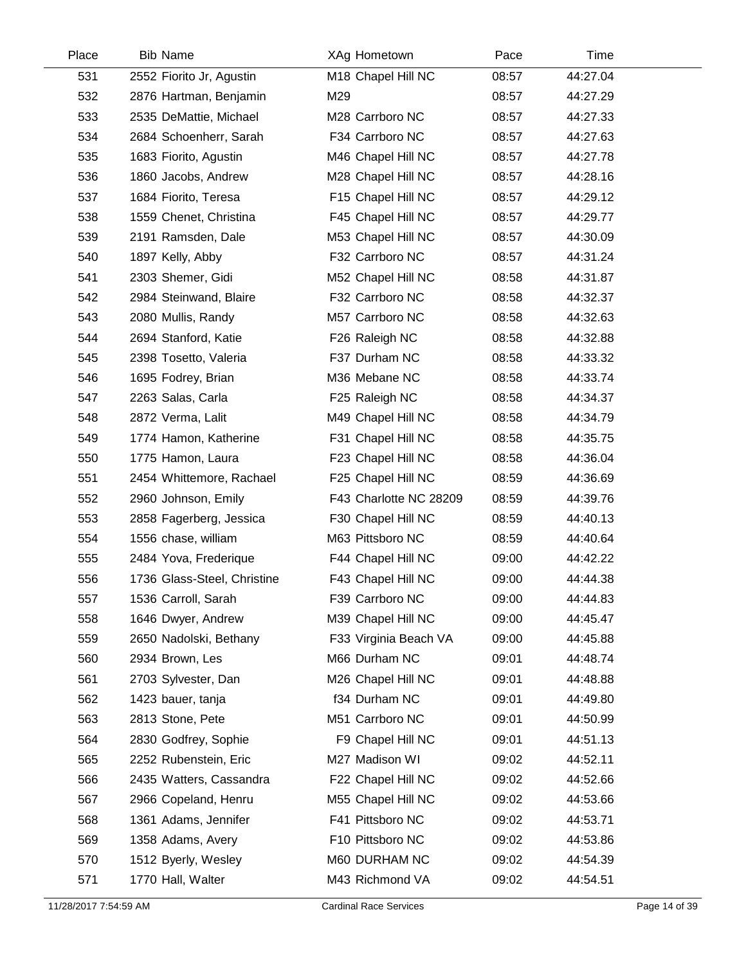| Place | <b>Bib Name</b>             | XAg Hometown           | Pace  | Time     |  |
|-------|-----------------------------|------------------------|-------|----------|--|
| 531   | 2552 Fiorito Jr, Agustin    | M18 Chapel Hill NC     | 08:57 | 44:27.04 |  |
| 532   | 2876 Hartman, Benjamin      | M29                    | 08:57 | 44:27.29 |  |
| 533   | 2535 DeMattie, Michael      | M28 Carrboro NC        | 08:57 | 44:27.33 |  |
| 534   | 2684 Schoenherr, Sarah      | F34 Carrboro NC        | 08:57 | 44:27.63 |  |
| 535   | 1683 Fiorito, Agustin       | M46 Chapel Hill NC     | 08:57 | 44:27.78 |  |
| 536   | 1860 Jacobs, Andrew         | M28 Chapel Hill NC     | 08:57 | 44:28.16 |  |
| 537   | 1684 Fiorito, Teresa        | F15 Chapel Hill NC     | 08:57 | 44:29.12 |  |
| 538   | 1559 Chenet, Christina      | F45 Chapel Hill NC     | 08:57 | 44:29.77 |  |
| 539   | 2191 Ramsden, Dale          | M53 Chapel Hill NC     | 08:57 | 44:30.09 |  |
| 540   | 1897 Kelly, Abby            | F32 Carrboro NC        | 08:57 | 44:31.24 |  |
| 541   | 2303 Shemer, Gidi           | M52 Chapel Hill NC     | 08:58 | 44:31.87 |  |
| 542   | 2984 Steinwand, Blaire      | F32 Carrboro NC        | 08:58 | 44:32.37 |  |
| 543   | 2080 Mullis, Randy          | M57 Carrboro NC        | 08:58 | 44:32.63 |  |
| 544   | 2694 Stanford, Katie        | F26 Raleigh NC         | 08:58 | 44:32.88 |  |
| 545   | 2398 Tosetto, Valeria       | F37 Durham NC          | 08:58 | 44:33.32 |  |
| 546   | 1695 Fodrey, Brian          | M36 Mebane NC          | 08:58 | 44:33.74 |  |
| 547   | 2263 Salas, Carla           | F25 Raleigh NC         | 08:58 | 44:34.37 |  |
| 548   | 2872 Verma, Lalit           | M49 Chapel Hill NC     | 08:58 | 44:34.79 |  |
| 549   | 1774 Hamon, Katherine       | F31 Chapel Hill NC     | 08:58 | 44:35.75 |  |
| 550   | 1775 Hamon, Laura           | F23 Chapel Hill NC     | 08:58 | 44:36.04 |  |
| 551   | 2454 Whittemore, Rachael    | F25 Chapel Hill NC     | 08:59 | 44:36.69 |  |
| 552   | 2960 Johnson, Emily         | F43 Charlotte NC 28209 | 08:59 | 44:39.76 |  |
| 553   | 2858 Fagerberg, Jessica     | F30 Chapel Hill NC     | 08:59 | 44:40.13 |  |
| 554   | 1556 chase, william         | M63 Pittsboro NC       | 08:59 | 44:40.64 |  |
| 555   | 2484 Yova, Frederique       | F44 Chapel Hill NC     | 09:00 | 44:42.22 |  |
| 556   | 1736 Glass-Steel, Christine | F43 Chapel Hill NC     | 09:00 | 44:44.38 |  |
| 557   | 1536 Carroll, Sarah         | F39 Carrboro NC        | 09:00 | 44:44.83 |  |
| 558   | 1646 Dwyer, Andrew          | M39 Chapel Hill NC     | 09:00 | 44:45.47 |  |
| 559   | 2650 Nadolski, Bethany      | F33 Virginia Beach VA  | 09:00 | 44:45.88 |  |
| 560   | 2934 Brown, Les             | M66 Durham NC          | 09:01 | 44:48.74 |  |
| 561   | 2703 Sylvester, Dan         | M26 Chapel Hill NC     | 09:01 | 44:48.88 |  |
| 562   | 1423 bauer, tanja           | f34 Durham NC          | 09:01 | 44:49.80 |  |
| 563   | 2813 Stone, Pete            | M51 Carrboro NC        | 09:01 | 44:50.99 |  |
| 564   | 2830 Godfrey, Sophie        | F9 Chapel Hill NC      | 09:01 | 44:51.13 |  |
| 565   | 2252 Rubenstein, Eric       | M27 Madison WI         | 09:02 | 44:52.11 |  |
| 566   | 2435 Watters, Cassandra     | F22 Chapel Hill NC     | 09:02 | 44:52.66 |  |
| 567   | 2966 Copeland, Henru        | M55 Chapel Hill NC     | 09:02 | 44:53.66 |  |
| 568   | 1361 Adams, Jennifer        | F41 Pittsboro NC       | 09:02 | 44:53.71 |  |
| 569   | 1358 Adams, Avery           | F10 Pittsboro NC       | 09:02 | 44:53.86 |  |
| 570   | 1512 Byerly, Wesley         | M60 DURHAM NC          | 09:02 | 44:54.39 |  |
| 571   | 1770 Hall, Walter           | M43 Richmond VA        | 09:02 | 44:54.51 |  |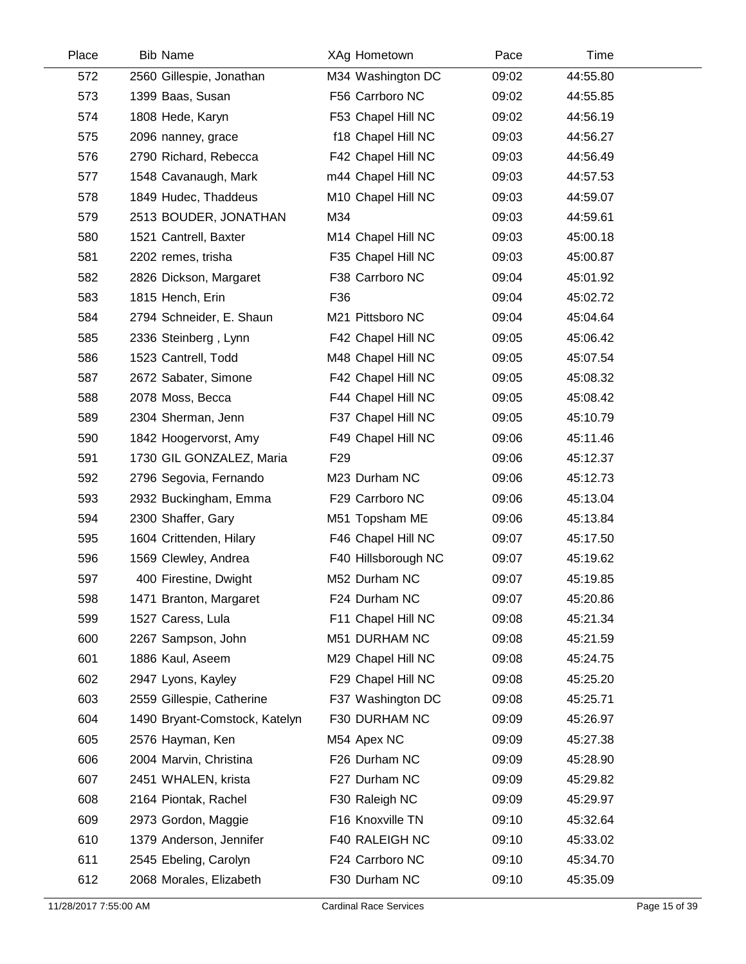| Place | <b>Bib Name</b>               | XAg Hometown        | Pace  | Time     |  |
|-------|-------------------------------|---------------------|-------|----------|--|
| 572   | 2560 Gillespie, Jonathan      | M34 Washington DC   | 09:02 | 44:55.80 |  |
| 573   | 1399 Baas, Susan              | F56 Carrboro NC     | 09:02 | 44:55.85 |  |
| 574   | 1808 Hede, Karyn              | F53 Chapel Hill NC  | 09:02 | 44:56.19 |  |
| 575   | 2096 nanney, grace            | f18 Chapel Hill NC  | 09:03 | 44:56.27 |  |
| 576   | 2790 Richard, Rebecca         | F42 Chapel Hill NC  | 09:03 | 44:56.49 |  |
| 577   | 1548 Cavanaugh, Mark          | m44 Chapel Hill NC  | 09:03 | 44:57.53 |  |
| 578   | 1849 Hudec, Thaddeus          | M10 Chapel Hill NC  | 09:03 | 44:59.07 |  |
| 579   | 2513 BOUDER, JONATHAN         | M34                 | 09:03 | 44:59.61 |  |
| 580   | 1521 Cantrell, Baxter         | M14 Chapel Hill NC  | 09:03 | 45:00.18 |  |
| 581   | 2202 remes, trisha            | F35 Chapel Hill NC  | 09:03 | 45:00.87 |  |
| 582   | 2826 Dickson, Margaret        | F38 Carrboro NC     | 09:04 | 45:01.92 |  |
| 583   | 1815 Hench, Erin              | F36                 | 09:04 | 45:02.72 |  |
| 584   | 2794 Schneider, E. Shaun      | M21 Pittsboro NC    | 09:04 | 45:04.64 |  |
| 585   | 2336 Steinberg, Lynn          | F42 Chapel Hill NC  | 09:05 | 45:06.42 |  |
| 586   | 1523 Cantrell, Todd           | M48 Chapel Hill NC  | 09:05 | 45:07.54 |  |
| 587   | 2672 Sabater, Simone          | F42 Chapel Hill NC  | 09:05 | 45:08.32 |  |
| 588   | 2078 Moss, Becca              | F44 Chapel Hill NC  | 09:05 | 45:08.42 |  |
| 589   | 2304 Sherman, Jenn            | F37 Chapel Hill NC  | 09:05 | 45:10.79 |  |
| 590   | 1842 Hoogervorst, Amy         | F49 Chapel Hill NC  | 09:06 | 45:11.46 |  |
| 591   | 1730 GIL GONZALEZ, Maria      | F <sub>29</sub>     | 09:06 | 45:12.37 |  |
| 592   | 2796 Segovia, Fernando        | M23 Durham NC       | 09:06 | 45:12.73 |  |
| 593   | 2932 Buckingham, Emma         | F29 Carrboro NC     | 09:06 | 45:13.04 |  |
| 594   | 2300 Shaffer, Gary            | M51 Topsham ME      | 09:06 | 45:13.84 |  |
| 595   | 1604 Crittenden, Hilary       | F46 Chapel Hill NC  | 09:07 | 45:17.50 |  |
| 596   | 1569 Clewley, Andrea          | F40 Hillsborough NC | 09:07 | 45:19.62 |  |
| 597   | 400 Firestine, Dwight         | M52 Durham NC       | 09:07 | 45:19.85 |  |
| 598   | 1471 Branton, Margaret        | F24 Durham NC       | 09:07 | 45:20.86 |  |
| 599   | 1527 Caress, Lula             | F11 Chapel Hill NC  | 09:08 | 45:21.34 |  |
| 600   | 2267 Sampson, John            | M51 DURHAM NC       | 09:08 | 45:21.59 |  |
| 601   | 1886 Kaul, Aseem              | M29 Chapel Hill NC  | 09:08 | 45:24.75 |  |
| 602   | 2947 Lyons, Kayley            | F29 Chapel Hill NC  | 09:08 | 45:25.20 |  |
| 603   | 2559 Gillespie, Catherine     | F37 Washington DC   | 09:08 | 45:25.71 |  |
| 604   | 1490 Bryant-Comstock, Katelyn | F30 DURHAM NC       | 09:09 | 45:26.97 |  |
| 605   | 2576 Hayman, Ken              | M54 Apex NC         | 09:09 | 45:27.38 |  |
| 606   | 2004 Marvin, Christina        | F26 Durham NC       | 09:09 | 45:28.90 |  |
| 607   | 2451 WHALEN, krista           | F27 Durham NC       | 09:09 | 45:29.82 |  |
| 608   | 2164 Piontak, Rachel          | F30 Raleigh NC      | 09:09 | 45:29.97 |  |
| 609   | 2973 Gordon, Maggie           | F16 Knoxville TN    | 09:10 | 45:32.64 |  |
| 610   | 1379 Anderson, Jennifer       | F40 RALEIGH NC      | 09:10 | 45:33.02 |  |
| 611   | 2545 Ebeling, Carolyn         | F24 Carrboro NC     | 09:10 | 45:34.70 |  |
| 612   | 2068 Morales, Elizabeth       | F30 Durham NC       | 09:10 | 45:35.09 |  |
|       |                               |                     |       |          |  |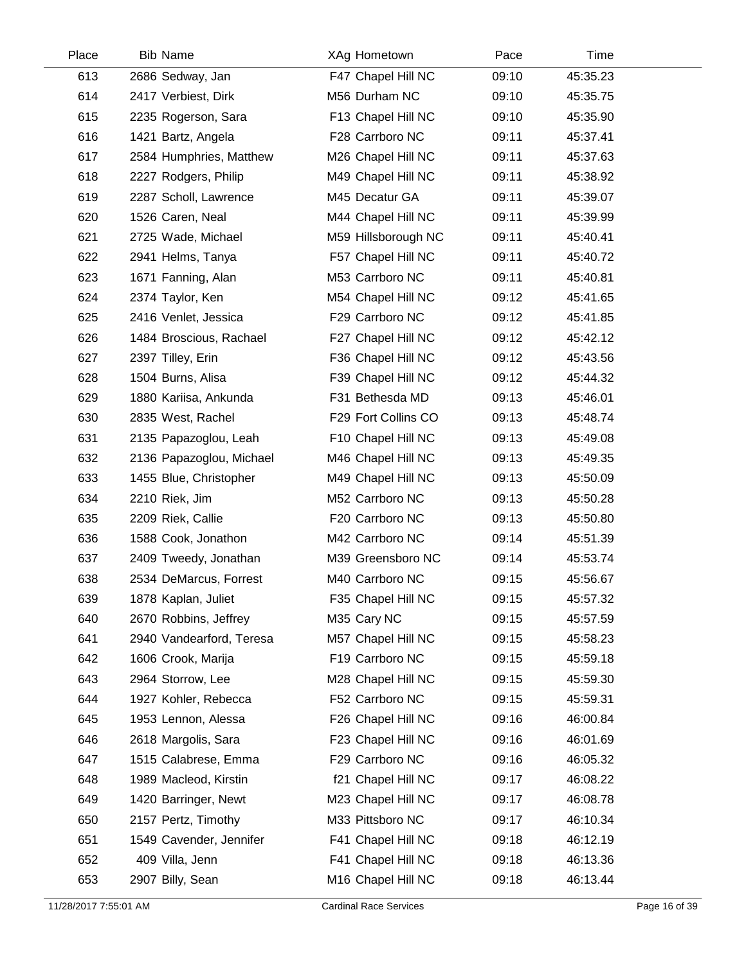| Place | <b>Bib Name</b>          | XAg Hometown        | Pace  | Time     |  |
|-------|--------------------------|---------------------|-------|----------|--|
| 613   | 2686 Sedway, Jan         | F47 Chapel Hill NC  | 09:10 | 45:35.23 |  |
| 614   | 2417 Verbiest, Dirk      | M56 Durham NC       | 09:10 | 45:35.75 |  |
| 615   | 2235 Rogerson, Sara      | F13 Chapel Hill NC  | 09:10 | 45:35.90 |  |
| 616   | 1421 Bartz, Angela       | F28 Carrboro NC     | 09:11 | 45:37.41 |  |
| 617   | 2584 Humphries, Matthew  | M26 Chapel Hill NC  | 09:11 | 45:37.63 |  |
| 618   | 2227 Rodgers, Philip     | M49 Chapel Hill NC  | 09:11 | 45:38.92 |  |
| 619   | 2287 Scholl, Lawrence    | M45 Decatur GA      | 09:11 | 45:39.07 |  |
| 620   | 1526 Caren, Neal         | M44 Chapel Hill NC  | 09:11 | 45:39.99 |  |
| 621   | 2725 Wade, Michael       | M59 Hillsborough NC | 09:11 | 45:40.41 |  |
| 622   | 2941 Helms, Tanya        | F57 Chapel Hill NC  | 09:11 | 45:40.72 |  |
| 623   | 1671 Fanning, Alan       | M53 Carrboro NC     | 09:11 | 45:40.81 |  |
| 624   | 2374 Taylor, Ken         | M54 Chapel Hill NC  | 09:12 | 45:41.65 |  |
| 625   | 2416 Venlet, Jessica     | F29 Carrboro NC     | 09:12 | 45:41.85 |  |
| 626   | 1484 Broscious, Rachael  | F27 Chapel Hill NC  | 09:12 | 45:42.12 |  |
| 627   | 2397 Tilley, Erin        | F36 Chapel Hill NC  | 09:12 | 45:43.56 |  |
| 628   | 1504 Burns, Alisa        | F39 Chapel Hill NC  | 09:12 | 45:44.32 |  |
| 629   | 1880 Kariisa, Ankunda    | F31 Bethesda MD     | 09:13 | 45:46.01 |  |
| 630   | 2835 West, Rachel        | F29 Fort Collins CO | 09:13 | 45:48.74 |  |
| 631   | 2135 Papazoglou, Leah    | F10 Chapel Hill NC  | 09:13 | 45:49.08 |  |
| 632   | 2136 Papazoglou, Michael | M46 Chapel Hill NC  | 09:13 | 45:49.35 |  |
| 633   | 1455 Blue, Christopher   | M49 Chapel Hill NC  | 09:13 | 45:50.09 |  |
| 634   | 2210 Riek, Jim           | M52 Carrboro NC     | 09:13 | 45:50.28 |  |
| 635   | 2209 Riek, Callie        | F20 Carrboro NC     | 09:13 | 45:50.80 |  |
| 636   | 1588 Cook, Jonathon      | M42 Carrboro NC     | 09:14 | 45:51.39 |  |
| 637   | 2409 Tweedy, Jonathan    | M39 Greensboro NC   | 09:14 | 45:53.74 |  |
| 638   | 2534 DeMarcus, Forrest   | M40 Carrboro NC     | 09:15 | 45:56.67 |  |
| 639   | 1878 Kaplan, Juliet      | F35 Chapel Hill NC  | 09:15 | 45:57.32 |  |
| 640   | 2670 Robbins, Jeffrey    | M35 Cary NC         | 09:15 | 45:57.59 |  |
| 641   | 2940 Vandearford, Teresa | M57 Chapel Hill NC  | 09:15 | 45:58.23 |  |
| 642   | 1606 Crook, Marija       | F19 Carrboro NC     | 09:15 | 45:59.18 |  |
| 643   | 2964 Storrow, Lee        | M28 Chapel Hill NC  | 09:15 | 45:59.30 |  |
| 644   | 1927 Kohler, Rebecca     | F52 Carrboro NC     | 09:15 | 45:59.31 |  |
| 645   | 1953 Lennon, Alessa      | F26 Chapel Hill NC  | 09:16 | 46:00.84 |  |
| 646   | 2618 Margolis, Sara      | F23 Chapel Hill NC  | 09:16 | 46:01.69 |  |
| 647   | 1515 Calabrese, Emma     | F29 Carrboro NC     | 09:16 | 46:05.32 |  |
| 648   | 1989 Macleod, Kirstin    | f21 Chapel Hill NC  | 09:17 | 46:08.22 |  |
| 649   | 1420 Barringer, Newt     | M23 Chapel Hill NC  | 09:17 | 46:08.78 |  |
| 650   | 2157 Pertz, Timothy      | M33 Pittsboro NC    | 09:17 | 46:10.34 |  |
| 651   | 1549 Cavender, Jennifer  | F41 Chapel Hill NC  | 09:18 | 46:12.19 |  |
| 652   | 409 Villa, Jenn          | F41 Chapel Hill NC  | 09:18 | 46:13.36 |  |
| 653   | 2907 Billy, Sean         | M16 Chapel Hill NC  | 09:18 | 46:13.44 |  |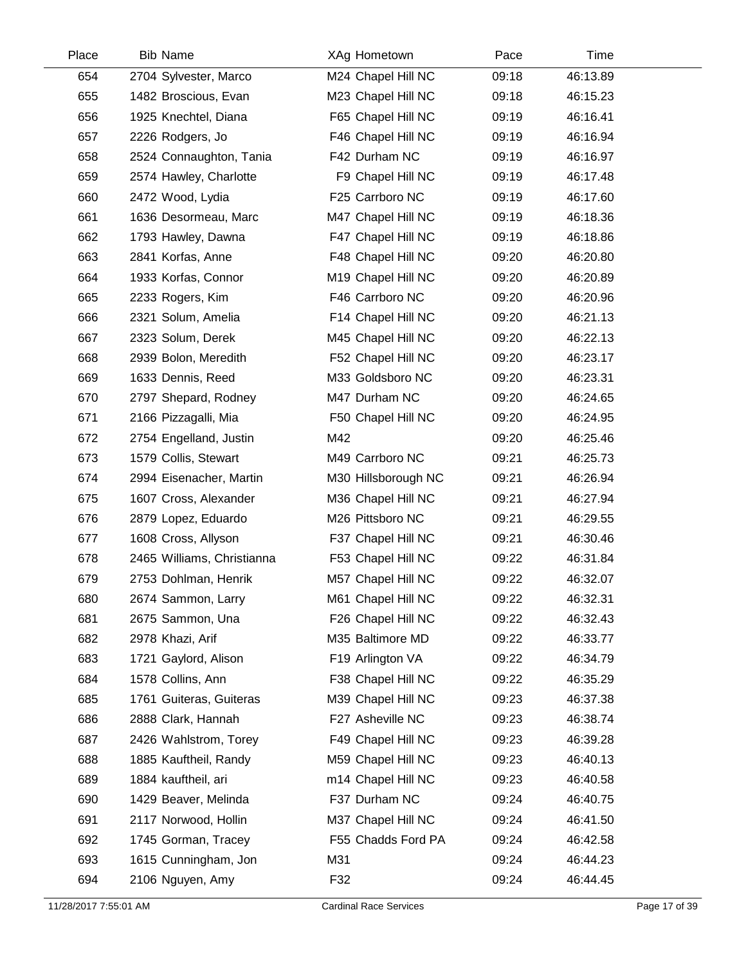| Place | <b>Bib Name</b>            | XAg Hometown        | Pace  | Time     |  |
|-------|----------------------------|---------------------|-------|----------|--|
| 654   | 2704 Sylvester, Marco      | M24 Chapel Hill NC  | 09:18 | 46:13.89 |  |
| 655   | 1482 Broscious, Evan       | M23 Chapel Hill NC  | 09:18 | 46:15.23 |  |
| 656   | 1925 Knechtel, Diana       | F65 Chapel Hill NC  | 09:19 | 46:16.41 |  |
| 657   | 2226 Rodgers, Jo           | F46 Chapel Hill NC  | 09:19 | 46:16.94 |  |
| 658   | 2524 Connaughton, Tania    | F42 Durham NC       | 09:19 | 46:16.97 |  |
| 659   | 2574 Hawley, Charlotte     | F9 Chapel Hill NC   | 09:19 | 46:17.48 |  |
| 660   | 2472 Wood, Lydia           | F25 Carrboro NC     | 09:19 | 46:17.60 |  |
| 661   | 1636 Desormeau, Marc       | M47 Chapel Hill NC  | 09:19 | 46:18.36 |  |
| 662   | 1793 Hawley, Dawna         | F47 Chapel Hill NC  | 09:19 | 46:18.86 |  |
| 663   | 2841 Korfas, Anne          | F48 Chapel Hill NC  | 09:20 | 46:20.80 |  |
| 664   | 1933 Korfas, Connor        | M19 Chapel Hill NC  | 09:20 | 46:20.89 |  |
| 665   | 2233 Rogers, Kim           | F46 Carrboro NC     | 09:20 | 46:20.96 |  |
| 666   | 2321 Solum, Amelia         | F14 Chapel Hill NC  | 09:20 | 46:21.13 |  |
| 667   | 2323 Solum, Derek          | M45 Chapel Hill NC  | 09:20 | 46:22.13 |  |
| 668   | 2939 Bolon, Meredith       | F52 Chapel Hill NC  | 09:20 | 46:23.17 |  |
| 669   | 1633 Dennis, Reed          | M33 Goldsboro NC    | 09:20 | 46:23.31 |  |
| 670   | 2797 Shepard, Rodney       | M47 Durham NC       | 09:20 | 46:24.65 |  |
| 671   | 2166 Pizzagalli, Mia       | F50 Chapel Hill NC  | 09:20 | 46:24.95 |  |
| 672   | 2754 Engelland, Justin     | M42                 | 09:20 | 46:25.46 |  |
| 673   | 1579 Collis, Stewart       | M49 Carrboro NC     | 09:21 | 46:25.73 |  |
| 674   | 2994 Eisenacher, Martin    | M30 Hillsborough NC | 09:21 | 46:26.94 |  |
| 675   | 1607 Cross, Alexander      | M36 Chapel Hill NC  | 09:21 | 46:27.94 |  |
| 676   | 2879 Lopez, Eduardo        | M26 Pittsboro NC    | 09:21 | 46:29.55 |  |
| 677   | 1608 Cross, Allyson        | F37 Chapel Hill NC  | 09:21 | 46:30.46 |  |
| 678   | 2465 Williams, Christianna | F53 Chapel Hill NC  | 09:22 | 46:31.84 |  |
| 679   | 2753 Dohlman, Henrik       | M57 Chapel Hill NC  | 09:22 | 46:32.07 |  |
| 680   | 2674 Sammon, Larry         | M61 Chapel Hill NC  | 09:22 | 46:32.31 |  |
| 681   | 2675 Sammon, Una           | F26 Chapel Hill NC  | 09:22 | 46:32.43 |  |
| 682   | 2978 Khazi, Arif           | M35 Baltimore MD    | 09:22 | 46:33.77 |  |
| 683   | 1721 Gaylord, Alison       | F19 Arlington VA    | 09:22 | 46:34.79 |  |
| 684   | 1578 Collins, Ann          | F38 Chapel Hill NC  | 09:22 | 46:35.29 |  |
| 685   | 1761 Guiteras, Guiteras    | M39 Chapel Hill NC  | 09:23 | 46:37.38 |  |
| 686   | 2888 Clark, Hannah         | F27 Asheville NC    | 09:23 | 46:38.74 |  |
| 687   | 2426 Wahlstrom, Torey      | F49 Chapel Hill NC  | 09:23 | 46:39.28 |  |
| 688   | 1885 Kauftheil, Randy      | M59 Chapel Hill NC  | 09:23 | 46:40.13 |  |
| 689   | 1884 kauftheil, ari        | m14 Chapel Hill NC  | 09:23 | 46:40.58 |  |
| 690   | 1429 Beaver, Melinda       | F37 Durham NC       | 09:24 | 46:40.75 |  |
| 691   | 2117 Norwood, Hollin       | M37 Chapel Hill NC  | 09:24 | 46:41.50 |  |
| 692   | 1745 Gorman, Tracey        | F55 Chadds Ford PA  | 09:24 | 46:42.58 |  |
| 693   | 1615 Cunningham, Jon       | M31                 | 09:24 | 46:44.23 |  |
| 694   | 2106 Nguyen, Amy           | F32                 | 09:24 | 46:44.45 |  |
|       |                            |                     |       |          |  |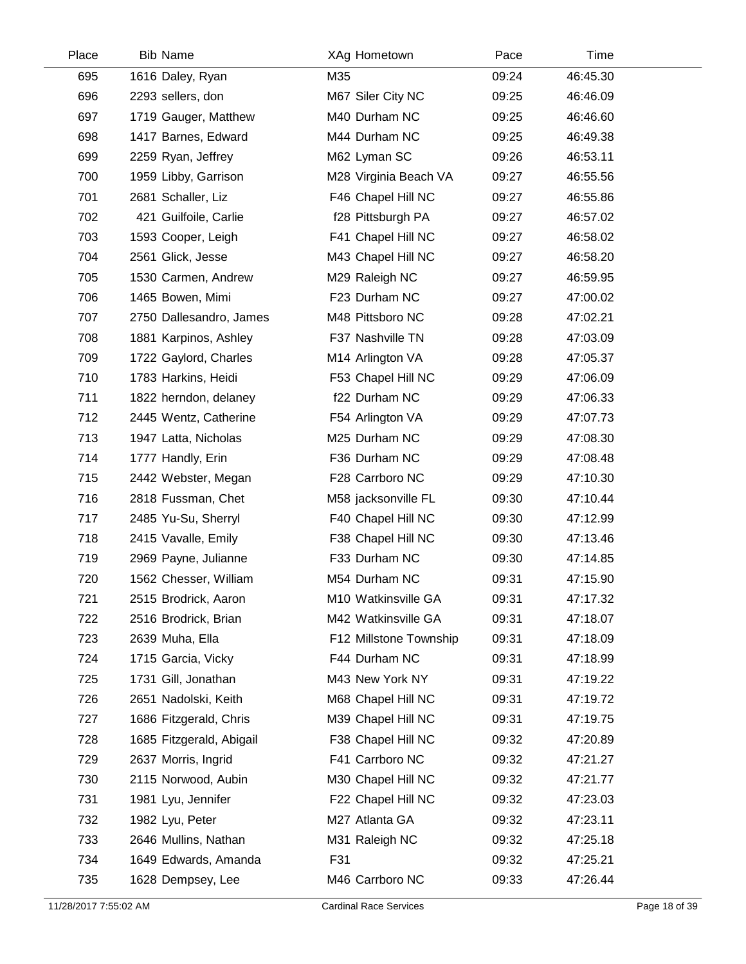| Place | <b>Bib Name</b>          | XAg Hometown           | Pace  | Time     |
|-------|--------------------------|------------------------|-------|----------|
| 695   | 1616 Daley, Ryan         | M35                    | 09:24 | 46:45.30 |
| 696   | 2293 sellers, don        | M67 Siler City NC      | 09:25 | 46:46.09 |
| 697   | 1719 Gauger, Matthew     | M40 Durham NC          | 09:25 | 46:46.60 |
| 698   | 1417 Barnes, Edward      | M44 Durham NC          | 09:25 | 46:49.38 |
| 699   | 2259 Ryan, Jeffrey       | M62 Lyman SC           | 09:26 | 46:53.11 |
| 700   | 1959 Libby, Garrison     | M28 Virginia Beach VA  | 09:27 | 46:55.56 |
| 701   | 2681 Schaller, Liz       | F46 Chapel Hill NC     | 09:27 | 46:55.86 |
| 702   | 421 Guilfoile, Carlie    | f28 Pittsburgh PA      | 09:27 | 46:57.02 |
| 703   | 1593 Cooper, Leigh       | F41 Chapel Hill NC     | 09:27 | 46:58.02 |
| 704   | 2561 Glick, Jesse        | M43 Chapel Hill NC     | 09:27 | 46:58.20 |
| 705   | 1530 Carmen, Andrew      | M29 Raleigh NC         | 09:27 | 46:59.95 |
| 706   | 1465 Bowen, Mimi         | F23 Durham NC          | 09:27 | 47:00.02 |
| 707   | 2750 Dallesandro, James  | M48 Pittsboro NC       | 09:28 | 47:02.21 |
| 708   | 1881 Karpinos, Ashley    | F37 Nashville TN       | 09:28 | 47:03.09 |
| 709   | 1722 Gaylord, Charles    | M14 Arlington VA       | 09:28 | 47:05.37 |
| 710   | 1783 Harkins, Heidi      | F53 Chapel Hill NC     | 09:29 | 47:06.09 |
| 711   | 1822 herndon, delaney    | f22 Durham NC          | 09:29 | 47:06.33 |
| 712   | 2445 Wentz, Catherine    | F54 Arlington VA       | 09:29 | 47:07.73 |
| 713   | 1947 Latta, Nicholas     | M25 Durham NC          | 09:29 | 47:08.30 |
| 714   | 1777 Handly, Erin        | F36 Durham NC          | 09:29 | 47:08.48 |
| 715   | 2442 Webster, Megan      | F28 Carrboro NC        | 09:29 | 47:10.30 |
| 716   | 2818 Fussman, Chet       | M58 jacksonville FL    | 09:30 | 47:10.44 |
| 717   | 2485 Yu-Su, Sherryl      | F40 Chapel Hill NC     | 09:30 | 47:12.99 |
| 718   | 2415 Vavalle, Emily      | F38 Chapel Hill NC     | 09:30 | 47:13.46 |
| 719   | 2969 Payne, Julianne     | F33 Durham NC          | 09:30 | 47:14.85 |
| 720   | 1562 Chesser, William    | M54 Durham NC          | 09:31 | 47:15.90 |
| 721   | 2515 Brodrick, Aaron     | M10 Watkinsville GA    | 09:31 | 47:17.32 |
| 722   | 2516 Brodrick, Brian     | M42 Watkinsville GA    | 09:31 | 47:18.07 |
| 723   | 2639 Muha, Ella          | F12 Millstone Township | 09:31 | 47:18.09 |
| 724   | 1715 Garcia, Vicky       | F44 Durham NC          | 09:31 | 47:18.99 |
| 725   | 1731 Gill, Jonathan      | M43 New York NY        | 09:31 | 47:19.22 |
| 726   | 2651 Nadolski, Keith     | M68 Chapel Hill NC     | 09:31 | 47:19.72 |
| 727   | 1686 Fitzgerald, Chris   | M39 Chapel Hill NC     | 09:31 | 47:19.75 |
| 728   | 1685 Fitzgerald, Abigail | F38 Chapel Hill NC     | 09:32 | 47:20.89 |
| 729   | 2637 Morris, Ingrid      | F41 Carrboro NC        | 09:32 | 47:21.27 |
| 730   | 2115 Norwood, Aubin      | M30 Chapel Hill NC     | 09:32 | 47:21.77 |
| 731   | 1981 Lyu, Jennifer       | F22 Chapel Hill NC     | 09:32 | 47:23.03 |
| 732   | 1982 Lyu, Peter          | M27 Atlanta GA         | 09:32 | 47:23.11 |
| 733   | 2646 Mullins, Nathan     | M31 Raleigh NC         | 09:32 | 47:25.18 |
| 734   | 1649 Edwards, Amanda     | F31                    | 09:32 | 47:25.21 |
| 735   | 1628 Dempsey, Lee        | M46 Carrboro NC        | 09:33 | 47:26.44 |
|       |                          |                        |       |          |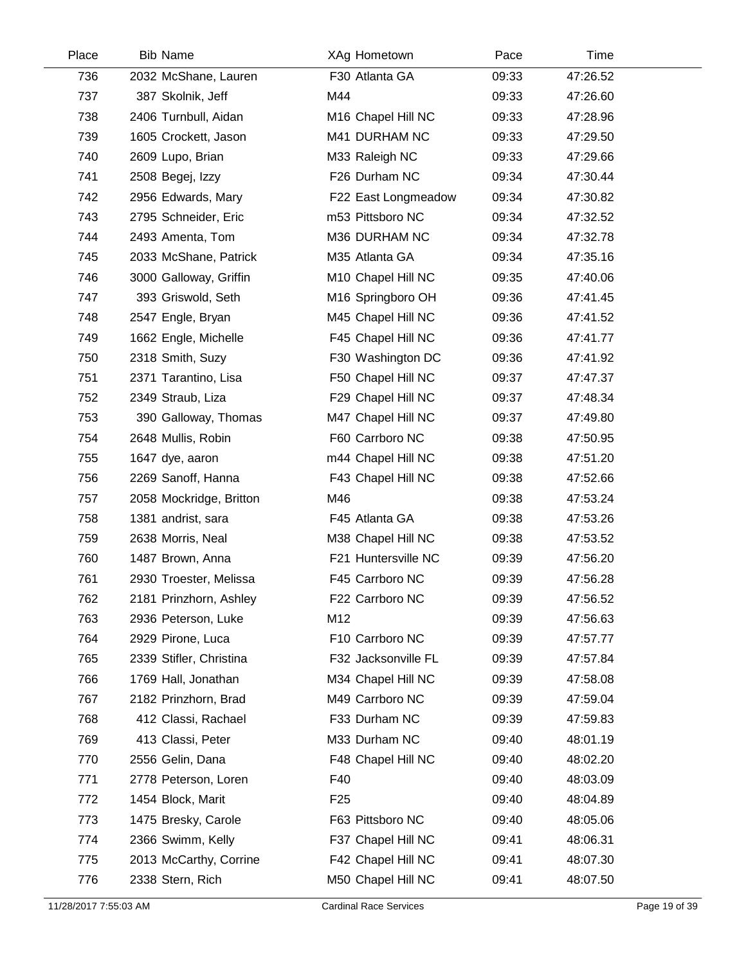| Place | <b>Bib Name</b>         | XAg Hometown        | Pace  | Time     |  |
|-------|-------------------------|---------------------|-------|----------|--|
| 736   | 2032 McShane, Lauren    | F30 Atlanta GA      | 09:33 | 47:26.52 |  |
| 737   | 387 Skolnik, Jeff       | M44                 | 09:33 | 47:26.60 |  |
| 738   | 2406 Turnbull, Aidan    | M16 Chapel Hill NC  | 09:33 | 47:28.96 |  |
| 739   | 1605 Crockett, Jason    | M41 DURHAM NC       | 09:33 | 47:29.50 |  |
| 740   | 2609 Lupo, Brian        | M33 Raleigh NC      | 09:33 | 47:29.66 |  |
| 741   | 2508 Begej, Izzy        | F26 Durham NC       | 09:34 | 47:30.44 |  |
| 742   | 2956 Edwards, Mary      | F22 East Longmeadow | 09:34 | 47:30.82 |  |
| 743   | 2795 Schneider, Eric    | m53 Pittsboro NC    | 09:34 | 47:32.52 |  |
| 744   | 2493 Amenta, Tom        | M36 DURHAM NC       | 09:34 | 47:32.78 |  |
| 745   | 2033 McShane, Patrick   | M35 Atlanta GA      | 09:34 | 47:35.16 |  |
| 746   | 3000 Galloway, Griffin  | M10 Chapel Hill NC  | 09:35 | 47:40.06 |  |
| 747   | 393 Griswold, Seth      | M16 Springboro OH   | 09:36 | 47:41.45 |  |
| 748   | 2547 Engle, Bryan       | M45 Chapel Hill NC  | 09:36 | 47:41.52 |  |
| 749   | 1662 Engle, Michelle    | F45 Chapel Hill NC  | 09:36 | 47:41.77 |  |
| 750   | 2318 Smith, Suzy        | F30 Washington DC   | 09:36 | 47:41.92 |  |
| 751   | 2371 Tarantino, Lisa    | F50 Chapel Hill NC  | 09:37 | 47:47.37 |  |
| 752   | 2349 Straub, Liza       | F29 Chapel Hill NC  | 09:37 | 47:48.34 |  |
| 753   | 390 Galloway, Thomas    | M47 Chapel Hill NC  | 09:37 | 47:49.80 |  |
| 754   | 2648 Mullis, Robin      | F60 Carrboro NC     | 09:38 | 47:50.95 |  |
| 755   | 1647 dye, aaron         | m44 Chapel Hill NC  | 09:38 | 47:51.20 |  |
| 756   | 2269 Sanoff, Hanna      | F43 Chapel Hill NC  | 09:38 | 47:52.66 |  |
| 757   | 2058 Mockridge, Britton | M46                 | 09:38 | 47:53.24 |  |
| 758   | 1381 andrist, sara      | F45 Atlanta GA      | 09:38 | 47:53.26 |  |
| 759   | 2638 Morris, Neal       | M38 Chapel Hill NC  | 09:38 | 47:53.52 |  |
| 760   | 1487 Brown, Anna        | F21 Huntersville NC | 09:39 | 47:56.20 |  |
| 761   | 2930 Troester, Melissa  | F45 Carrboro NC     | 09:39 | 47:56.28 |  |
| 762   | 2181 Prinzhorn, Ashley  | F22 Carrboro NC     | 09:39 | 47:56.52 |  |
| 763   | 2936 Peterson, Luke     | M12                 | 09:39 | 47:56.63 |  |
| 764   | 2929 Pirone, Luca       | F10 Carrboro NC     | 09:39 | 47:57.77 |  |
| 765   | 2339 Stifler, Christina | F32 Jacksonville FL | 09:39 | 47:57.84 |  |
| 766   | 1769 Hall, Jonathan     | M34 Chapel Hill NC  | 09:39 | 47:58.08 |  |
| 767   | 2182 Prinzhorn, Brad    | M49 Carrboro NC     | 09:39 | 47:59.04 |  |
| 768   | 412 Classi, Rachael     | F33 Durham NC       | 09:39 | 47:59.83 |  |
| 769   | 413 Classi, Peter       | M33 Durham NC       | 09:40 | 48:01.19 |  |
| 770   | 2556 Gelin, Dana        | F48 Chapel Hill NC  | 09:40 | 48:02.20 |  |
| 771   | 2778 Peterson, Loren    | F40                 | 09:40 | 48:03.09 |  |
| 772   | 1454 Block, Marit       | F <sub>25</sub>     | 09:40 | 48:04.89 |  |
| 773   | 1475 Bresky, Carole     | F63 Pittsboro NC    | 09:40 | 48:05.06 |  |
| 774   | 2366 Swimm, Kelly       | F37 Chapel Hill NC  | 09:41 | 48:06.31 |  |
| 775   | 2013 McCarthy, Corrine  | F42 Chapel Hill NC  | 09:41 | 48:07.30 |  |
| 776   | 2338 Stern, Rich        | M50 Chapel Hill NC  | 09:41 | 48:07.50 |  |
|       |                         |                     |       |          |  |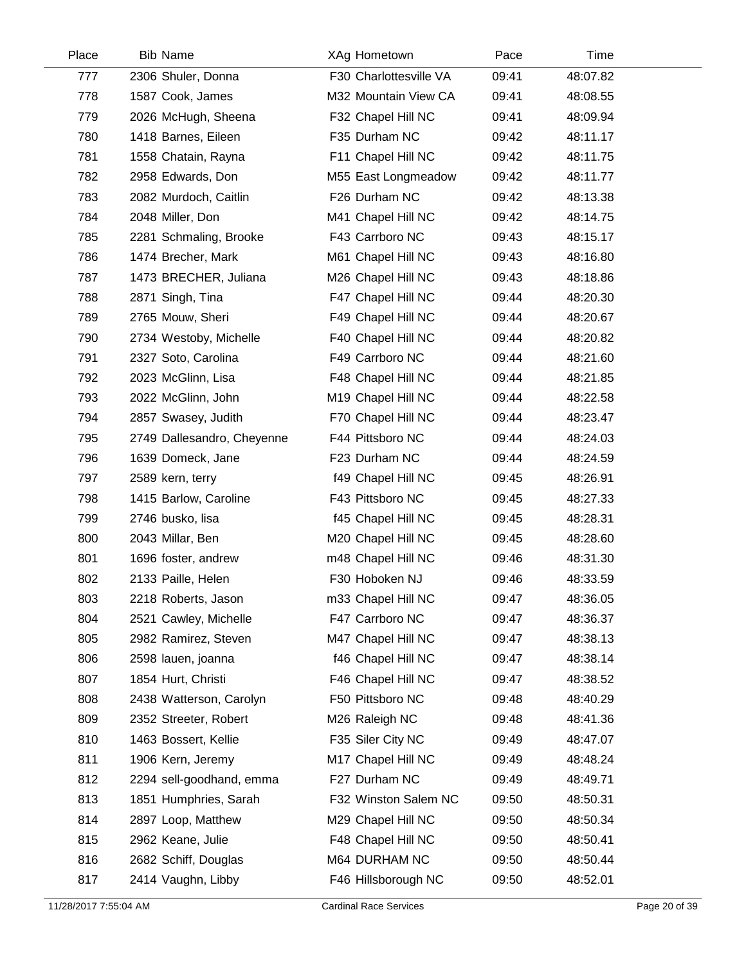| Place | <b>Bib Name</b>            | XAg Hometown           | Pace  | Time     |  |
|-------|----------------------------|------------------------|-------|----------|--|
| 777   | 2306 Shuler, Donna         | F30 Charlottesville VA | 09:41 | 48:07.82 |  |
| 778   | 1587 Cook, James           | M32 Mountain View CA   | 09:41 | 48:08.55 |  |
| 779   | 2026 McHugh, Sheena        | F32 Chapel Hill NC     | 09:41 | 48:09.94 |  |
| 780   | 1418 Barnes, Eileen        | F35 Durham NC          | 09:42 | 48:11.17 |  |
| 781   | 1558 Chatain, Rayna        | F11 Chapel Hill NC     | 09:42 | 48:11.75 |  |
| 782   | 2958 Edwards, Don          | M55 East Longmeadow    | 09:42 | 48:11.77 |  |
| 783   | 2082 Murdoch, Caitlin      | F26 Durham NC          | 09:42 | 48:13.38 |  |
| 784   | 2048 Miller, Don           | M41 Chapel Hill NC     | 09:42 | 48:14.75 |  |
| 785   | 2281 Schmaling, Brooke     | F43 Carrboro NC        | 09:43 | 48:15.17 |  |
| 786   | 1474 Brecher, Mark         | M61 Chapel Hill NC     | 09:43 | 48:16.80 |  |
| 787   | 1473 BRECHER, Juliana      | M26 Chapel Hill NC     | 09:43 | 48:18.86 |  |
| 788   | 2871 Singh, Tina           | F47 Chapel Hill NC     | 09:44 | 48:20.30 |  |
| 789   | 2765 Mouw, Sheri           | F49 Chapel Hill NC     | 09:44 | 48:20.67 |  |
| 790   | 2734 Westoby, Michelle     | F40 Chapel Hill NC     | 09:44 | 48:20.82 |  |
| 791   | 2327 Soto, Carolina        | F49 Carrboro NC        | 09:44 | 48:21.60 |  |
| 792   | 2023 McGlinn, Lisa         | F48 Chapel Hill NC     | 09:44 | 48:21.85 |  |
| 793   | 2022 McGlinn, John         | M19 Chapel Hill NC     | 09:44 | 48:22.58 |  |
| 794   | 2857 Swasey, Judith        | F70 Chapel Hill NC     | 09:44 | 48:23.47 |  |
| 795   | 2749 Dallesandro, Cheyenne | F44 Pittsboro NC       | 09:44 | 48:24.03 |  |
| 796   | 1639 Domeck, Jane          | F23 Durham NC          | 09:44 | 48:24.59 |  |
| 797   | 2589 kern, terry           | f49 Chapel Hill NC     | 09:45 | 48:26.91 |  |
| 798   | 1415 Barlow, Caroline      | F43 Pittsboro NC       | 09:45 | 48:27.33 |  |
| 799   | 2746 busko, lisa           | f45 Chapel Hill NC     | 09:45 | 48:28.31 |  |
| 800   | 2043 Millar, Ben           | M20 Chapel Hill NC     | 09:45 | 48:28.60 |  |
| 801   | 1696 foster, andrew        | m48 Chapel Hill NC     | 09:46 | 48:31.30 |  |
| 802   | 2133 Paille, Helen         | F30 Hoboken NJ         | 09:46 | 48:33.59 |  |
| 803   | 2218 Roberts, Jason        | m33 Chapel Hill NC     | 09:47 | 48:36.05 |  |
| 804   | 2521 Cawley, Michelle      | F47 Carrboro NC        | 09:47 | 48:36.37 |  |
| 805   | 2982 Ramirez, Steven       | M47 Chapel Hill NC     | 09:47 | 48:38.13 |  |
| 806   | 2598 lauen, joanna         | f46 Chapel Hill NC     | 09:47 | 48:38.14 |  |
| 807   | 1854 Hurt, Christi         | F46 Chapel Hill NC     | 09:47 | 48:38.52 |  |
| 808   | 2438 Watterson, Carolyn    | F50 Pittsboro NC       | 09:48 | 48:40.29 |  |
| 809   | 2352 Streeter, Robert      | M26 Raleigh NC         | 09:48 | 48:41.36 |  |
| 810   | 1463 Bossert, Kellie       | F35 Siler City NC      | 09:49 | 48:47.07 |  |
| 811   | 1906 Kern, Jeremy          | M17 Chapel Hill NC     | 09:49 | 48:48.24 |  |
| 812   | 2294 sell-goodhand, emma   | F27 Durham NC          | 09:49 | 48:49.71 |  |
| 813   | 1851 Humphries, Sarah      | F32 Winston Salem NC   | 09:50 | 48:50.31 |  |
| 814   | 2897 Loop, Matthew         | M29 Chapel Hill NC     | 09:50 | 48:50.34 |  |
| 815   | 2962 Keane, Julie          | F48 Chapel Hill NC     | 09:50 | 48:50.41 |  |
| 816   | 2682 Schiff, Douglas       | M64 DURHAM NC          | 09:50 | 48:50.44 |  |
| 817   | 2414 Vaughn, Libby         | F46 Hillsborough NC    | 09:50 | 48:52.01 |  |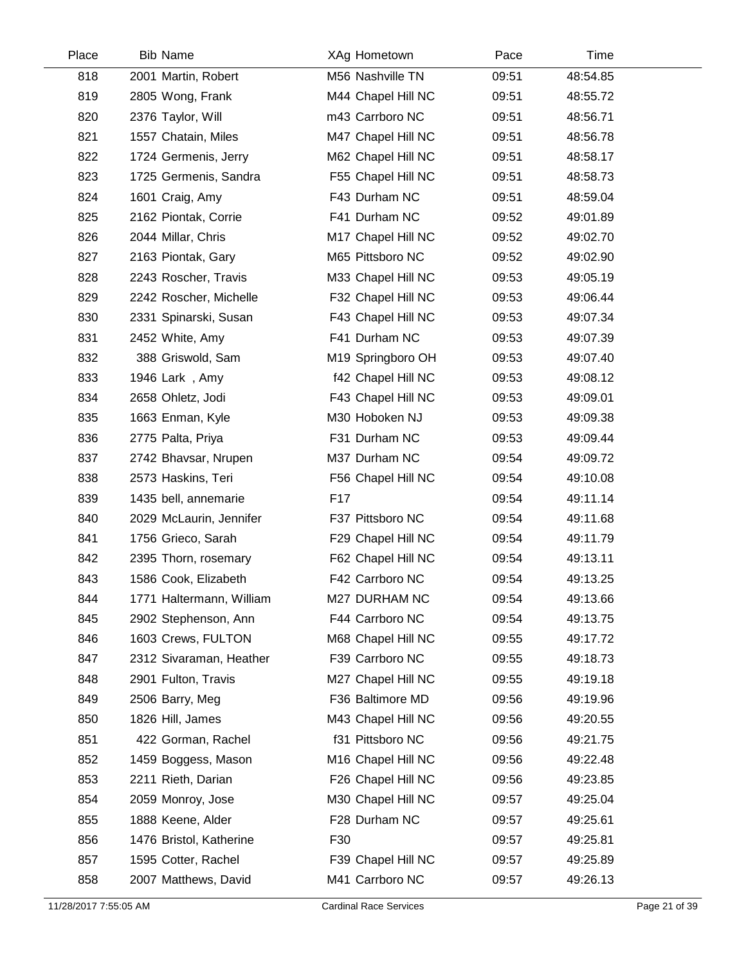| Place | <b>Bib Name</b>          | XAg Hometown       | Pace  | Time     |  |
|-------|--------------------------|--------------------|-------|----------|--|
| 818   | 2001 Martin, Robert      | M56 Nashville TN   | 09:51 | 48:54.85 |  |
| 819   | 2805 Wong, Frank         | M44 Chapel Hill NC | 09:51 | 48:55.72 |  |
| 820   | 2376 Taylor, Will        | m43 Carrboro NC    | 09:51 | 48:56.71 |  |
| 821   | 1557 Chatain, Miles      | M47 Chapel Hill NC | 09:51 | 48:56.78 |  |
| 822   | 1724 Germenis, Jerry     | M62 Chapel Hill NC | 09:51 | 48:58.17 |  |
| 823   | 1725 Germenis, Sandra    | F55 Chapel Hill NC | 09:51 | 48:58.73 |  |
| 824   | 1601 Craig, Amy          | F43 Durham NC      | 09:51 | 48:59.04 |  |
| 825   | 2162 Piontak, Corrie     | F41 Durham NC      | 09:52 | 49:01.89 |  |
| 826   | 2044 Millar, Chris       | M17 Chapel Hill NC | 09:52 | 49:02.70 |  |
| 827   | 2163 Piontak, Gary       | M65 Pittsboro NC   | 09:52 | 49:02.90 |  |
| 828   | 2243 Roscher, Travis     | M33 Chapel Hill NC | 09:53 | 49:05.19 |  |
| 829   | 2242 Roscher, Michelle   | F32 Chapel Hill NC | 09:53 | 49:06.44 |  |
| 830   | 2331 Spinarski, Susan    | F43 Chapel Hill NC | 09:53 | 49:07.34 |  |
| 831   | 2452 White, Amy          | F41 Durham NC      | 09:53 | 49:07.39 |  |
| 832   | 388 Griswold, Sam        | M19 Springboro OH  | 09:53 | 49:07.40 |  |
| 833   | 1946 Lark, Amy           | f42 Chapel Hill NC | 09:53 | 49:08.12 |  |
| 834   | 2658 Ohletz, Jodi        | F43 Chapel Hill NC | 09:53 | 49:09.01 |  |
| 835   | 1663 Enman, Kyle         | M30 Hoboken NJ     | 09:53 | 49:09.38 |  |
| 836   | 2775 Palta, Priya        | F31 Durham NC      | 09:53 | 49:09.44 |  |
| 837   | 2742 Bhavsar, Nrupen     | M37 Durham NC      | 09:54 | 49:09.72 |  |
| 838   | 2573 Haskins, Teri       | F56 Chapel Hill NC | 09:54 | 49:10.08 |  |
| 839   | 1435 bell, annemarie     | F <sub>17</sub>    | 09:54 | 49:11.14 |  |
| 840   | 2029 McLaurin, Jennifer  | F37 Pittsboro NC   | 09:54 | 49:11.68 |  |
| 841   | 1756 Grieco, Sarah       | F29 Chapel Hill NC | 09:54 | 49:11.79 |  |
| 842   | 2395 Thorn, rosemary     | F62 Chapel Hill NC | 09:54 | 49:13.11 |  |
| 843   | 1586 Cook, Elizabeth     | F42 Carrboro NC    | 09:54 | 49:13.25 |  |
| 844   | 1771 Haltermann, William | M27 DURHAM NC      | 09:54 | 49:13.66 |  |
| 845   | 2902 Stephenson, Ann     | F44 Carrboro NC    | 09:54 | 49:13.75 |  |
| 846   | 1603 Crews, FULTON       | M68 Chapel Hill NC | 09:55 | 49:17.72 |  |
| 847   | 2312 Sivaraman, Heather  | F39 Carrboro NC    | 09:55 | 49:18.73 |  |
| 848   | 2901 Fulton, Travis      | M27 Chapel Hill NC | 09:55 | 49:19.18 |  |
| 849   | 2506 Barry, Meg          | F36 Baltimore MD   | 09:56 | 49:19.96 |  |
| 850   | 1826 Hill, James         | M43 Chapel Hill NC | 09:56 | 49:20.55 |  |
| 851   | 422 Gorman, Rachel       | f31 Pittsboro NC   | 09:56 | 49:21.75 |  |
| 852   | 1459 Boggess, Mason      | M16 Chapel Hill NC | 09:56 | 49:22.48 |  |
| 853   | 2211 Rieth, Darian       | F26 Chapel Hill NC | 09:56 | 49:23.85 |  |
| 854   | 2059 Monroy, Jose        | M30 Chapel Hill NC | 09:57 | 49:25.04 |  |
| 855   | 1888 Keene, Alder        | F28 Durham NC      | 09:57 | 49:25.61 |  |
| 856   | 1476 Bristol, Katherine  | F30                | 09:57 | 49:25.81 |  |
| 857   | 1595 Cotter, Rachel      | F39 Chapel Hill NC | 09:57 | 49:25.89 |  |
| 858   | 2007 Matthews, David     | M41 Carrboro NC    | 09:57 | 49:26.13 |  |
|       |                          |                    |       |          |  |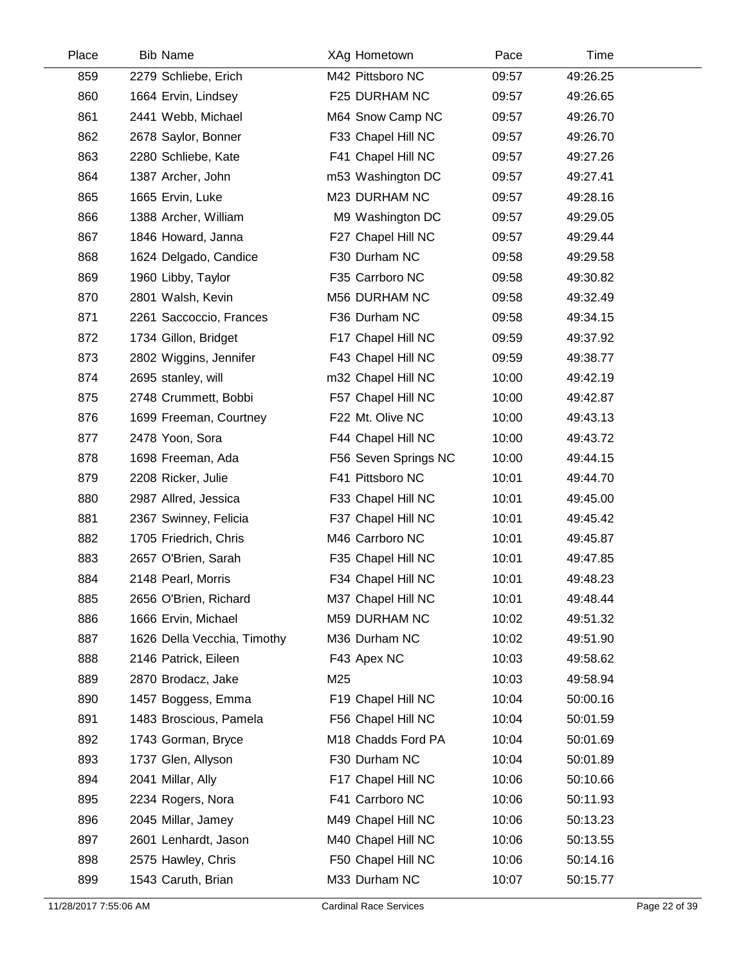| Place | <b>Bib Name</b>             | XAg Hometown         | Pace  | Time     |  |
|-------|-----------------------------|----------------------|-------|----------|--|
| 859   | 2279 Schliebe, Erich        | M42 Pittsboro NC     | 09:57 | 49:26.25 |  |
| 860   | 1664 Ervin, Lindsey         | F25 DURHAM NC        | 09:57 | 49:26.65 |  |
| 861   | 2441 Webb, Michael          | M64 Snow Camp NC     | 09:57 | 49:26.70 |  |
| 862   | 2678 Saylor, Bonner         | F33 Chapel Hill NC   | 09:57 | 49:26.70 |  |
| 863   | 2280 Schliebe, Kate         | F41 Chapel Hill NC   | 09:57 | 49:27.26 |  |
| 864   | 1387 Archer, John           | m53 Washington DC    | 09:57 | 49:27.41 |  |
| 865   | 1665 Ervin, Luke            | M23 DURHAM NC        | 09:57 | 49:28.16 |  |
| 866   | 1388 Archer, William        | M9 Washington DC     | 09:57 | 49:29.05 |  |
| 867   | 1846 Howard, Janna          | F27 Chapel Hill NC   | 09:57 | 49:29.44 |  |
| 868   | 1624 Delgado, Candice       | F30 Durham NC        | 09:58 | 49:29.58 |  |
| 869   | 1960 Libby, Taylor          | F35 Carrboro NC      | 09:58 | 49:30.82 |  |
| 870   | 2801 Walsh, Kevin           | M56 DURHAM NC        | 09:58 | 49:32.49 |  |
| 871   | 2261 Saccoccio, Frances     | F36 Durham NC        | 09:58 | 49:34.15 |  |
| 872   | 1734 Gillon, Bridget        | F17 Chapel Hill NC   | 09:59 | 49:37.92 |  |
| 873   | 2802 Wiggins, Jennifer      | F43 Chapel Hill NC   | 09:59 | 49:38.77 |  |
| 874   | 2695 stanley, will          | m32 Chapel Hill NC   | 10:00 | 49:42.19 |  |
| 875   | 2748 Crummett, Bobbi        | F57 Chapel Hill NC   | 10:00 | 49:42.87 |  |
| 876   | 1699 Freeman, Courtney      | F22 Mt. Olive NC     | 10:00 | 49:43.13 |  |
| 877   | 2478 Yoon, Sora             | F44 Chapel Hill NC   | 10:00 | 49:43.72 |  |
| 878   | 1698 Freeman, Ada           | F56 Seven Springs NC | 10:00 | 49:44.15 |  |
| 879   | 2208 Ricker, Julie          | F41 Pittsboro NC     | 10:01 | 49:44.70 |  |
| 880   | 2987 Allred, Jessica        | F33 Chapel Hill NC   | 10:01 | 49:45.00 |  |
| 881   | 2367 Swinney, Felicia       | F37 Chapel Hill NC   | 10:01 | 49:45.42 |  |
| 882   | 1705 Friedrich, Chris       | M46 Carrboro NC      | 10:01 | 49:45.87 |  |
| 883   | 2657 O'Brien, Sarah         | F35 Chapel Hill NC   | 10:01 | 49:47.85 |  |
| 884   | 2148 Pearl, Morris          | F34 Chapel Hill NC   | 10:01 | 49:48.23 |  |
| 885   | 2656 O'Brien, Richard       | M37 Chapel Hill NC   | 10:01 | 49:48.44 |  |
| 886   | 1666 Ervin, Michael         | M59 DURHAM NC        | 10:02 | 49:51.32 |  |
| 887   | 1626 Della Vecchia, Timothy | M36 Durham NC        | 10:02 | 49:51.90 |  |
| 888   | 2146 Patrick, Eileen        | F43 Apex NC          | 10:03 | 49:58.62 |  |
| 889   | 2870 Brodacz, Jake          | M25                  | 10:03 | 49:58.94 |  |
| 890   | 1457 Boggess, Emma          | F19 Chapel Hill NC   | 10:04 | 50:00.16 |  |
| 891   | 1483 Broscious, Pamela      | F56 Chapel Hill NC   | 10:04 | 50:01.59 |  |
| 892   | 1743 Gorman, Bryce          | M18 Chadds Ford PA   | 10:04 | 50:01.69 |  |
| 893   | 1737 Glen, Allyson          | F30 Durham NC        | 10:04 | 50:01.89 |  |
| 894   | 2041 Millar, Ally           | F17 Chapel Hill NC   | 10:06 | 50:10.66 |  |
| 895   | 2234 Rogers, Nora           | F41 Carrboro NC      | 10:06 | 50:11.93 |  |
| 896   | 2045 Millar, Jamey          | M49 Chapel Hill NC   | 10:06 | 50:13.23 |  |
| 897   | 2601 Lenhardt, Jason        | M40 Chapel Hill NC   | 10:06 | 50:13.55 |  |
| 898   | 2575 Hawley, Chris          | F50 Chapel Hill NC   | 10:06 | 50:14.16 |  |
| 899   | 1543 Caruth, Brian          | M33 Durham NC        | 10:07 | 50:15.77 |  |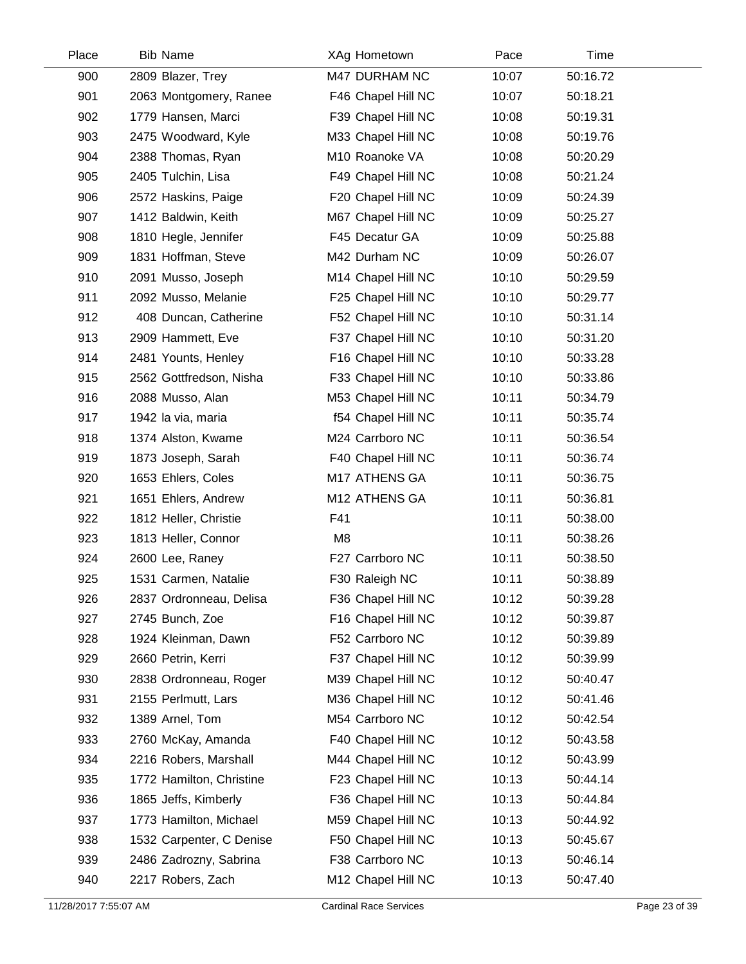| Place | <b>Bib Name</b>          | XAg Hometown       | Pace  | Time     |  |
|-------|--------------------------|--------------------|-------|----------|--|
| 900   | 2809 Blazer, Trey        | M47 DURHAM NC      | 10:07 | 50:16.72 |  |
| 901   | 2063 Montgomery, Ranee   | F46 Chapel Hill NC | 10:07 | 50:18.21 |  |
| 902   | 1779 Hansen, Marci       | F39 Chapel Hill NC | 10:08 | 50:19.31 |  |
| 903   | 2475 Woodward, Kyle      | M33 Chapel Hill NC | 10:08 | 50:19.76 |  |
| 904   | 2388 Thomas, Ryan        | M10 Roanoke VA     | 10:08 | 50:20.29 |  |
| 905   | 2405 Tulchin, Lisa       | F49 Chapel Hill NC | 10:08 | 50:21.24 |  |
| 906   | 2572 Haskins, Paige      | F20 Chapel Hill NC | 10:09 | 50:24.39 |  |
| 907   | 1412 Baldwin, Keith      | M67 Chapel Hill NC | 10:09 | 50:25.27 |  |
| 908   | 1810 Hegle, Jennifer     | F45 Decatur GA     | 10:09 | 50:25.88 |  |
| 909   | 1831 Hoffman, Steve      | M42 Durham NC      | 10:09 | 50:26.07 |  |
| 910   | 2091 Musso, Joseph       | M14 Chapel Hill NC | 10:10 | 50:29.59 |  |
| 911   | 2092 Musso, Melanie      | F25 Chapel Hill NC | 10:10 | 50:29.77 |  |
| 912   | 408 Duncan, Catherine    | F52 Chapel Hill NC | 10:10 | 50:31.14 |  |
| 913   | 2909 Hammett, Eve        | F37 Chapel Hill NC | 10:10 | 50:31.20 |  |
| 914   | 2481 Younts, Henley      | F16 Chapel Hill NC | 10:10 | 50:33.28 |  |
| 915   | 2562 Gottfredson, Nisha  | F33 Chapel Hill NC | 10:10 | 50:33.86 |  |
| 916   | 2088 Musso, Alan         | M53 Chapel Hill NC | 10:11 | 50:34.79 |  |
| 917   | 1942 la via, maria       | f54 Chapel Hill NC | 10:11 | 50:35.74 |  |
| 918   | 1374 Alston, Kwame       | M24 Carrboro NC    | 10:11 | 50:36.54 |  |
| 919   | 1873 Joseph, Sarah       | F40 Chapel Hill NC | 10:11 | 50:36.74 |  |
| 920   | 1653 Ehlers, Coles       | M17 ATHENS GA      | 10:11 | 50:36.75 |  |
| 921   | 1651 Ehlers, Andrew      | M12 ATHENS GA      | 10:11 | 50:36.81 |  |
| 922   | 1812 Heller, Christie    | F41                | 10:11 | 50:38.00 |  |
| 923   | 1813 Heller, Connor      | M <sub>8</sub>     | 10:11 | 50:38.26 |  |
| 924   | 2600 Lee, Raney          | F27 Carrboro NC    | 10:11 | 50:38.50 |  |
| 925   | 1531 Carmen, Natalie     | F30 Raleigh NC     | 10:11 | 50:38.89 |  |
| 926   | 2837 Ordronneau, Delisa  | F36 Chapel Hill NC | 10:12 | 50:39.28 |  |
| 927   | 2745 Bunch, Zoe          | F16 Chapel Hill NC | 10:12 | 50:39.87 |  |
| 928   | 1924 Kleinman, Dawn      | F52 Carrboro NC    | 10:12 | 50:39.89 |  |
| 929   | 2660 Petrin, Kerri       | F37 Chapel Hill NC | 10:12 | 50:39.99 |  |
| 930   | 2838 Ordronneau, Roger   | M39 Chapel Hill NC | 10:12 | 50:40.47 |  |
| 931   | 2155 Perlmutt, Lars      | M36 Chapel Hill NC | 10:12 | 50:41.46 |  |
| 932   | 1389 Arnel, Tom          | M54 Carrboro NC    | 10:12 | 50:42.54 |  |
| 933   | 2760 McKay, Amanda       | F40 Chapel Hill NC | 10:12 | 50:43.58 |  |
| 934   | 2216 Robers, Marshall    | M44 Chapel Hill NC | 10:12 | 50:43.99 |  |
| 935   | 1772 Hamilton, Christine | F23 Chapel Hill NC | 10:13 | 50:44.14 |  |
| 936   | 1865 Jeffs, Kimberly     | F36 Chapel Hill NC | 10:13 | 50:44.84 |  |
| 937   | 1773 Hamilton, Michael   | M59 Chapel Hill NC | 10:13 | 50:44.92 |  |
| 938   | 1532 Carpenter, C Denise | F50 Chapel Hill NC | 10:13 | 50:45.67 |  |
| 939   | 2486 Zadrozny, Sabrina   | F38 Carrboro NC    | 10:13 | 50:46.14 |  |
| 940   | 2217 Robers, Zach        | M12 Chapel Hill NC | 10:13 | 50:47.40 |  |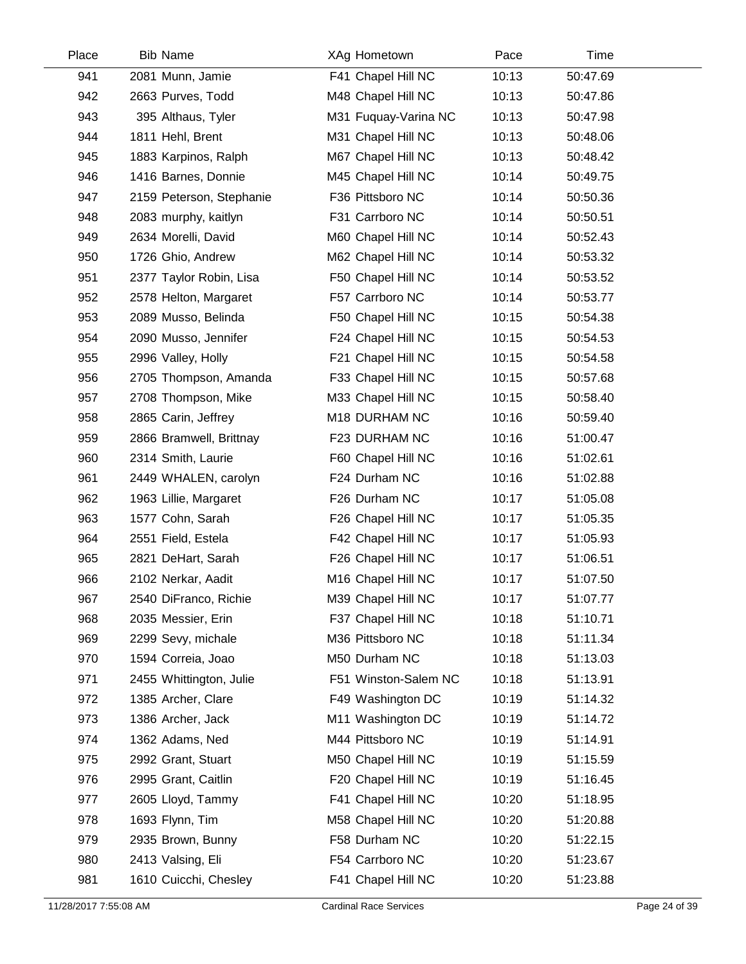| Place | <b>Bib Name</b>          | XAg Hometown         | Pace  | Time     |  |
|-------|--------------------------|----------------------|-------|----------|--|
| 941   | 2081 Munn, Jamie         | F41 Chapel Hill NC   | 10:13 | 50:47.69 |  |
| 942   | 2663 Purves, Todd        | M48 Chapel Hill NC   | 10:13 | 50:47.86 |  |
| 943   | 395 Althaus, Tyler       | M31 Fuquay-Varina NC | 10:13 | 50:47.98 |  |
| 944   | 1811 Hehl, Brent         | M31 Chapel Hill NC   | 10:13 | 50:48.06 |  |
| 945   | 1883 Karpinos, Ralph     | M67 Chapel Hill NC   | 10:13 | 50:48.42 |  |
| 946   | 1416 Barnes, Donnie      | M45 Chapel Hill NC   | 10:14 | 50:49.75 |  |
| 947   | 2159 Peterson, Stephanie | F36 Pittsboro NC     | 10:14 | 50:50.36 |  |
| 948   | 2083 murphy, kaitlyn     | F31 Carrboro NC      | 10:14 | 50:50.51 |  |
| 949   | 2634 Morelli, David      | M60 Chapel Hill NC   | 10:14 | 50:52.43 |  |
| 950   | 1726 Ghio, Andrew        | M62 Chapel Hill NC   | 10:14 | 50:53.32 |  |
| 951   | 2377 Taylor Robin, Lisa  | F50 Chapel Hill NC   | 10:14 | 50:53.52 |  |
| 952   | 2578 Helton, Margaret    | F57 Carrboro NC      | 10:14 | 50:53.77 |  |
| 953   | 2089 Musso, Belinda      | F50 Chapel Hill NC   | 10:15 | 50:54.38 |  |
| 954   | 2090 Musso, Jennifer     | F24 Chapel Hill NC   | 10:15 | 50:54.53 |  |
| 955   | 2996 Valley, Holly       | F21 Chapel Hill NC   | 10:15 | 50:54.58 |  |
| 956   | 2705 Thompson, Amanda    | F33 Chapel Hill NC   | 10:15 | 50:57.68 |  |
| 957   | 2708 Thompson, Mike      | M33 Chapel Hill NC   | 10:15 | 50:58.40 |  |
| 958   | 2865 Carin, Jeffrey      | M18 DURHAM NC        | 10:16 | 50:59.40 |  |
| 959   | 2866 Bramwell, Brittnay  | F23 DURHAM NC        | 10:16 | 51:00.47 |  |
| 960   | 2314 Smith, Laurie       | F60 Chapel Hill NC   | 10:16 | 51:02.61 |  |
| 961   | 2449 WHALEN, carolyn     | F24 Durham NC        | 10:16 | 51:02.88 |  |
| 962   | 1963 Lillie, Margaret    | F26 Durham NC        | 10:17 | 51:05.08 |  |
| 963   | 1577 Cohn, Sarah         | F26 Chapel Hill NC   | 10:17 | 51:05.35 |  |
| 964   | 2551 Field, Estela       | F42 Chapel Hill NC   | 10:17 | 51:05.93 |  |
| 965   | 2821 DeHart, Sarah       | F26 Chapel Hill NC   | 10:17 | 51:06.51 |  |
| 966   | 2102 Nerkar, Aadit       | M16 Chapel Hill NC   | 10:17 | 51:07.50 |  |
| 967   | 2540 DiFranco, Richie    | M39 Chapel Hill NC   | 10:17 | 51:07.77 |  |
| 968   | 2035 Messier, Erin       | F37 Chapel Hill NC   | 10:18 | 51:10.71 |  |
| 969   | 2299 Sevy, michale       | M36 Pittsboro NC     | 10:18 | 51:11.34 |  |
| 970   | 1594 Correia, Joao       | M50 Durham NC        | 10:18 | 51:13.03 |  |
| 971   | 2455 Whittington, Julie  | F51 Winston-Salem NC | 10:18 | 51:13.91 |  |
| 972   | 1385 Archer, Clare       | F49 Washington DC    | 10:19 | 51:14.32 |  |
| 973   | 1386 Archer, Jack        | M11 Washington DC    | 10:19 | 51:14.72 |  |
| 974   | 1362 Adams, Ned          | M44 Pittsboro NC     | 10:19 | 51:14.91 |  |
| 975   | 2992 Grant, Stuart       | M50 Chapel Hill NC   | 10:19 | 51:15.59 |  |
| 976   | 2995 Grant, Caitlin      | F20 Chapel Hill NC   | 10:19 | 51:16.45 |  |
| 977   | 2605 Lloyd, Tammy        | F41 Chapel Hill NC   | 10:20 | 51:18.95 |  |
| 978   | 1693 Flynn, Tim          | M58 Chapel Hill NC   | 10:20 | 51:20.88 |  |
| 979   | 2935 Brown, Bunny        | F58 Durham NC        | 10:20 | 51:22.15 |  |
| 980   | 2413 Valsing, Eli        | F54 Carrboro NC      | 10:20 | 51:23.67 |  |
| 981   | 1610 Cuicchi, Chesley    | F41 Chapel Hill NC   | 10:20 | 51:23.88 |  |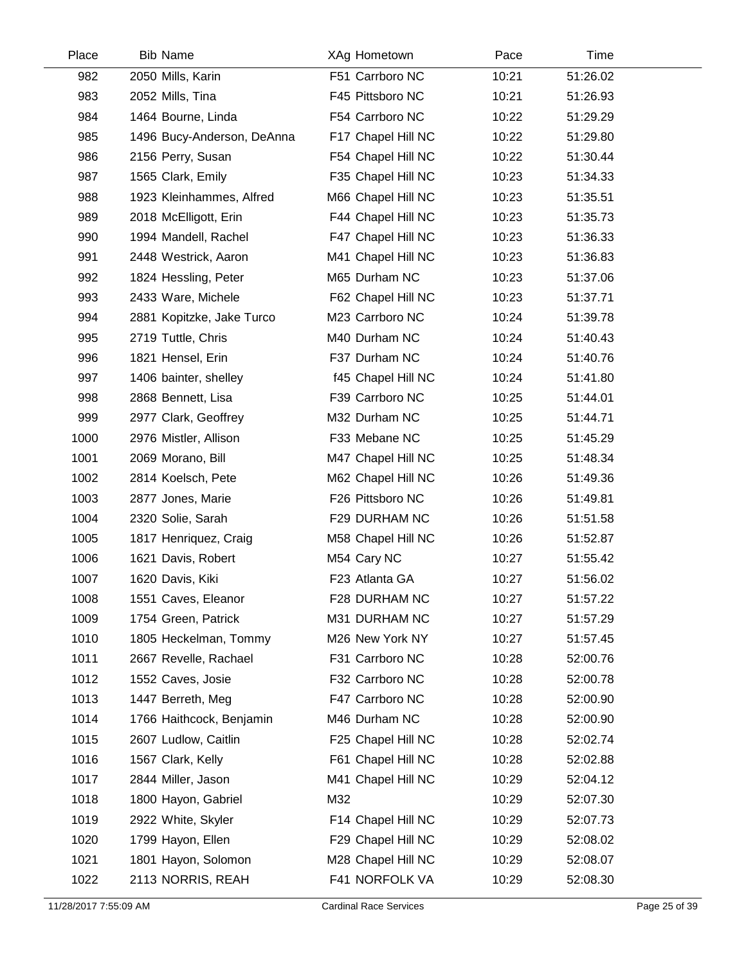| Place | <b>Bib Name</b>            | XAg Hometown       | Pace  | Time     |  |
|-------|----------------------------|--------------------|-------|----------|--|
| 982   | 2050 Mills, Karin          | F51 Carrboro NC    | 10:21 | 51:26.02 |  |
| 983   | 2052 Mills, Tina           | F45 Pittsboro NC   | 10:21 | 51:26.93 |  |
| 984   | 1464 Bourne, Linda         | F54 Carrboro NC    | 10:22 | 51:29.29 |  |
| 985   | 1496 Bucy-Anderson, DeAnna | F17 Chapel Hill NC | 10:22 | 51:29.80 |  |
| 986   | 2156 Perry, Susan          | F54 Chapel Hill NC | 10:22 | 51:30.44 |  |
| 987   | 1565 Clark, Emily          | F35 Chapel Hill NC | 10:23 | 51:34.33 |  |
| 988   | 1923 Kleinhammes, Alfred   | M66 Chapel Hill NC | 10:23 | 51:35.51 |  |
| 989   | 2018 McElligott, Erin      | F44 Chapel Hill NC | 10:23 | 51:35.73 |  |
| 990   | 1994 Mandell, Rachel       | F47 Chapel Hill NC | 10:23 | 51:36.33 |  |
| 991   | 2448 Westrick, Aaron       | M41 Chapel Hill NC | 10:23 | 51:36.83 |  |
| 992   | 1824 Hessling, Peter       | M65 Durham NC      | 10:23 | 51:37.06 |  |
| 993   | 2433 Ware, Michele         | F62 Chapel Hill NC | 10:23 | 51:37.71 |  |
| 994   | 2881 Kopitzke, Jake Turco  | M23 Carrboro NC    | 10:24 | 51:39.78 |  |
| 995   | 2719 Tuttle, Chris         | M40 Durham NC      | 10:24 | 51:40.43 |  |
| 996   | 1821 Hensel, Erin          | F37 Durham NC      | 10:24 | 51:40.76 |  |
| 997   | 1406 bainter, shelley      | f45 Chapel Hill NC | 10:24 | 51:41.80 |  |
| 998   | 2868 Bennett, Lisa         | F39 Carrboro NC    | 10:25 | 51:44.01 |  |
| 999   | 2977 Clark, Geoffrey       | M32 Durham NC      | 10:25 | 51:44.71 |  |
| 1000  | 2976 Mistler, Allison      | F33 Mebane NC      | 10:25 | 51:45.29 |  |
| 1001  | 2069 Morano, Bill          | M47 Chapel Hill NC | 10:25 | 51:48.34 |  |
| 1002  | 2814 Koelsch, Pete         | M62 Chapel Hill NC | 10:26 | 51:49.36 |  |
| 1003  | 2877 Jones, Marie          | F26 Pittsboro NC   | 10:26 | 51:49.81 |  |
| 1004  | 2320 Solie, Sarah          | F29 DURHAM NC      | 10:26 | 51:51.58 |  |
| 1005  | 1817 Henriquez, Craig      | M58 Chapel Hill NC | 10:26 | 51:52.87 |  |
| 1006  | 1621 Davis, Robert         | M54 Cary NC        | 10:27 | 51:55.42 |  |
| 1007  | 1620 Davis, Kiki           | F23 Atlanta GA     | 10:27 | 51:56.02 |  |
| 1008  | 1551 Caves, Eleanor        | F28 DURHAM NC      | 10:27 | 51:57.22 |  |
| 1009  | 1754 Green, Patrick        | M31 DURHAM NC      | 10:27 | 51:57.29 |  |
| 1010  | 1805 Heckelman, Tommy      | M26 New York NY    | 10:27 | 51:57.45 |  |
| 1011  | 2667 Revelle, Rachael      | F31 Carrboro NC    | 10:28 | 52:00.76 |  |
| 1012  | 1552 Caves, Josie          | F32 Carrboro NC    | 10:28 | 52:00.78 |  |
| 1013  | 1447 Berreth, Meg          | F47 Carrboro NC    | 10:28 | 52:00.90 |  |
| 1014  | 1766 Haithcock, Benjamin   | M46 Durham NC      | 10:28 | 52:00.90 |  |
| 1015  | 2607 Ludlow, Caitlin       | F25 Chapel Hill NC | 10:28 | 52:02.74 |  |
| 1016  | 1567 Clark, Kelly          | F61 Chapel Hill NC | 10:28 | 52:02.88 |  |
| 1017  | 2844 Miller, Jason         | M41 Chapel Hill NC | 10:29 | 52:04.12 |  |
| 1018  | 1800 Hayon, Gabriel        | M32                | 10:29 | 52:07.30 |  |
| 1019  | 2922 White, Skyler         | F14 Chapel Hill NC | 10:29 | 52:07.73 |  |
| 1020  | 1799 Hayon, Ellen          | F29 Chapel Hill NC | 10:29 | 52:08.02 |  |
| 1021  | 1801 Hayon, Solomon        | M28 Chapel Hill NC | 10:29 | 52:08.07 |  |
| 1022  | 2113 NORRIS, REAH          | F41 NORFOLK VA     | 10:29 | 52:08.30 |  |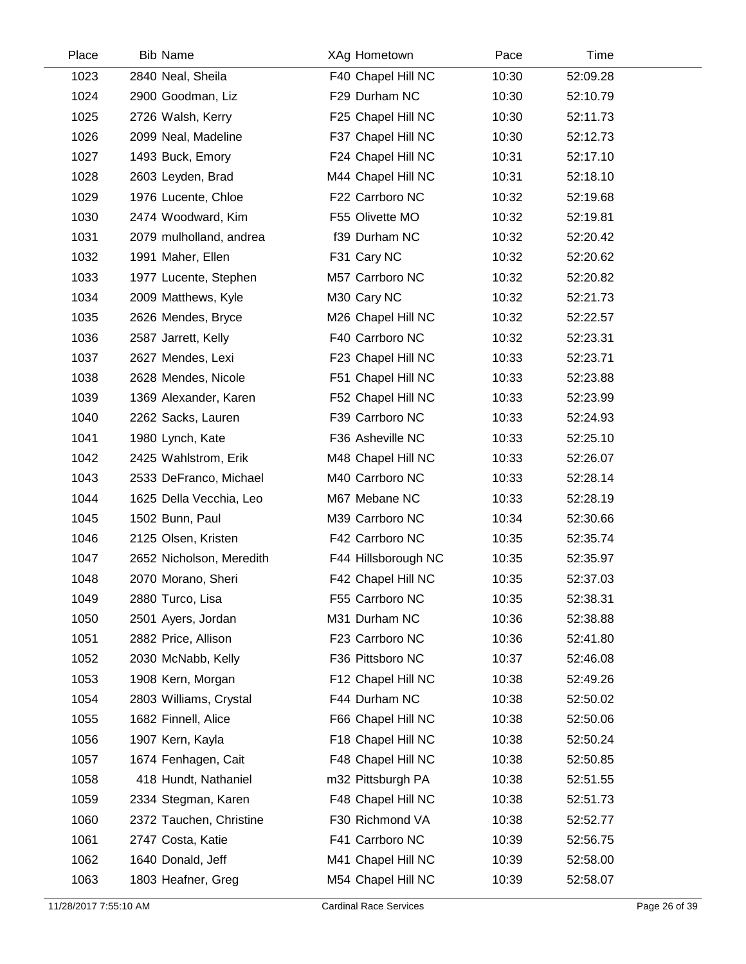| Place | <b>Bib Name</b>          | XAg Hometown        | Pace  | Time     |  |
|-------|--------------------------|---------------------|-------|----------|--|
| 1023  | 2840 Neal, Sheila        | F40 Chapel Hill NC  | 10:30 | 52:09.28 |  |
| 1024  | 2900 Goodman, Liz        | F29 Durham NC       | 10:30 | 52:10.79 |  |
| 1025  | 2726 Walsh, Kerry        | F25 Chapel Hill NC  | 10:30 | 52:11.73 |  |
| 1026  | 2099 Neal, Madeline      | F37 Chapel Hill NC  | 10:30 | 52:12.73 |  |
| 1027  | 1493 Buck, Emory         | F24 Chapel Hill NC  | 10:31 | 52:17.10 |  |
| 1028  | 2603 Leyden, Brad        | M44 Chapel Hill NC  | 10:31 | 52:18.10 |  |
| 1029  | 1976 Lucente, Chloe      | F22 Carrboro NC     | 10:32 | 52:19.68 |  |
| 1030  | 2474 Woodward, Kim       | F55 Olivette MO     | 10:32 | 52:19.81 |  |
| 1031  | 2079 mulholland, andrea  | f39 Durham NC       | 10:32 | 52:20.42 |  |
| 1032  | 1991 Maher, Ellen        | F31 Cary NC         | 10:32 | 52:20.62 |  |
| 1033  | 1977 Lucente, Stephen    | M57 Carrboro NC     | 10:32 | 52:20.82 |  |
| 1034  | 2009 Matthews, Kyle      | M30 Cary NC         | 10:32 | 52:21.73 |  |
| 1035  | 2626 Mendes, Bryce       | M26 Chapel Hill NC  | 10:32 | 52:22.57 |  |
| 1036  | 2587 Jarrett, Kelly      | F40 Carrboro NC     | 10:32 | 52:23.31 |  |
| 1037  | 2627 Mendes, Lexi        | F23 Chapel Hill NC  | 10:33 | 52:23.71 |  |
| 1038  | 2628 Mendes, Nicole      | F51 Chapel Hill NC  | 10:33 | 52:23.88 |  |
| 1039  | 1369 Alexander, Karen    | F52 Chapel Hill NC  | 10:33 | 52:23.99 |  |
| 1040  | 2262 Sacks, Lauren       | F39 Carrboro NC     | 10:33 | 52:24.93 |  |
| 1041  | 1980 Lynch, Kate         | F36 Asheville NC    | 10:33 | 52:25.10 |  |
| 1042  | 2425 Wahlstrom, Erik     | M48 Chapel Hill NC  | 10:33 | 52:26.07 |  |
| 1043  | 2533 DeFranco, Michael   | M40 Carrboro NC     | 10:33 | 52:28.14 |  |
| 1044  | 1625 Della Vecchia, Leo  | M67 Mebane NC       | 10:33 | 52:28.19 |  |
| 1045  | 1502 Bunn, Paul          | M39 Carrboro NC     | 10:34 | 52:30.66 |  |
| 1046  | 2125 Olsen, Kristen      | F42 Carrboro NC     | 10:35 | 52:35.74 |  |
| 1047  | 2652 Nicholson, Meredith | F44 Hillsborough NC | 10:35 | 52:35.97 |  |
| 1048  | 2070 Morano, Sheri       | F42 Chapel Hill NC  | 10:35 | 52:37.03 |  |
| 1049  | 2880 Turco, Lisa         | F55 Carrboro NC     | 10:35 | 52:38.31 |  |
| 1050  | 2501 Ayers, Jordan       | M31 Durham NC       | 10:36 | 52:38.88 |  |
| 1051  | 2882 Price, Allison      | F23 Carrboro NC     | 10:36 | 52:41.80 |  |
| 1052  | 2030 McNabb, Kelly       | F36 Pittsboro NC    | 10:37 | 52:46.08 |  |
| 1053  | 1908 Kern, Morgan        | F12 Chapel Hill NC  | 10:38 | 52:49.26 |  |
| 1054  | 2803 Williams, Crystal   | F44 Durham NC       | 10:38 | 52:50.02 |  |
| 1055  | 1682 Finnell, Alice      | F66 Chapel Hill NC  | 10:38 | 52:50.06 |  |
| 1056  | 1907 Kern, Kayla         | F18 Chapel Hill NC  | 10:38 | 52:50.24 |  |
| 1057  | 1674 Fenhagen, Cait      | F48 Chapel Hill NC  | 10:38 | 52:50.85 |  |
| 1058  | 418 Hundt, Nathaniel     | m32 Pittsburgh PA   | 10:38 | 52:51.55 |  |
| 1059  | 2334 Stegman, Karen      | F48 Chapel Hill NC  | 10:38 | 52:51.73 |  |
| 1060  | 2372 Tauchen, Christine  | F30 Richmond VA     | 10:38 | 52:52.77 |  |
| 1061  | 2747 Costa, Katie        | F41 Carrboro NC     | 10:39 | 52:56.75 |  |
| 1062  | 1640 Donald, Jeff        | M41 Chapel Hill NC  | 10:39 | 52:58.00 |  |
| 1063  | 1803 Heafner, Greg       | M54 Chapel Hill NC  | 10:39 | 52:58.07 |  |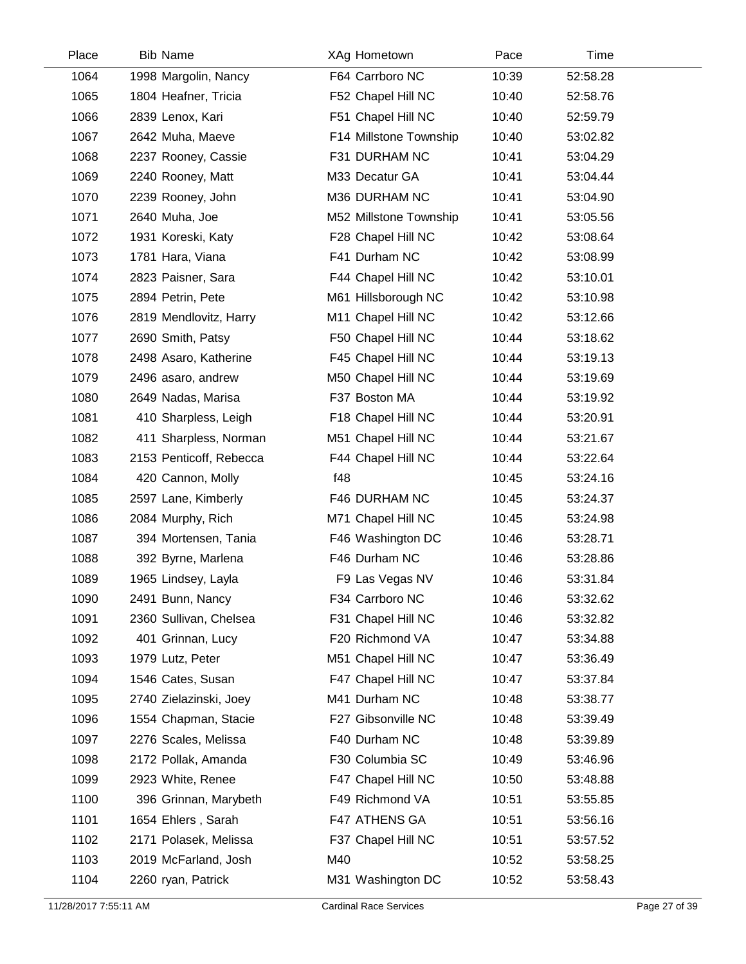| Place | <b>Bib Name</b>         | XAg Hometown           | Pace  | Time     |  |
|-------|-------------------------|------------------------|-------|----------|--|
| 1064  | 1998 Margolin, Nancy    | F64 Carrboro NC        | 10:39 | 52:58.28 |  |
| 1065  | 1804 Heafner, Tricia    | F52 Chapel Hill NC     | 10:40 | 52:58.76 |  |
| 1066  | 2839 Lenox, Kari        | F51 Chapel Hill NC     | 10:40 | 52:59.79 |  |
| 1067  | 2642 Muha, Maeve        | F14 Millstone Township | 10:40 | 53:02.82 |  |
| 1068  | 2237 Rooney, Cassie     | F31 DURHAM NC          | 10:41 | 53:04.29 |  |
| 1069  | 2240 Rooney, Matt       | M33 Decatur GA         | 10:41 | 53:04.44 |  |
| 1070  | 2239 Rooney, John       | M36 DURHAM NC          | 10:41 | 53:04.90 |  |
| 1071  | 2640 Muha, Joe          | M52 Millstone Township | 10:41 | 53:05.56 |  |
| 1072  | 1931 Koreski, Katy      | F28 Chapel Hill NC     | 10:42 | 53:08.64 |  |
| 1073  | 1781 Hara, Viana        | F41 Durham NC          | 10:42 | 53:08.99 |  |
| 1074  | 2823 Paisner, Sara      | F44 Chapel Hill NC     | 10:42 | 53:10.01 |  |
| 1075  | 2894 Petrin, Pete       | M61 Hillsborough NC    | 10:42 | 53:10.98 |  |
| 1076  | 2819 Mendlovitz, Harry  | M11 Chapel Hill NC     | 10:42 | 53:12.66 |  |
| 1077  | 2690 Smith, Patsy       | F50 Chapel Hill NC     | 10:44 | 53:18.62 |  |
| 1078  | 2498 Asaro, Katherine   | F45 Chapel Hill NC     | 10:44 | 53:19.13 |  |
| 1079  | 2496 asaro, andrew      | M50 Chapel Hill NC     | 10:44 | 53:19.69 |  |
| 1080  | 2649 Nadas, Marisa      | F37 Boston MA          | 10:44 | 53:19.92 |  |
| 1081  | 410 Sharpless, Leigh    | F18 Chapel Hill NC     | 10:44 | 53:20.91 |  |
| 1082  | 411 Sharpless, Norman   | M51 Chapel Hill NC     | 10:44 | 53:21.67 |  |
| 1083  | 2153 Penticoff, Rebecca | F44 Chapel Hill NC     | 10:44 | 53:22.64 |  |
| 1084  | 420 Cannon, Molly       | f48                    | 10:45 | 53:24.16 |  |
| 1085  | 2597 Lane, Kimberly     | F46 DURHAM NC          | 10:45 | 53:24.37 |  |
| 1086  | 2084 Murphy, Rich       | M71 Chapel Hill NC     | 10:45 | 53:24.98 |  |
| 1087  | 394 Mortensen, Tania    | F46 Washington DC      | 10:46 | 53:28.71 |  |
| 1088  | 392 Byrne, Marlena      | F46 Durham NC          | 10:46 | 53:28.86 |  |
| 1089  | 1965 Lindsey, Layla     | F9 Las Vegas NV        | 10:46 | 53:31.84 |  |
| 1090  | 2491 Bunn, Nancy        | F34 Carrboro NC        | 10:46 | 53:32.62 |  |
| 1091  | 2360 Sullivan, Chelsea  | F31 Chapel Hill NC     | 10:46 | 53:32.82 |  |
| 1092  | 401 Grinnan, Lucy       | F20 Richmond VA        | 10:47 | 53:34.88 |  |
| 1093  | 1979 Lutz, Peter        | M51 Chapel Hill NC     | 10:47 | 53:36.49 |  |
| 1094  | 1546 Cates, Susan       | F47 Chapel Hill NC     | 10:47 | 53:37.84 |  |
| 1095  | 2740 Zielazinski, Joey  | M41 Durham NC          | 10:48 | 53:38.77 |  |
| 1096  | 1554 Chapman, Stacie    | F27 Gibsonville NC     | 10:48 | 53:39.49 |  |
| 1097  | 2276 Scales, Melissa    | F40 Durham NC          | 10:48 | 53:39.89 |  |
| 1098  | 2172 Pollak, Amanda     | F30 Columbia SC        | 10:49 | 53:46.96 |  |
| 1099  | 2923 White, Renee       | F47 Chapel Hill NC     | 10:50 | 53:48.88 |  |
| 1100  | 396 Grinnan, Marybeth   | F49 Richmond VA        | 10:51 | 53:55.85 |  |
| 1101  | 1654 Ehlers, Sarah      | F47 ATHENS GA          | 10:51 | 53:56.16 |  |
| 1102  | 2171 Polasek, Melissa   | F37 Chapel Hill NC     | 10:51 | 53:57.52 |  |
| 1103  | 2019 McFarland, Josh    | M40                    | 10:52 | 53:58.25 |  |
| 1104  | 2260 ryan, Patrick      | M31 Washington DC      | 10:52 | 53:58.43 |  |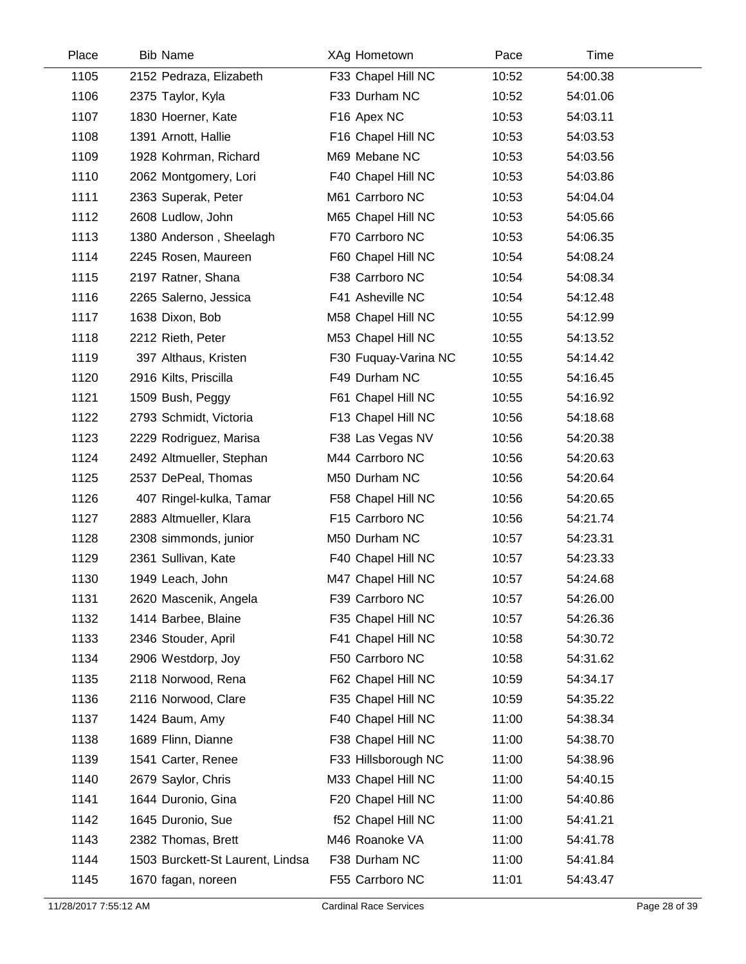| Place | <b>Bib Name</b>                  | XAg Hometown         | Pace  | Time     |  |
|-------|----------------------------------|----------------------|-------|----------|--|
| 1105  | 2152 Pedraza, Elizabeth          | F33 Chapel Hill NC   | 10:52 | 54:00.38 |  |
| 1106  | 2375 Taylor, Kyla                | F33 Durham NC        | 10:52 | 54:01.06 |  |
| 1107  | 1830 Hoerner, Kate               | F16 Apex NC          | 10:53 | 54:03.11 |  |
| 1108  | 1391 Arnott, Hallie              | F16 Chapel Hill NC   | 10:53 | 54:03.53 |  |
| 1109  | 1928 Kohrman, Richard            | M69 Mebane NC        | 10:53 | 54:03.56 |  |
| 1110  | 2062 Montgomery, Lori            | F40 Chapel Hill NC   | 10:53 | 54:03.86 |  |
| 1111  | 2363 Superak, Peter              | M61 Carrboro NC      | 10:53 | 54:04.04 |  |
| 1112  | 2608 Ludlow, John                | M65 Chapel Hill NC   | 10:53 | 54:05.66 |  |
| 1113  | 1380 Anderson, Sheelagh          | F70 Carrboro NC      | 10:53 | 54:06.35 |  |
| 1114  | 2245 Rosen, Maureen              | F60 Chapel Hill NC   | 10:54 | 54:08.24 |  |
| 1115  | 2197 Ratner, Shana               | F38 Carrboro NC      | 10:54 | 54:08.34 |  |
| 1116  | 2265 Salerno, Jessica            | F41 Asheville NC     | 10:54 | 54:12.48 |  |
| 1117  | 1638 Dixon, Bob                  | M58 Chapel Hill NC   | 10:55 | 54:12.99 |  |
| 1118  | 2212 Rieth, Peter                | M53 Chapel Hill NC   | 10:55 | 54:13.52 |  |
| 1119  | 397 Althaus, Kristen             | F30 Fuguay-Varina NC | 10:55 | 54:14.42 |  |
| 1120  | 2916 Kilts, Priscilla            | F49 Durham NC        | 10:55 | 54:16.45 |  |
| 1121  | 1509 Bush, Peggy                 | F61 Chapel Hill NC   | 10:55 | 54:16.92 |  |
| 1122  | 2793 Schmidt, Victoria           | F13 Chapel Hill NC   | 10:56 | 54:18.68 |  |
| 1123  | 2229 Rodriguez, Marisa           | F38 Las Vegas NV     | 10:56 | 54:20.38 |  |
| 1124  | 2492 Altmueller, Stephan         | M44 Carrboro NC      | 10:56 | 54:20.63 |  |
| 1125  | 2537 DePeal, Thomas              | M50 Durham NC        | 10:56 | 54:20.64 |  |
| 1126  | 407 Ringel-kulka, Tamar          | F58 Chapel Hill NC   | 10:56 | 54:20.65 |  |
| 1127  | 2883 Altmueller, Klara           | F15 Carrboro NC      | 10:56 | 54:21.74 |  |
| 1128  | 2308 simmonds, junior            | M50 Durham NC        | 10:57 | 54:23.31 |  |
| 1129  | 2361 Sullivan, Kate              | F40 Chapel Hill NC   | 10:57 | 54:23.33 |  |
| 1130  | 1949 Leach, John                 | M47 Chapel Hill NC   | 10:57 | 54:24.68 |  |
| 1131  | 2620 Mascenik, Angela            | F39 Carrboro NC      | 10:57 | 54:26.00 |  |
| 1132  | 1414 Barbee, Blaine              | F35 Chapel Hill NC   | 10:57 | 54:26.36 |  |
| 1133  | 2346 Stouder, April              | F41 Chapel Hill NC   | 10:58 | 54:30.72 |  |
| 1134  | 2906 Westdorp, Joy               | F50 Carrboro NC      | 10:58 | 54:31.62 |  |
| 1135  | 2118 Norwood, Rena               | F62 Chapel Hill NC   | 10:59 | 54:34.17 |  |
| 1136  | 2116 Norwood, Clare              | F35 Chapel Hill NC   | 10:59 | 54:35.22 |  |
| 1137  | 1424 Baum, Amy                   | F40 Chapel Hill NC   | 11:00 | 54:38.34 |  |
| 1138  | 1689 Flinn, Dianne               | F38 Chapel Hill NC   | 11:00 | 54:38.70 |  |
| 1139  | 1541 Carter, Renee               | F33 Hillsborough NC  | 11:00 | 54:38.96 |  |
| 1140  | 2679 Saylor, Chris               | M33 Chapel Hill NC   | 11:00 | 54:40.15 |  |
| 1141  | 1644 Duronio, Gina               | F20 Chapel Hill NC   | 11:00 | 54:40.86 |  |
| 1142  | 1645 Duronio, Sue                | f52 Chapel Hill NC   | 11:00 | 54:41.21 |  |
| 1143  | 2382 Thomas, Brett               | M46 Roanoke VA       | 11:00 | 54:41.78 |  |
| 1144  | 1503 Burckett-St Laurent, Lindsa | F38 Durham NC        | 11:00 | 54:41.84 |  |
| 1145  | 1670 fagan, noreen               | F55 Carrboro NC      | 11:01 | 54:43.47 |  |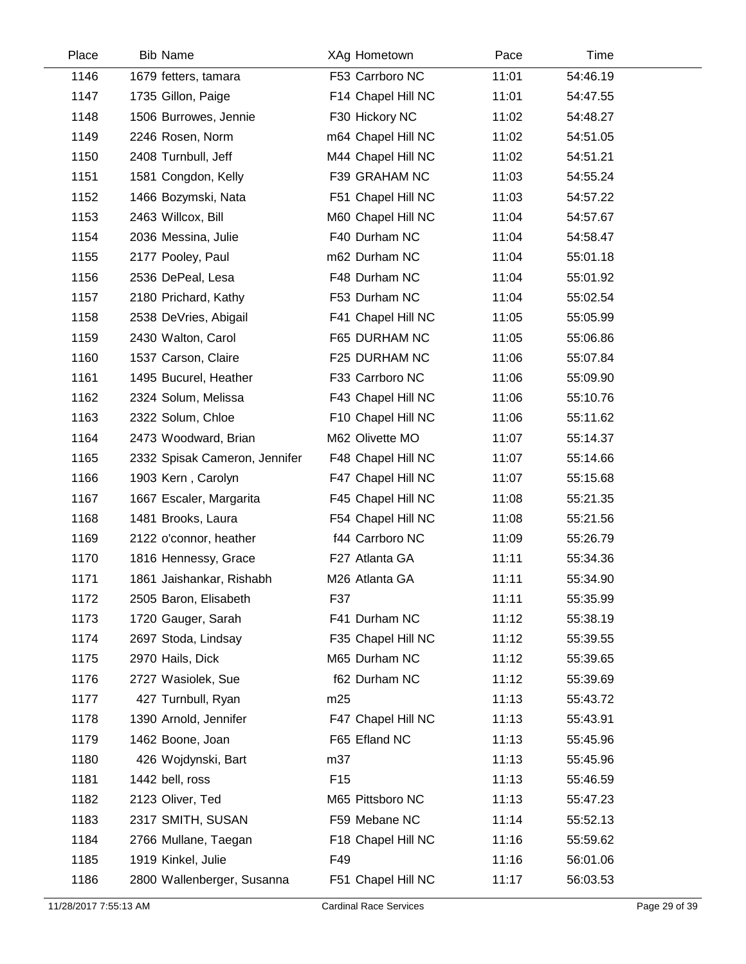| Place | <b>Bib Name</b>               | XAg Hometown       | Pace  | Time     |  |
|-------|-------------------------------|--------------------|-------|----------|--|
| 1146  | 1679 fetters, tamara          | F53 Carrboro NC    | 11:01 | 54:46.19 |  |
| 1147  | 1735 Gillon, Paige            | F14 Chapel Hill NC | 11:01 | 54:47.55 |  |
| 1148  | 1506 Burrowes, Jennie         | F30 Hickory NC     | 11:02 | 54:48.27 |  |
| 1149  | 2246 Rosen, Norm              | m64 Chapel Hill NC | 11:02 | 54:51.05 |  |
| 1150  | 2408 Turnbull, Jeff           | M44 Chapel Hill NC | 11:02 | 54:51.21 |  |
| 1151  | 1581 Congdon, Kelly           | F39 GRAHAM NC      | 11:03 | 54:55.24 |  |
| 1152  | 1466 Bozymski, Nata           | F51 Chapel Hill NC | 11:03 | 54:57.22 |  |
| 1153  | 2463 Willcox, Bill            | M60 Chapel Hill NC | 11:04 | 54:57.67 |  |
| 1154  | 2036 Messina, Julie           | F40 Durham NC      | 11:04 | 54:58.47 |  |
| 1155  | 2177 Pooley, Paul             | m62 Durham NC      | 11:04 | 55:01.18 |  |
| 1156  | 2536 DePeal, Lesa             | F48 Durham NC      | 11:04 | 55:01.92 |  |
| 1157  | 2180 Prichard, Kathy          | F53 Durham NC      | 11:04 | 55:02.54 |  |
| 1158  | 2538 DeVries, Abigail         | F41 Chapel Hill NC | 11:05 | 55:05.99 |  |
| 1159  | 2430 Walton, Carol            | F65 DURHAM NC      | 11:05 | 55:06.86 |  |
| 1160  | 1537 Carson, Claire           | F25 DURHAM NC      | 11:06 | 55:07.84 |  |
| 1161  | 1495 Bucurel, Heather         | F33 Carrboro NC    | 11:06 | 55:09.90 |  |
| 1162  | 2324 Solum, Melissa           | F43 Chapel Hill NC | 11:06 | 55:10.76 |  |
| 1163  | 2322 Solum, Chloe             | F10 Chapel Hill NC | 11:06 | 55:11.62 |  |
| 1164  | 2473 Woodward, Brian          | M62 Olivette MO    | 11:07 | 55:14.37 |  |
| 1165  | 2332 Spisak Cameron, Jennifer | F48 Chapel Hill NC | 11:07 | 55:14.66 |  |
| 1166  | 1903 Kern, Carolyn            | F47 Chapel Hill NC | 11:07 | 55:15.68 |  |
| 1167  | 1667 Escaler, Margarita       | F45 Chapel Hill NC | 11:08 | 55:21.35 |  |
| 1168  | 1481 Brooks, Laura            | F54 Chapel Hill NC | 11:08 | 55:21.56 |  |
| 1169  | 2122 o'connor, heather        | f44 Carrboro NC    | 11:09 | 55:26.79 |  |
| 1170  | 1816 Hennessy, Grace          | F27 Atlanta GA     | 11:11 | 55:34.36 |  |
| 1171  | 1861 Jaishankar, Rishabh      | M26 Atlanta GA     | 11:11 | 55:34.90 |  |
| 1172  | 2505 Baron, Elisabeth         | F37                | 11:11 | 55:35.99 |  |
| 1173  | 1720 Gauger, Sarah            | F41 Durham NC      | 11:12 | 55:38.19 |  |
| 1174  | 2697 Stoda, Lindsay           | F35 Chapel Hill NC | 11:12 | 55:39.55 |  |
| 1175  | 2970 Hails, Dick              | M65 Durham NC      | 11:12 | 55:39.65 |  |
| 1176  | 2727 Wasiolek, Sue            | f62 Durham NC      | 11:12 | 55:39.69 |  |
| 1177  | 427 Turnbull, Ryan            | m25                | 11:13 | 55:43.72 |  |
| 1178  | 1390 Arnold, Jennifer         | F47 Chapel Hill NC | 11:13 | 55:43.91 |  |
| 1179  | 1462 Boone, Joan              | F65 Efland NC      | 11:13 | 55:45.96 |  |
| 1180  | 426 Wojdynski, Bart           | m37                | 11:13 | 55:45.96 |  |
| 1181  | 1442 bell, ross               | F <sub>15</sub>    | 11:13 | 55:46.59 |  |
| 1182  | 2123 Oliver, Ted              | M65 Pittsboro NC   | 11:13 | 55:47.23 |  |
| 1183  | 2317 SMITH, SUSAN             | F59 Mebane NC      | 11:14 | 55:52.13 |  |
| 1184  | 2766 Mullane, Taegan          | F18 Chapel Hill NC | 11:16 | 55:59.62 |  |
| 1185  | 1919 Kinkel, Julie            | F49                | 11:16 | 56:01.06 |  |
| 1186  | 2800 Wallenberger, Susanna    | F51 Chapel Hill NC | 11:17 | 56:03.53 |  |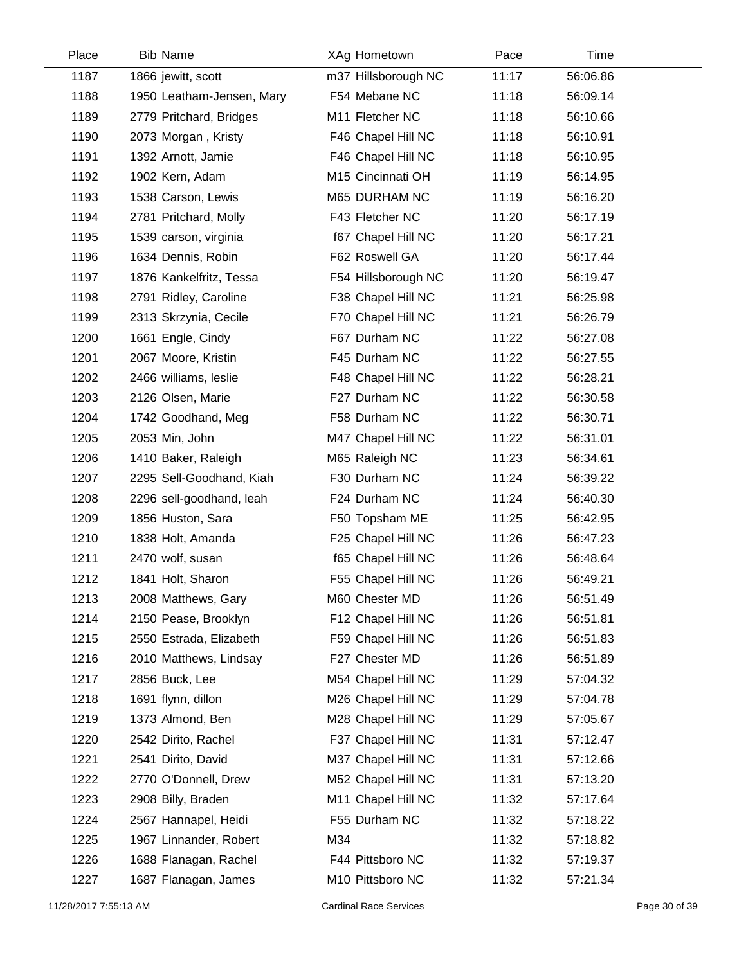| Place | <b>Bib Name</b>           | XAg Hometown        | Pace  | Time     |  |
|-------|---------------------------|---------------------|-------|----------|--|
| 1187  | 1866 jewitt, scott        | m37 Hillsborough NC | 11:17 | 56:06.86 |  |
| 1188  | 1950 Leatham-Jensen, Mary | F54 Mebane NC       | 11:18 | 56:09.14 |  |
| 1189  | 2779 Pritchard, Bridges   | M11 Fletcher NC     | 11:18 | 56:10.66 |  |
| 1190  | 2073 Morgan, Kristy       | F46 Chapel Hill NC  | 11:18 | 56:10.91 |  |
| 1191  | 1392 Arnott, Jamie        | F46 Chapel Hill NC  | 11:18 | 56:10.95 |  |
| 1192  | 1902 Kern, Adam           | M15 Cincinnati OH   | 11:19 | 56:14.95 |  |
| 1193  | 1538 Carson, Lewis        | M65 DURHAM NC       | 11:19 | 56:16.20 |  |
| 1194  | 2781 Pritchard, Molly     | F43 Fletcher NC     | 11:20 | 56:17.19 |  |
| 1195  | 1539 carson, virginia     | f67 Chapel Hill NC  | 11:20 | 56:17.21 |  |
| 1196  | 1634 Dennis, Robin        | F62 Roswell GA      | 11:20 | 56:17.44 |  |
| 1197  | 1876 Kankelfritz, Tessa   | F54 Hillsborough NC | 11:20 | 56:19.47 |  |
| 1198  | 2791 Ridley, Caroline     | F38 Chapel Hill NC  | 11:21 | 56:25.98 |  |
| 1199  | 2313 Skrzynia, Cecile     | F70 Chapel Hill NC  | 11:21 | 56:26.79 |  |
| 1200  | 1661 Engle, Cindy         | F67 Durham NC       | 11:22 | 56:27.08 |  |
| 1201  | 2067 Moore, Kristin       | F45 Durham NC       | 11:22 | 56:27.55 |  |
| 1202  | 2466 williams, leslie     | F48 Chapel Hill NC  | 11:22 | 56:28.21 |  |
| 1203  | 2126 Olsen, Marie         | F27 Durham NC       | 11:22 | 56:30.58 |  |
| 1204  | 1742 Goodhand, Meg        | F58 Durham NC       | 11:22 | 56:30.71 |  |
| 1205  | 2053 Min, John            | M47 Chapel Hill NC  | 11:22 | 56:31.01 |  |
| 1206  | 1410 Baker, Raleigh       | M65 Raleigh NC      | 11:23 | 56:34.61 |  |
| 1207  | 2295 Sell-Goodhand, Kiah  | F30 Durham NC       | 11:24 | 56:39.22 |  |
| 1208  | 2296 sell-goodhand, leah  | F24 Durham NC       | 11:24 | 56:40.30 |  |
| 1209  | 1856 Huston, Sara         | F50 Topsham ME      | 11:25 | 56:42.95 |  |
| 1210  | 1838 Holt, Amanda         | F25 Chapel Hill NC  | 11:26 | 56:47.23 |  |
| 1211  | 2470 wolf, susan          | f65 Chapel Hill NC  | 11:26 | 56:48.64 |  |
| 1212  | 1841 Holt, Sharon         | F55 Chapel Hill NC  | 11:26 | 56:49.21 |  |
| 1213  | 2008 Matthews, Gary       | M60 Chester MD      | 11:26 | 56:51.49 |  |
| 1214  | 2150 Pease, Brooklyn      | F12 Chapel Hill NC  | 11:26 | 56:51.81 |  |
| 1215  | 2550 Estrada, Elizabeth   | F59 Chapel Hill NC  | 11:26 | 56:51.83 |  |
| 1216  | 2010 Matthews, Lindsay    | F27 Chester MD      | 11:26 | 56:51.89 |  |
| 1217  | 2856 Buck, Lee            | M54 Chapel Hill NC  | 11:29 | 57:04.32 |  |
| 1218  | 1691 flynn, dillon        | M26 Chapel Hill NC  | 11:29 | 57:04.78 |  |
| 1219  | 1373 Almond, Ben          | M28 Chapel Hill NC  | 11:29 | 57:05.67 |  |
| 1220  | 2542 Dirito, Rachel       | F37 Chapel Hill NC  | 11:31 | 57:12.47 |  |
| 1221  | 2541 Dirito, David        | M37 Chapel Hill NC  | 11:31 | 57:12.66 |  |
| 1222  | 2770 O'Donnell, Drew      | M52 Chapel Hill NC  | 11:31 | 57:13.20 |  |
| 1223  | 2908 Billy, Braden        | M11 Chapel Hill NC  | 11:32 | 57:17.64 |  |
| 1224  | 2567 Hannapel, Heidi      | F55 Durham NC       | 11:32 | 57:18.22 |  |
| 1225  | 1967 Linnander, Robert    | M34                 | 11:32 | 57:18.82 |  |
| 1226  | 1688 Flanagan, Rachel     | F44 Pittsboro NC    | 11:32 | 57:19.37 |  |
| 1227  | 1687 Flanagan, James      | M10 Pittsboro NC    | 11:32 | 57:21.34 |  |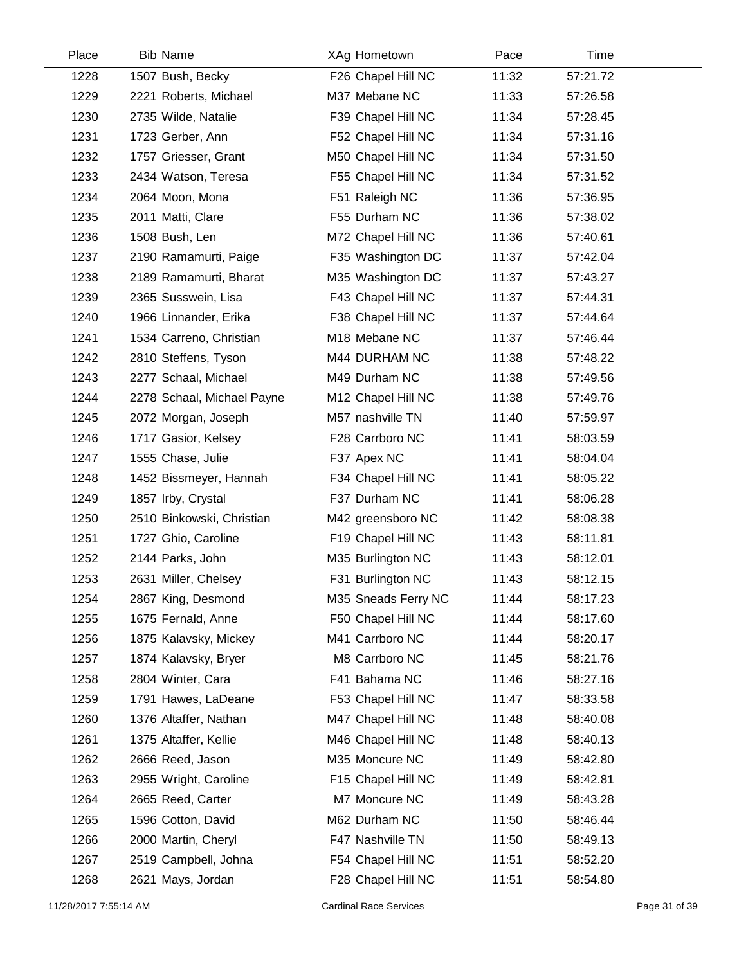| Place | <b>Bib Name</b>            | XAg Hometown        | Pace  | Time     |  |
|-------|----------------------------|---------------------|-------|----------|--|
| 1228  | 1507 Bush, Becky           | F26 Chapel Hill NC  | 11:32 | 57:21.72 |  |
| 1229  | 2221 Roberts, Michael      | M37 Mebane NC       | 11:33 | 57:26.58 |  |
| 1230  | 2735 Wilde, Natalie        | F39 Chapel Hill NC  | 11:34 | 57:28.45 |  |
| 1231  | 1723 Gerber, Ann           | F52 Chapel Hill NC  | 11:34 | 57:31.16 |  |
| 1232  | 1757 Griesser, Grant       | M50 Chapel Hill NC  | 11:34 | 57:31.50 |  |
| 1233  | 2434 Watson, Teresa        | F55 Chapel Hill NC  | 11:34 | 57:31.52 |  |
| 1234  | 2064 Moon, Mona            | F51 Raleigh NC      | 11:36 | 57:36.95 |  |
| 1235  | 2011 Matti, Clare          | F55 Durham NC       | 11:36 | 57:38.02 |  |
| 1236  | 1508 Bush, Len             | M72 Chapel Hill NC  | 11:36 | 57:40.61 |  |
| 1237  | 2190 Ramamurti, Paige      | F35 Washington DC   | 11:37 | 57:42.04 |  |
| 1238  | 2189 Ramamurti, Bharat     | M35 Washington DC   | 11:37 | 57:43.27 |  |
| 1239  | 2365 Susswein, Lisa        | F43 Chapel Hill NC  | 11:37 | 57:44.31 |  |
| 1240  | 1966 Linnander, Erika      | F38 Chapel Hill NC  | 11:37 | 57:44.64 |  |
| 1241  | 1534 Carreno, Christian    | M18 Mebane NC       | 11:37 | 57:46.44 |  |
| 1242  | 2810 Steffens, Tyson       | M44 DURHAM NC       | 11:38 | 57:48.22 |  |
| 1243  | 2277 Schaal, Michael       | M49 Durham NC       | 11:38 | 57:49.56 |  |
| 1244  | 2278 Schaal, Michael Payne | M12 Chapel Hill NC  | 11:38 | 57:49.76 |  |
| 1245  | 2072 Morgan, Joseph        | M57 nashville TN    | 11:40 | 57:59.97 |  |
| 1246  | 1717 Gasior, Kelsey        | F28 Carrboro NC     | 11:41 | 58:03.59 |  |
| 1247  | 1555 Chase, Julie          | F37 Apex NC         | 11:41 | 58:04.04 |  |
| 1248  | 1452 Bissmeyer, Hannah     | F34 Chapel Hill NC  | 11:41 | 58:05.22 |  |
| 1249  | 1857 Irby, Crystal         | F37 Durham NC       | 11:41 | 58:06.28 |  |
| 1250  | 2510 Binkowski, Christian  | M42 greensboro NC   | 11:42 | 58:08.38 |  |
| 1251  | 1727 Ghio, Caroline        | F19 Chapel Hill NC  | 11:43 | 58:11.81 |  |
| 1252  | 2144 Parks, John           | M35 Burlington NC   | 11:43 | 58:12.01 |  |
| 1253  | 2631 Miller, Chelsey       | F31 Burlington NC   | 11:43 | 58:12.15 |  |
| 1254  | 2867 King, Desmond         | M35 Sneads Ferry NC | 11:44 | 58:17.23 |  |
| 1255  | 1675 Fernald, Anne         | F50 Chapel Hill NC  | 11:44 | 58:17.60 |  |
| 1256  | 1875 Kalavsky, Mickey      | M41 Carrboro NC     | 11:44 | 58:20.17 |  |
| 1257  | 1874 Kalavsky, Bryer       | M8 Carrboro NC      | 11:45 | 58:21.76 |  |
| 1258  | 2804 Winter, Cara          | F41 Bahama NC       | 11:46 | 58:27.16 |  |
| 1259  | 1791 Hawes, LaDeane        | F53 Chapel Hill NC  | 11:47 | 58:33.58 |  |
| 1260  | 1376 Altaffer, Nathan      | M47 Chapel Hill NC  | 11:48 | 58:40.08 |  |
| 1261  | 1375 Altaffer, Kellie      | M46 Chapel Hill NC  | 11:48 | 58:40.13 |  |
| 1262  | 2666 Reed, Jason           | M35 Moncure NC      | 11:49 | 58:42.80 |  |
| 1263  | 2955 Wright, Caroline      | F15 Chapel Hill NC  | 11:49 | 58:42.81 |  |
| 1264  | 2665 Reed, Carter          | M7 Moncure NC       | 11:49 | 58:43.28 |  |
| 1265  | 1596 Cotton, David         | M62 Durham NC       | 11:50 | 58:46.44 |  |
| 1266  | 2000 Martin, Cheryl        | F47 Nashville TN    | 11:50 | 58:49.13 |  |
| 1267  | 2519 Campbell, Johna       | F54 Chapel Hill NC  | 11:51 | 58:52.20 |  |
| 1268  | 2621 Mays, Jordan          | F28 Chapel Hill NC  | 11:51 | 58:54.80 |  |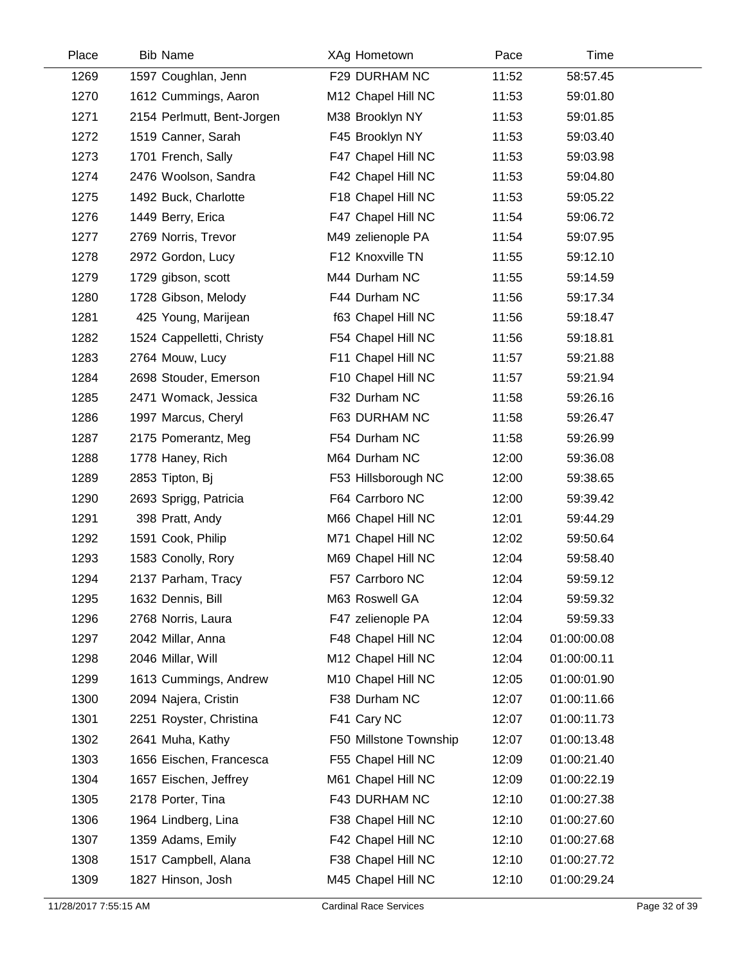| Place | <b>Bib Name</b>            | XAg Hometown           | Pace  | Time        |  |
|-------|----------------------------|------------------------|-------|-------------|--|
| 1269  | 1597 Coughlan, Jenn        | F29 DURHAM NC          | 11:52 | 58:57.45    |  |
| 1270  | 1612 Cummings, Aaron       | M12 Chapel Hill NC     | 11:53 | 59:01.80    |  |
| 1271  | 2154 Perlmutt, Bent-Jorgen | M38 Brooklyn NY        | 11:53 | 59:01.85    |  |
| 1272  | 1519 Canner, Sarah         | F45 Brooklyn NY        | 11:53 | 59:03.40    |  |
| 1273  | 1701 French, Sally         | F47 Chapel Hill NC     | 11:53 | 59:03.98    |  |
| 1274  | 2476 Woolson, Sandra       | F42 Chapel Hill NC     | 11:53 | 59:04.80    |  |
| 1275  | 1492 Buck, Charlotte       | F18 Chapel Hill NC     | 11:53 | 59:05.22    |  |
| 1276  | 1449 Berry, Erica          | F47 Chapel Hill NC     | 11:54 | 59:06.72    |  |
| 1277  | 2769 Norris, Trevor        | M49 zelienople PA      | 11:54 | 59:07.95    |  |
| 1278  | 2972 Gordon, Lucy          | F12 Knoxville TN       | 11:55 | 59:12.10    |  |
| 1279  | 1729 gibson, scott         | M44 Durham NC          | 11:55 | 59:14.59    |  |
| 1280  | 1728 Gibson, Melody        | F44 Durham NC          | 11:56 | 59:17.34    |  |
| 1281  | 425 Young, Marijean        | f63 Chapel Hill NC     | 11:56 | 59:18.47    |  |
| 1282  | 1524 Cappelletti, Christy  | F54 Chapel Hill NC     | 11:56 | 59:18.81    |  |
| 1283  | 2764 Mouw, Lucy            | F11 Chapel Hill NC     | 11:57 | 59:21.88    |  |
| 1284  | 2698 Stouder, Emerson      | F10 Chapel Hill NC     | 11:57 | 59:21.94    |  |
| 1285  | 2471 Womack, Jessica       | F32 Durham NC          | 11:58 | 59:26.16    |  |
| 1286  | 1997 Marcus, Cheryl        | F63 DURHAM NC          | 11:58 | 59:26.47    |  |
| 1287  | 2175 Pomerantz, Meg        | F54 Durham NC          | 11:58 | 59:26.99    |  |
| 1288  | 1778 Haney, Rich           | M64 Durham NC          | 12:00 | 59:36.08    |  |
| 1289  | 2853 Tipton, Bj            | F53 Hillsborough NC    | 12:00 | 59:38.65    |  |
| 1290  | 2693 Sprigg, Patricia      | F64 Carrboro NC        | 12:00 | 59:39.42    |  |
| 1291  | 398 Pratt, Andy            | M66 Chapel Hill NC     | 12:01 | 59:44.29    |  |
| 1292  | 1591 Cook, Philip          | M71 Chapel Hill NC     | 12:02 | 59:50.64    |  |
| 1293  | 1583 Conolly, Rory         | M69 Chapel Hill NC     | 12:04 | 59:58.40    |  |
| 1294  | 2137 Parham, Tracy         | F57 Carrboro NC        | 12:04 | 59:59.12    |  |
| 1295  | 1632 Dennis, Bill          | M63 Roswell GA         | 12:04 | 59:59.32    |  |
| 1296  | 2768 Norris, Laura         | F47 zelienople PA      | 12:04 | 59:59.33    |  |
| 1297  | 2042 Millar, Anna          | F48 Chapel Hill NC     | 12:04 | 01:00:00.08 |  |
| 1298  | 2046 Millar, Will          | M12 Chapel Hill NC     | 12:04 | 01:00:00.11 |  |
| 1299  | 1613 Cummings, Andrew      | M10 Chapel Hill NC     | 12:05 | 01:00:01.90 |  |
| 1300  | 2094 Najera, Cristin       | F38 Durham NC          | 12:07 | 01:00:11.66 |  |
| 1301  | 2251 Royster, Christina    | F41 Cary NC            | 12:07 | 01:00:11.73 |  |
| 1302  | 2641 Muha, Kathy           | F50 Millstone Township | 12:07 | 01:00:13.48 |  |
| 1303  | 1656 Eischen, Francesca    | F55 Chapel Hill NC     | 12:09 | 01:00:21.40 |  |
| 1304  | 1657 Eischen, Jeffrey      | M61 Chapel Hill NC     | 12:09 | 01:00:22.19 |  |
| 1305  | 2178 Porter, Tina          | F43 DURHAM NC          | 12:10 | 01:00:27.38 |  |
| 1306  | 1964 Lindberg, Lina        | F38 Chapel Hill NC     | 12:10 | 01:00:27.60 |  |
| 1307  | 1359 Adams, Emily          | F42 Chapel Hill NC     | 12:10 | 01:00:27.68 |  |
| 1308  | 1517 Campbell, Alana       | F38 Chapel Hill NC     | 12:10 | 01:00:27.72 |  |
| 1309  | 1827 Hinson, Josh          | M45 Chapel Hill NC     | 12:10 | 01:00:29.24 |  |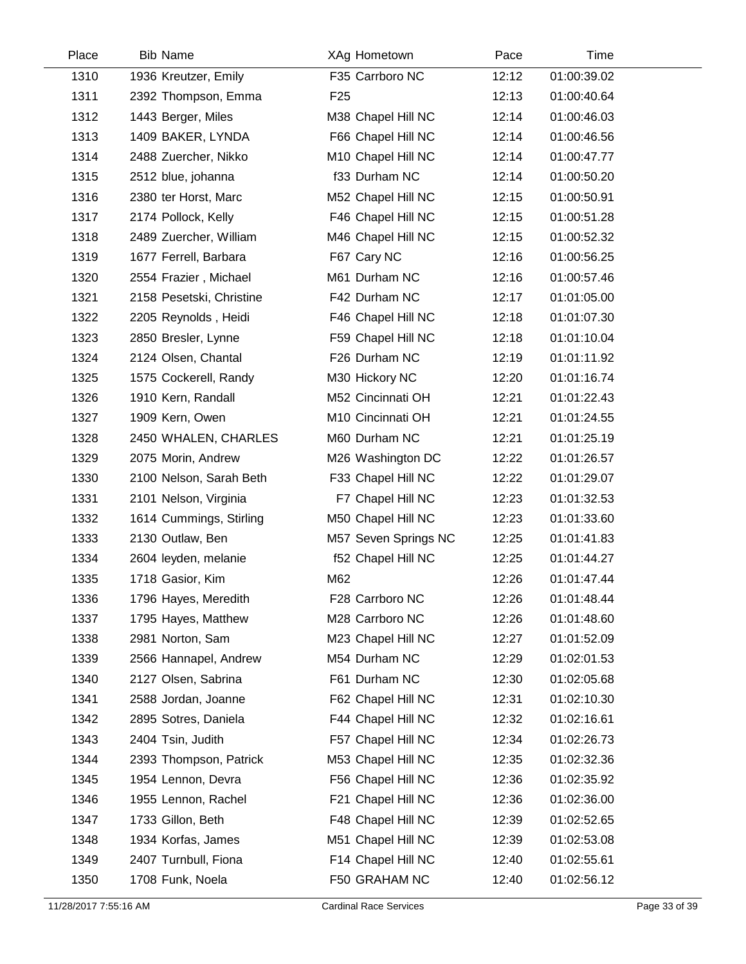| Place | <b>Bib Name</b>          | XAg Hometown         | Pace  | Time        |
|-------|--------------------------|----------------------|-------|-------------|
| 1310  | 1936 Kreutzer, Emily     | F35 Carrboro NC      | 12:12 | 01:00:39.02 |
| 1311  | 2392 Thompson, Emma      | F <sub>25</sub>      | 12:13 | 01:00:40.64 |
| 1312  | 1443 Berger, Miles       | M38 Chapel Hill NC   | 12:14 | 01:00:46.03 |
| 1313  | 1409 BAKER, LYNDA        | F66 Chapel Hill NC   | 12:14 | 01:00:46.56 |
| 1314  | 2488 Zuercher, Nikko     | M10 Chapel Hill NC   | 12:14 | 01:00:47.77 |
| 1315  | 2512 blue, johanna       | f33 Durham NC        | 12:14 | 01:00:50.20 |
| 1316  | 2380 ter Horst, Marc     | M52 Chapel Hill NC   | 12:15 | 01:00:50.91 |
| 1317  | 2174 Pollock, Kelly      | F46 Chapel Hill NC   | 12:15 | 01:00:51.28 |
| 1318  | 2489 Zuercher, William   | M46 Chapel Hill NC   | 12:15 | 01:00:52.32 |
| 1319  | 1677 Ferrell, Barbara    | F67 Cary NC          | 12:16 | 01:00:56.25 |
| 1320  | 2554 Frazier, Michael    | M61 Durham NC        | 12:16 | 01:00:57.46 |
| 1321  | 2158 Pesetski, Christine | F42 Durham NC        | 12:17 | 01:01:05.00 |
| 1322  | 2205 Reynolds, Heidi     | F46 Chapel Hill NC   | 12:18 | 01:01:07.30 |
| 1323  | 2850 Bresler, Lynne      | F59 Chapel Hill NC   | 12:18 | 01:01:10.04 |
| 1324  | 2124 Olsen, Chantal      | F26 Durham NC        | 12:19 | 01:01:11.92 |
| 1325  | 1575 Cockerell, Randy    | M30 Hickory NC       | 12:20 | 01:01:16.74 |
| 1326  | 1910 Kern, Randall       | M52 Cincinnati OH    | 12:21 | 01:01:22.43 |
| 1327  | 1909 Kern, Owen          | M10 Cincinnati OH    | 12:21 | 01:01:24.55 |
| 1328  | 2450 WHALEN, CHARLES     | M60 Durham NC        | 12:21 | 01:01:25.19 |
| 1329  | 2075 Morin, Andrew       | M26 Washington DC    | 12:22 | 01:01:26.57 |
| 1330  | 2100 Nelson, Sarah Beth  | F33 Chapel Hill NC   | 12:22 | 01:01:29.07 |
| 1331  | 2101 Nelson, Virginia    | F7 Chapel Hill NC    | 12:23 | 01:01:32.53 |
| 1332  | 1614 Cummings, Stirling  | M50 Chapel Hill NC   | 12:23 | 01:01:33.60 |
| 1333  | 2130 Outlaw, Ben         | M57 Seven Springs NC | 12:25 | 01:01:41.83 |
| 1334  | 2604 leyden, melanie     | f52 Chapel Hill NC   | 12:25 | 01:01:44.27 |
| 1335  | 1718 Gasior, Kim         | M62                  | 12:26 | 01:01:47.44 |
| 1336  | 1796 Hayes, Meredith     | F28 Carrboro NC      | 12:26 | 01:01:48.44 |
| 1337  | 1795 Hayes, Matthew      | M28 Carrboro NC      | 12:26 | 01:01:48.60 |
| 1338  | 2981 Norton, Sam         | M23 Chapel Hill NC   | 12:27 | 01:01:52.09 |
| 1339  | 2566 Hannapel, Andrew    | M54 Durham NC        | 12:29 | 01:02:01.53 |
| 1340  | 2127 Olsen, Sabrina      | F61 Durham NC        | 12:30 | 01:02:05.68 |
| 1341  | 2588 Jordan, Joanne      | F62 Chapel Hill NC   | 12:31 | 01:02:10.30 |
| 1342  | 2895 Sotres, Daniela     | F44 Chapel Hill NC   | 12:32 | 01:02:16.61 |
| 1343  | 2404 Tsin, Judith        | F57 Chapel Hill NC   | 12:34 | 01:02:26.73 |
| 1344  | 2393 Thompson, Patrick   | M53 Chapel Hill NC   | 12:35 | 01:02:32.36 |
| 1345  | 1954 Lennon, Devra       | F56 Chapel Hill NC   | 12:36 | 01:02:35.92 |
| 1346  | 1955 Lennon, Rachel      | F21 Chapel Hill NC   | 12:36 | 01:02:36.00 |
| 1347  | 1733 Gillon, Beth        | F48 Chapel Hill NC   | 12:39 | 01:02:52.65 |
| 1348  | 1934 Korfas, James       | M51 Chapel Hill NC   | 12:39 | 01:02:53.08 |
| 1349  | 2407 Turnbull, Fiona     | F14 Chapel Hill NC   | 12:40 | 01:02:55.61 |
| 1350  | 1708 Funk, Noela         | F50 GRAHAM NC        | 12:40 | 01:02:56.12 |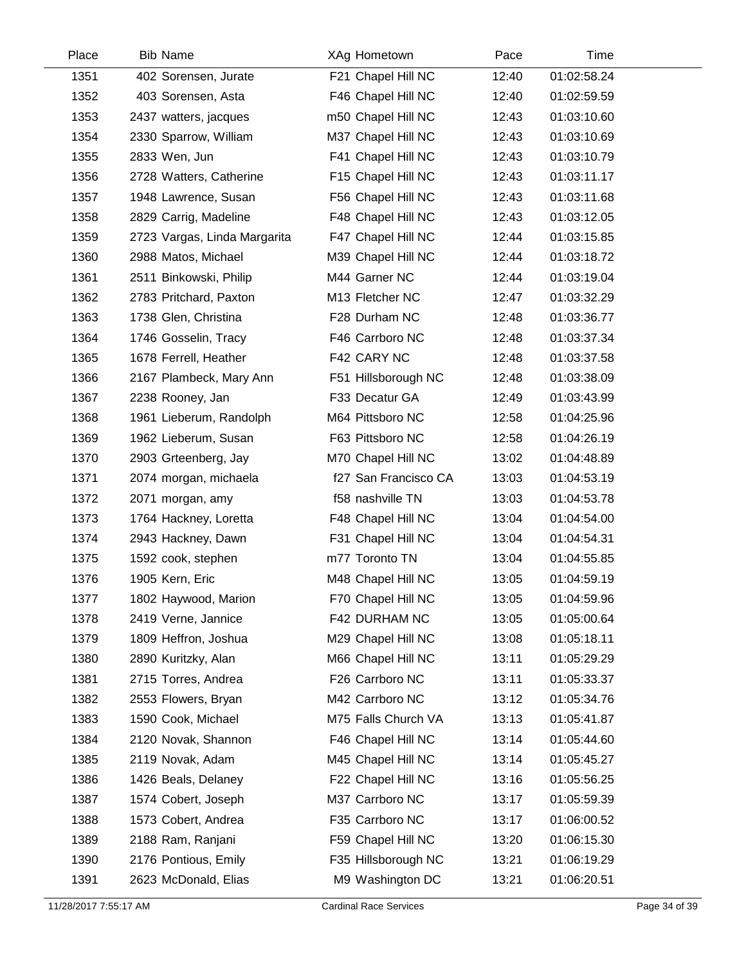| Place | <b>Bib Name</b>              | XAg Hometown         | Pace  | Time        |  |
|-------|------------------------------|----------------------|-------|-------------|--|
| 1351  | 402 Sorensen, Jurate         | F21 Chapel Hill NC   | 12:40 | 01:02:58.24 |  |
| 1352  | 403 Sorensen, Asta           | F46 Chapel Hill NC   | 12:40 | 01:02:59.59 |  |
| 1353  | 2437 watters, jacques        | m50 Chapel Hill NC   | 12:43 | 01:03:10.60 |  |
| 1354  | 2330 Sparrow, William        | M37 Chapel Hill NC   | 12:43 | 01:03:10.69 |  |
| 1355  | 2833 Wen, Jun                | F41 Chapel Hill NC   | 12:43 | 01:03:10.79 |  |
| 1356  | 2728 Watters, Catherine      | F15 Chapel Hill NC   | 12:43 | 01:03:11.17 |  |
| 1357  | 1948 Lawrence, Susan         | F56 Chapel Hill NC   | 12:43 | 01:03:11.68 |  |
| 1358  | 2829 Carrig, Madeline        | F48 Chapel Hill NC   | 12:43 | 01:03:12.05 |  |
| 1359  | 2723 Vargas, Linda Margarita | F47 Chapel Hill NC   | 12:44 | 01:03:15.85 |  |
| 1360  | 2988 Matos, Michael          | M39 Chapel Hill NC   | 12:44 | 01:03:18.72 |  |
| 1361  | 2511 Binkowski, Philip       | M44 Garner NC        | 12:44 | 01:03:19.04 |  |
| 1362  | 2783 Pritchard, Paxton       | M13 Fletcher NC      | 12:47 | 01:03:32.29 |  |
| 1363  | 1738 Glen, Christina         | F28 Durham NC        | 12:48 | 01:03:36.77 |  |
| 1364  | 1746 Gosselin, Tracy         | F46 Carrboro NC      | 12:48 | 01:03:37.34 |  |
| 1365  | 1678 Ferrell, Heather        | F42 CARY NC          | 12:48 | 01:03:37.58 |  |
| 1366  | 2167 Plambeck, Mary Ann      | F51 Hillsborough NC  | 12:48 | 01:03:38.09 |  |
| 1367  | 2238 Rooney, Jan             | F33 Decatur GA       | 12:49 | 01:03:43.99 |  |
| 1368  | 1961 Lieberum, Randolph      | M64 Pittsboro NC     | 12:58 | 01:04:25.96 |  |
| 1369  | 1962 Lieberum, Susan         | F63 Pittsboro NC     | 12:58 | 01:04:26.19 |  |
| 1370  | 2903 Grteenberg, Jay         | M70 Chapel Hill NC   | 13:02 | 01:04:48.89 |  |
| 1371  | 2074 morgan, michaela        | f27 San Francisco CA | 13:03 | 01:04:53.19 |  |
| 1372  | 2071 morgan, amy             | f58 nashville TN     | 13:03 | 01:04:53.78 |  |
| 1373  | 1764 Hackney, Loretta        | F48 Chapel Hill NC   | 13:04 | 01:04:54.00 |  |
| 1374  | 2943 Hackney, Dawn           | F31 Chapel Hill NC   | 13:04 | 01:04:54.31 |  |
| 1375  | 1592 cook, stephen           | m77 Toronto TN       | 13:04 | 01:04:55.85 |  |
| 1376  | 1905 Kern, Eric              | M48 Chapel Hill NC   | 13:05 | 01:04:59.19 |  |
| 1377  | 1802 Haywood, Marion         | F70 Chapel Hill NC   | 13:05 | 01:04:59.96 |  |
| 1378  | 2419 Verne, Jannice          | F42 DURHAM NC        | 13:05 | 01:05:00.64 |  |
| 1379  | 1809 Heffron, Joshua         | M29 Chapel Hill NC   | 13:08 | 01:05:18.11 |  |
| 1380  | 2890 Kuritzky, Alan          | M66 Chapel Hill NC   | 13:11 | 01:05:29.29 |  |
| 1381  | 2715 Torres, Andrea          | F26 Carrboro NC      | 13:11 | 01:05:33.37 |  |
| 1382  | 2553 Flowers, Bryan          | M42 Carrboro NC      | 13:12 | 01:05:34.76 |  |
| 1383  | 1590 Cook, Michael           | M75 Falls Church VA  | 13:13 | 01:05:41.87 |  |
| 1384  | 2120 Novak, Shannon          | F46 Chapel Hill NC   | 13:14 | 01:05:44.60 |  |
| 1385  | 2119 Novak, Adam             | M45 Chapel Hill NC   | 13:14 | 01:05:45.27 |  |
| 1386  | 1426 Beals, Delaney          | F22 Chapel Hill NC   | 13:16 | 01:05:56.25 |  |
| 1387  | 1574 Cobert, Joseph          | M37 Carrboro NC      | 13:17 | 01:05:59.39 |  |
| 1388  | 1573 Cobert, Andrea          | F35 Carrboro NC      | 13:17 | 01:06:00.52 |  |
| 1389  | 2188 Ram, Ranjani            | F59 Chapel Hill NC   | 13:20 | 01:06:15.30 |  |
| 1390  | 2176 Pontious, Emily         | F35 Hillsborough NC  | 13:21 | 01:06:19.29 |  |
| 1391  | 2623 McDonald, Elias         | M9 Washington DC     | 13:21 | 01:06:20.51 |  |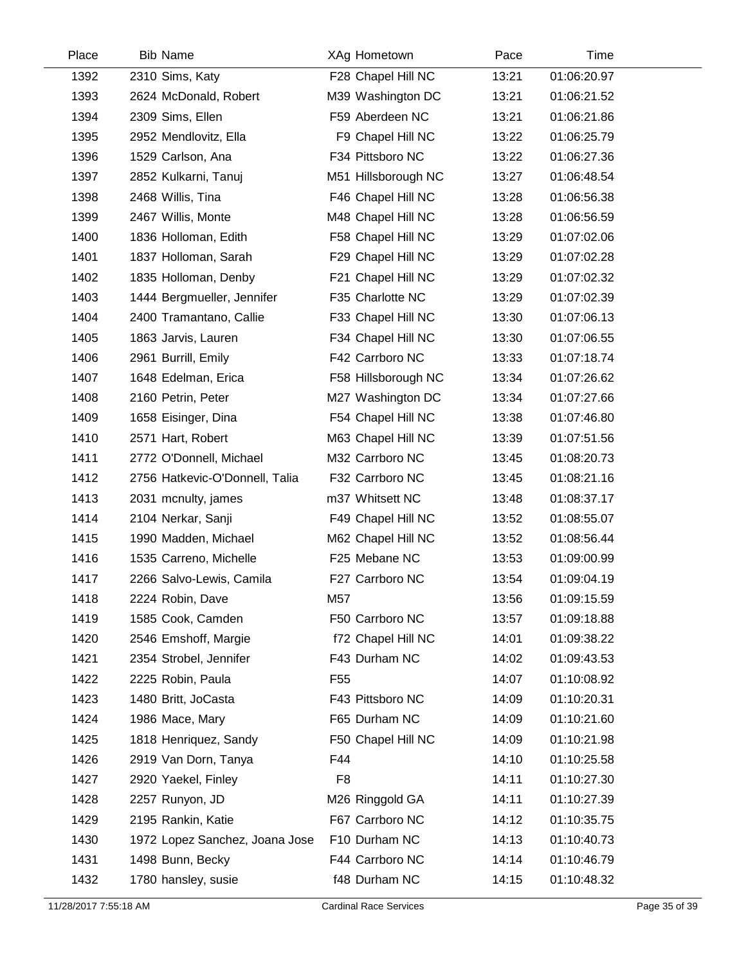| Place | <b>Bib Name</b>                | XAg Hometown        | Pace  | Time        |
|-------|--------------------------------|---------------------|-------|-------------|
| 1392  | 2310 Sims, Katy                | F28 Chapel Hill NC  | 13:21 | 01:06:20.97 |
| 1393  | 2624 McDonald, Robert          | M39 Washington DC   | 13:21 | 01:06:21.52 |
| 1394  | 2309 Sims, Ellen               | F59 Aberdeen NC     | 13:21 | 01:06:21.86 |
| 1395  | 2952 Mendlovitz, Ella          | F9 Chapel Hill NC   | 13:22 | 01:06:25.79 |
| 1396  | 1529 Carlson, Ana              | F34 Pittsboro NC    | 13:22 | 01:06:27.36 |
| 1397  | 2852 Kulkarni, Tanuj           | M51 Hillsborough NC | 13:27 | 01:06:48.54 |
| 1398  | 2468 Willis, Tina              | F46 Chapel Hill NC  | 13:28 | 01:06:56.38 |
| 1399  | 2467 Willis, Monte             | M48 Chapel Hill NC  | 13:28 | 01:06:56.59 |
| 1400  | 1836 Holloman, Edith           | F58 Chapel Hill NC  | 13:29 | 01:07:02.06 |
| 1401  | 1837 Holloman, Sarah           | F29 Chapel Hill NC  | 13:29 | 01:07:02.28 |
| 1402  | 1835 Holloman, Denby           | F21 Chapel Hill NC  | 13:29 | 01:07:02.32 |
| 1403  | 1444 Bergmueller, Jennifer     | F35 Charlotte NC    | 13:29 | 01:07:02.39 |
| 1404  | 2400 Tramantano, Callie        | F33 Chapel Hill NC  | 13:30 | 01:07:06.13 |
| 1405  | 1863 Jarvis, Lauren            | F34 Chapel Hill NC  | 13:30 | 01:07:06.55 |
| 1406  | 2961 Burrill, Emily            | F42 Carrboro NC     | 13:33 | 01:07:18.74 |
| 1407  | 1648 Edelman, Erica            | F58 Hillsborough NC | 13:34 | 01:07:26.62 |
| 1408  | 2160 Petrin, Peter             | M27 Washington DC   | 13:34 | 01:07:27.66 |
| 1409  | 1658 Eisinger, Dina            | F54 Chapel Hill NC  | 13:38 | 01:07:46.80 |
| 1410  | 2571 Hart, Robert              | M63 Chapel Hill NC  | 13:39 | 01:07:51.56 |
| 1411  | 2772 O'Donnell, Michael        | M32 Carrboro NC     | 13:45 | 01:08:20.73 |
| 1412  | 2756 Hatkevic-O'Donnell, Talia | F32 Carrboro NC     | 13:45 | 01:08:21.16 |
| 1413  | 2031 mcnulty, james            | m37 Whitsett NC     | 13:48 | 01:08:37.17 |
| 1414  | 2104 Nerkar, Sanji             | F49 Chapel Hill NC  | 13:52 | 01:08:55.07 |
| 1415  | 1990 Madden, Michael           | M62 Chapel Hill NC  | 13:52 | 01:08:56.44 |
| 1416  | 1535 Carreno, Michelle         | F25 Mebane NC       | 13:53 | 01:09:00.99 |
| 1417  | 2266 Salvo-Lewis, Camila       | F27 Carrboro NC     | 13:54 | 01:09:04.19 |
| 1418  | 2224 Robin, Dave               | M57                 | 13:56 | 01:09:15.59 |
| 1419  | 1585 Cook, Camden              | F50 Carrboro NC     | 13:57 | 01:09:18.88 |
| 1420  | 2546 Emshoff, Margie           | f72 Chapel Hill NC  | 14:01 | 01:09:38.22 |
| 1421  | 2354 Strobel, Jennifer         | F43 Durham NC       | 14:02 | 01:09:43.53 |
| 1422  | 2225 Robin, Paula              | F55                 | 14:07 | 01:10:08.92 |
| 1423  | 1480 Britt, JoCasta            | F43 Pittsboro NC    | 14:09 | 01:10:20.31 |
| 1424  | 1986 Mace, Mary                | F65 Durham NC       | 14:09 | 01:10:21.60 |
| 1425  | 1818 Henriquez, Sandy          | F50 Chapel Hill NC  | 14:09 | 01:10:21.98 |
| 1426  | 2919 Van Dorn, Tanya           | F44                 | 14:10 | 01:10:25.58 |
| 1427  | 2920 Yaekel, Finley            | F <sub>8</sub>      | 14:11 | 01:10:27.30 |
| 1428  | 2257 Runyon, JD                | M26 Ringgold GA     | 14:11 | 01:10:27.39 |
| 1429  | 2195 Rankin, Katie             | F67 Carrboro NC     | 14:12 | 01:10:35.75 |
| 1430  | 1972 Lopez Sanchez, Joana Jose | F10 Durham NC       | 14:13 | 01:10:40.73 |
| 1431  | 1498 Bunn, Becky               | F44 Carrboro NC     | 14:14 | 01:10:46.79 |
| 1432  | 1780 hansley, susie            | f48 Durham NC       | 14:15 | 01:10:48.32 |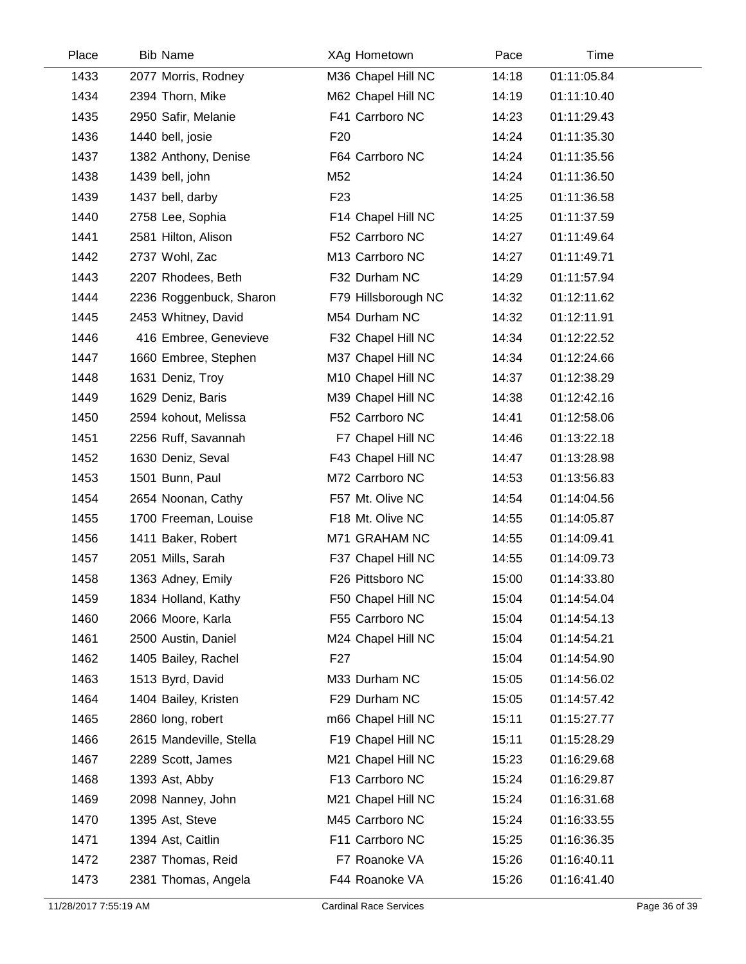| Place | <b>Bib Name</b>         | XAg Hometown        | Pace  | Time        |  |
|-------|-------------------------|---------------------|-------|-------------|--|
| 1433  | 2077 Morris, Rodney     | M36 Chapel Hill NC  | 14:18 | 01:11:05.84 |  |
| 1434  | 2394 Thorn, Mike        | M62 Chapel Hill NC  | 14:19 | 01:11:10.40 |  |
| 1435  | 2950 Safir, Melanie     | F41 Carrboro NC     | 14:23 | 01:11:29.43 |  |
| 1436  | 1440 bell, josie        | F <sub>20</sub>     | 14:24 | 01:11:35.30 |  |
| 1437  | 1382 Anthony, Denise    | F64 Carrboro NC     | 14:24 | 01:11:35.56 |  |
| 1438  | 1439 bell, john         | M52                 | 14:24 | 01:11:36.50 |  |
| 1439  | 1437 bell, darby        | F <sub>23</sub>     | 14:25 | 01:11:36.58 |  |
| 1440  | 2758 Lee, Sophia        | F14 Chapel Hill NC  | 14:25 | 01:11:37.59 |  |
| 1441  | 2581 Hilton, Alison     | F52 Carrboro NC     | 14:27 | 01:11:49.64 |  |
| 1442  | 2737 Wohl, Zac          | M13 Carrboro NC     | 14:27 | 01:11:49.71 |  |
| 1443  | 2207 Rhodees, Beth      | F32 Durham NC       | 14:29 | 01:11:57.94 |  |
| 1444  | 2236 Roggenbuck, Sharon | F79 Hillsborough NC | 14:32 | 01:12:11.62 |  |
| 1445  | 2453 Whitney, David     | M54 Durham NC       | 14:32 | 01:12:11.91 |  |
| 1446  | 416 Embree, Genevieve   | F32 Chapel Hill NC  | 14:34 | 01:12:22.52 |  |
| 1447  | 1660 Embree, Stephen    | M37 Chapel Hill NC  | 14:34 | 01:12:24.66 |  |
| 1448  | 1631 Deniz, Troy        | M10 Chapel Hill NC  | 14:37 | 01:12:38.29 |  |
| 1449  | 1629 Deniz, Baris       | M39 Chapel Hill NC  | 14:38 | 01:12:42.16 |  |
| 1450  | 2594 kohout, Melissa    | F52 Carrboro NC     | 14:41 | 01:12:58.06 |  |
| 1451  | 2256 Ruff, Savannah     | F7 Chapel Hill NC   | 14:46 | 01:13:22.18 |  |
| 1452  | 1630 Deniz, Seval       | F43 Chapel Hill NC  | 14:47 | 01:13:28.98 |  |
| 1453  | 1501 Bunn, Paul         | M72 Carrboro NC     | 14:53 | 01:13:56.83 |  |
| 1454  | 2654 Noonan, Cathy      | F57 Mt. Olive NC    | 14:54 | 01:14:04.56 |  |
| 1455  | 1700 Freeman, Louise    | F18 Mt. Olive NC    | 14:55 | 01:14:05.87 |  |
| 1456  | 1411 Baker, Robert      | M71 GRAHAM NC       | 14:55 | 01:14:09.41 |  |
| 1457  | 2051 Mills, Sarah       | F37 Chapel Hill NC  | 14:55 | 01:14:09.73 |  |
| 1458  | 1363 Adney, Emily       | F26 Pittsboro NC    | 15:00 | 01:14:33.80 |  |
| 1459  | 1834 Holland, Kathy     | F50 Chapel Hill NC  | 15:04 | 01:14:54.04 |  |
| 1460  | 2066 Moore, Karla       | F55 Carrboro NC     | 15:04 | 01:14:54.13 |  |
| 1461  | 2500 Austin, Daniel     | M24 Chapel Hill NC  | 15:04 | 01:14:54.21 |  |
| 1462  | 1405 Bailey, Rachel     | F27                 | 15:04 | 01:14:54.90 |  |
| 1463  | 1513 Byrd, David        | M33 Durham NC       | 15:05 | 01:14:56.02 |  |
| 1464  | 1404 Bailey, Kristen    | F29 Durham NC       | 15:05 | 01:14:57.42 |  |
| 1465  | 2860 long, robert       | m66 Chapel Hill NC  | 15:11 | 01:15:27.77 |  |
| 1466  | 2615 Mandeville, Stella | F19 Chapel Hill NC  | 15:11 | 01:15:28.29 |  |
| 1467  | 2289 Scott, James       | M21 Chapel Hill NC  | 15:23 | 01:16:29.68 |  |
| 1468  | 1393 Ast, Abby          | F13 Carrboro NC     | 15:24 | 01:16:29.87 |  |
| 1469  | 2098 Nanney, John       | M21 Chapel Hill NC  | 15:24 | 01:16:31.68 |  |
| 1470  | 1395 Ast, Steve         | M45 Carrboro NC     | 15:24 | 01:16:33.55 |  |
| 1471  | 1394 Ast, Caitlin       | F11 Carrboro NC     | 15:25 | 01:16:36.35 |  |
| 1472  | 2387 Thomas, Reid       | F7 Roanoke VA       | 15:26 | 01:16:40.11 |  |
| 1473  | 2381 Thomas, Angela     | F44 Roanoke VA      | 15:26 | 01:16:41.40 |  |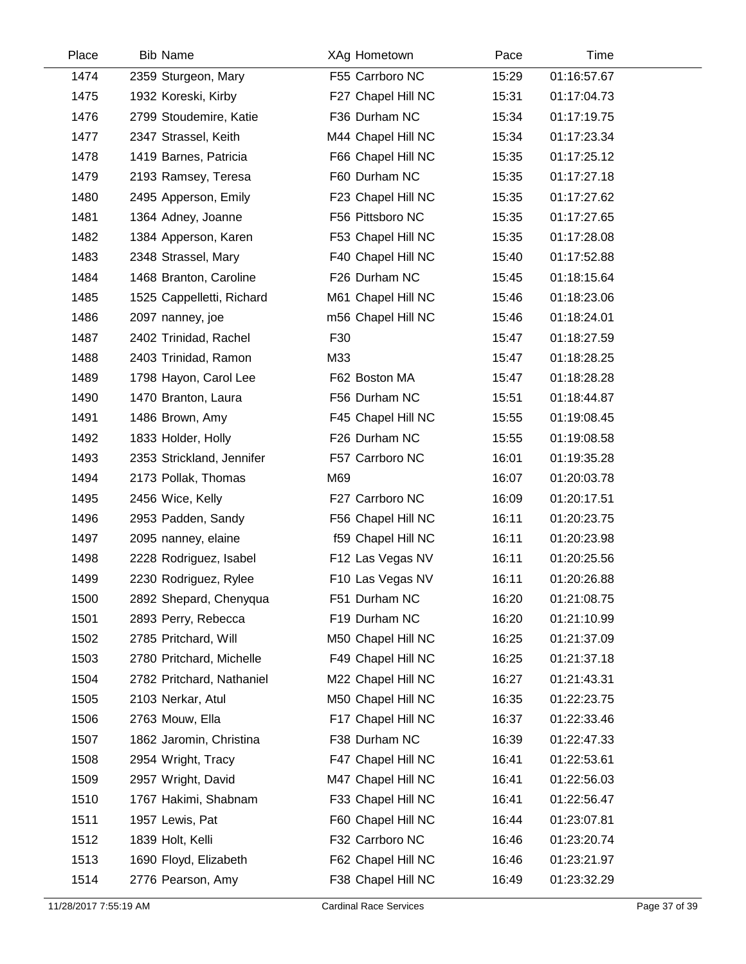| Place | <b>Bib Name</b>           | XAg Hometown       | Pace  | Time        |  |
|-------|---------------------------|--------------------|-------|-------------|--|
| 1474  | 2359 Sturgeon, Mary       | F55 Carrboro NC    | 15:29 | 01:16:57.67 |  |
| 1475  | 1932 Koreski, Kirby       | F27 Chapel Hill NC | 15:31 | 01:17:04.73 |  |
| 1476  | 2799 Stoudemire, Katie    | F36 Durham NC      | 15:34 | 01:17:19.75 |  |
| 1477  | 2347 Strassel, Keith      | M44 Chapel Hill NC | 15:34 | 01:17:23.34 |  |
| 1478  | 1419 Barnes, Patricia     | F66 Chapel Hill NC | 15:35 | 01:17:25.12 |  |
| 1479  | 2193 Ramsey, Teresa       | F60 Durham NC      | 15:35 | 01:17:27.18 |  |
| 1480  | 2495 Apperson, Emily      | F23 Chapel Hill NC | 15:35 | 01:17:27.62 |  |
| 1481  | 1364 Adney, Joanne        | F56 Pittsboro NC   | 15:35 | 01:17:27.65 |  |
| 1482  | 1384 Apperson, Karen      | F53 Chapel Hill NC | 15:35 | 01:17:28.08 |  |
| 1483  | 2348 Strassel, Mary       | F40 Chapel Hill NC | 15:40 | 01:17:52.88 |  |
| 1484  | 1468 Branton, Caroline    | F26 Durham NC      | 15:45 | 01:18:15.64 |  |
| 1485  | 1525 Cappelletti, Richard | M61 Chapel Hill NC | 15:46 | 01:18:23.06 |  |
| 1486  | 2097 nanney, joe          | m56 Chapel Hill NC | 15:46 | 01:18:24.01 |  |
| 1487  | 2402 Trinidad, Rachel     | F30                | 15:47 | 01:18:27.59 |  |
| 1488  | 2403 Trinidad, Ramon      | M33                | 15:47 | 01:18:28.25 |  |
| 1489  | 1798 Hayon, Carol Lee     | F62 Boston MA      | 15:47 | 01:18:28.28 |  |
| 1490  | 1470 Branton, Laura       | F56 Durham NC      | 15:51 | 01:18:44.87 |  |
| 1491  | 1486 Brown, Amy           | F45 Chapel Hill NC | 15:55 | 01:19:08.45 |  |
| 1492  | 1833 Holder, Holly        | F26 Durham NC      | 15:55 | 01:19:08.58 |  |
| 1493  | 2353 Strickland, Jennifer | F57 Carrboro NC    | 16:01 | 01:19:35.28 |  |
| 1494  | 2173 Pollak, Thomas       | M69                | 16:07 | 01:20:03.78 |  |
| 1495  | 2456 Wice, Kelly          | F27 Carrboro NC    | 16:09 | 01:20:17.51 |  |
| 1496  | 2953 Padden, Sandy        | F56 Chapel Hill NC | 16:11 | 01:20:23.75 |  |
| 1497  | 2095 nanney, elaine       | f59 Chapel Hill NC | 16:11 | 01:20:23.98 |  |
| 1498  | 2228 Rodriguez, Isabel    | F12 Las Vegas NV   | 16:11 | 01:20:25.56 |  |
| 1499  | 2230 Rodriguez, Rylee     | F10 Las Vegas NV   | 16:11 | 01:20:26.88 |  |
| 1500  | 2892 Shepard, Chenyqua    | F51 Durham NC      | 16:20 | 01:21:08.75 |  |
| 1501  | 2893 Perry, Rebecca       | F19 Durham NC      | 16:20 | 01:21:10.99 |  |
| 1502  | 2785 Pritchard, Will      | M50 Chapel Hill NC | 16:25 | 01:21:37.09 |  |
| 1503  | 2780 Pritchard, Michelle  | F49 Chapel Hill NC | 16:25 | 01:21:37.18 |  |
| 1504  | 2782 Pritchard, Nathaniel | M22 Chapel Hill NC | 16:27 | 01:21:43.31 |  |
| 1505  | 2103 Nerkar, Atul         | M50 Chapel Hill NC | 16:35 | 01:22:23.75 |  |
| 1506  | 2763 Mouw, Ella           | F17 Chapel Hill NC | 16:37 | 01:22:33.46 |  |
| 1507  | 1862 Jaromin, Christina   | F38 Durham NC      | 16:39 | 01:22:47.33 |  |
| 1508  | 2954 Wright, Tracy        | F47 Chapel Hill NC | 16:41 | 01:22:53.61 |  |
| 1509  | 2957 Wright, David        | M47 Chapel Hill NC | 16:41 | 01:22:56.03 |  |
| 1510  | 1767 Hakimi, Shabnam      | F33 Chapel Hill NC | 16:41 | 01:22:56.47 |  |
| 1511  | 1957 Lewis, Pat           | F60 Chapel Hill NC | 16:44 | 01:23:07.81 |  |
| 1512  | 1839 Holt, Kelli          | F32 Carrboro NC    | 16:46 | 01:23:20.74 |  |
| 1513  | 1690 Floyd, Elizabeth     | F62 Chapel Hill NC | 16:46 | 01:23:21.97 |  |
| 1514  | 2776 Pearson, Amy         | F38 Chapel Hill NC | 16:49 | 01:23:32.29 |  |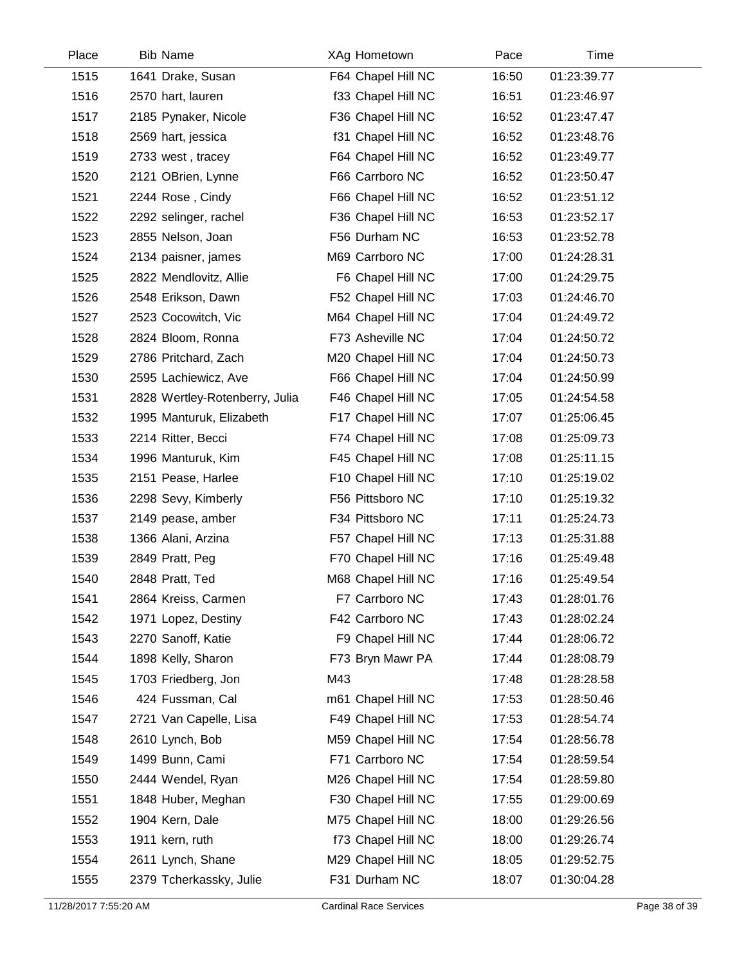| 1515<br>F64 Chapel Hill NC<br>16:50<br>01:23:39.77<br>1641 Drake, Susan<br>1516<br>2570 hart, lauren<br>f33 Chapel Hill NC<br>16:51<br>01:23:46.97<br>1517<br>F36 Chapel Hill NC<br>16:52<br>01:23:47.47<br>2185 Pynaker, Nicole<br>1518<br>f31 Chapel Hill NC<br>16:52<br>01:23:48.76<br>2569 hart, jessica<br>F64 Chapel Hill NC<br>1519<br>16:52<br>01:23:49.77<br>2733 west, tracey<br>1520<br>F66 Carrboro NC<br>16:52<br>01:23:50.47<br>2121 OBrien, Lynne<br>1521<br>F66 Chapel Hill NC<br>16:52<br>01:23:51.12<br>2244 Rose, Cindy<br>1522<br>F36 Chapel Hill NC<br>16:53<br>01:23:52.17<br>2292 selinger, rachel<br>1523<br>F56 Durham NC<br>16:53<br>01:23:52.78<br>2855 Nelson, Joan |  |
|-------------------------------------------------------------------------------------------------------------------------------------------------------------------------------------------------------------------------------------------------------------------------------------------------------------------------------------------------------------------------------------------------------------------------------------------------------------------------------------------------------------------------------------------------------------------------------------------------------------------------------------------------------------------------------------------------|--|
|                                                                                                                                                                                                                                                                                                                                                                                                                                                                                                                                                                                                                                                                                                 |  |
|                                                                                                                                                                                                                                                                                                                                                                                                                                                                                                                                                                                                                                                                                                 |  |
|                                                                                                                                                                                                                                                                                                                                                                                                                                                                                                                                                                                                                                                                                                 |  |
|                                                                                                                                                                                                                                                                                                                                                                                                                                                                                                                                                                                                                                                                                                 |  |
|                                                                                                                                                                                                                                                                                                                                                                                                                                                                                                                                                                                                                                                                                                 |  |
|                                                                                                                                                                                                                                                                                                                                                                                                                                                                                                                                                                                                                                                                                                 |  |
|                                                                                                                                                                                                                                                                                                                                                                                                                                                                                                                                                                                                                                                                                                 |  |
|                                                                                                                                                                                                                                                                                                                                                                                                                                                                                                                                                                                                                                                                                                 |  |
|                                                                                                                                                                                                                                                                                                                                                                                                                                                                                                                                                                                                                                                                                                 |  |
| 1524<br>M69 Carrboro NC<br>17:00<br>01:24:28.31<br>2134 paisner, james                                                                                                                                                                                                                                                                                                                                                                                                                                                                                                                                                                                                                          |  |
| 1525<br>2822 Mendlovitz, Allie<br>F6 Chapel Hill NC<br>17:00<br>01:24:29.75                                                                                                                                                                                                                                                                                                                                                                                                                                                                                                                                                                                                                     |  |
| 1526<br>F52 Chapel Hill NC<br>17:03<br>01:24:46.70<br>2548 Erikson, Dawn                                                                                                                                                                                                                                                                                                                                                                                                                                                                                                                                                                                                                        |  |
| 1527<br>M64 Chapel Hill NC<br>17:04<br>01:24:49.72<br>2523 Cocowitch, Vic                                                                                                                                                                                                                                                                                                                                                                                                                                                                                                                                                                                                                       |  |
| 1528<br>2824 Bloom, Ronna<br>F73 Asheville NC<br>17:04<br>01:24:50.72                                                                                                                                                                                                                                                                                                                                                                                                                                                                                                                                                                                                                           |  |
| 1529<br>2786 Pritchard, Zach<br>M20 Chapel Hill NC<br>17:04<br>01:24:50.73                                                                                                                                                                                                                                                                                                                                                                                                                                                                                                                                                                                                                      |  |
| 1530<br>F66 Chapel Hill NC<br>17:04<br>01:24:50.99<br>2595 Lachiewicz, Ave                                                                                                                                                                                                                                                                                                                                                                                                                                                                                                                                                                                                                      |  |
| 1531<br>2828 Wertley-Rotenberry, Julia<br>17:05<br>F46 Chapel Hill NC<br>01:24:54.58                                                                                                                                                                                                                                                                                                                                                                                                                                                                                                                                                                                                            |  |
| 1532<br>F17 Chapel Hill NC<br>17:07<br>01:25:06.45<br>1995 Manturuk, Elizabeth                                                                                                                                                                                                                                                                                                                                                                                                                                                                                                                                                                                                                  |  |
| 1533<br>F74 Chapel Hill NC<br>01:25:09.73<br>2214 Ritter, Becci<br>17:08                                                                                                                                                                                                                                                                                                                                                                                                                                                                                                                                                                                                                        |  |
| F45 Chapel Hill NC<br>1534<br>1996 Manturuk, Kim<br>17:08<br>01:25:11.15                                                                                                                                                                                                                                                                                                                                                                                                                                                                                                                                                                                                                        |  |
| F10 Chapel Hill NC<br>1535<br>17:10<br>01:25:19.02<br>2151 Pease, Harlee                                                                                                                                                                                                                                                                                                                                                                                                                                                                                                                                                                                                                        |  |
| 1536<br>F56 Pittsboro NC<br>17:10<br>01:25:19.32<br>2298 Sevy, Kimberly                                                                                                                                                                                                                                                                                                                                                                                                                                                                                                                                                                                                                         |  |
| F34 Pittsboro NC<br>17:11<br>01:25:24.73<br>1537<br>2149 pease, amber                                                                                                                                                                                                                                                                                                                                                                                                                                                                                                                                                                                                                           |  |
| 1538<br>F57 Chapel Hill NC<br>17:13<br>01:25:31.88<br>1366 Alani, Arzina                                                                                                                                                                                                                                                                                                                                                                                                                                                                                                                                                                                                                        |  |
| F70 Chapel Hill NC<br>1539<br>17:16<br>01:25:49.48<br>2849 Pratt, Peg                                                                                                                                                                                                                                                                                                                                                                                                                                                                                                                                                                                                                           |  |
| 1540<br>2848 Pratt, Ted<br>M68 Chapel Hill NC<br>17:16<br>01:25:49.54                                                                                                                                                                                                                                                                                                                                                                                                                                                                                                                                                                                                                           |  |
| 1541<br>2864 Kreiss, Carmen<br>F7 Carrboro NC<br>17:43<br>01:28:01.76                                                                                                                                                                                                                                                                                                                                                                                                                                                                                                                                                                                                                           |  |
| 1542<br>F42 Carrboro NC<br>17:43<br>01:28:02.24<br>1971 Lopez, Destiny                                                                                                                                                                                                                                                                                                                                                                                                                                                                                                                                                                                                                          |  |
| 1543<br>F9 Chapel Hill NC<br>2270 Sanoff, Katie<br>17:44<br>01:28:06.72                                                                                                                                                                                                                                                                                                                                                                                                                                                                                                                                                                                                                         |  |
| 1544<br>1898 Kelly, Sharon<br>F73 Bryn Mawr PA<br>01:28:08.79<br>17:44                                                                                                                                                                                                                                                                                                                                                                                                                                                                                                                                                                                                                          |  |
| 1545<br>M43<br>01:28:28.58<br>1703 Friedberg, Jon<br>17:48                                                                                                                                                                                                                                                                                                                                                                                                                                                                                                                                                                                                                                      |  |
| 1546<br>424 Fussman, Cal<br>m61 Chapel Hill NC<br>17:53<br>01:28:50.46                                                                                                                                                                                                                                                                                                                                                                                                                                                                                                                                                                                                                          |  |
| 1547<br>F49 Chapel Hill NC<br>2721 Van Capelle, Lisa<br>17:53<br>01:28:54.74                                                                                                                                                                                                                                                                                                                                                                                                                                                                                                                                                                                                                    |  |
| 1548<br>2610 Lynch, Bob<br>M59 Chapel Hill NC<br>17:54<br>01:28:56.78                                                                                                                                                                                                                                                                                                                                                                                                                                                                                                                                                                                                                           |  |
| F71 Carrboro NC<br>1549<br>01:28:59.54<br>1499 Bunn, Cami<br>17:54                                                                                                                                                                                                                                                                                                                                                                                                                                                                                                                                                                                                                              |  |
| 1550<br>M26 Chapel Hill NC<br>2444 Wendel, Ryan<br>17:54<br>01:28:59.80                                                                                                                                                                                                                                                                                                                                                                                                                                                                                                                                                                                                                         |  |
| F30 Chapel Hill NC<br>1551<br>1848 Huber, Meghan<br>17:55<br>01:29:00.69                                                                                                                                                                                                                                                                                                                                                                                                                                                                                                                                                                                                                        |  |
| 1552<br>M75 Chapel Hill NC<br>18:00<br>01:29:26.56<br>1904 Kern, Dale                                                                                                                                                                                                                                                                                                                                                                                                                                                                                                                                                                                                                           |  |
| 1553<br>1911 kern, ruth<br>f73 Chapel Hill NC<br>18:00<br>01:29:26.74                                                                                                                                                                                                                                                                                                                                                                                                                                                                                                                                                                                                                           |  |
| 1554<br>2611 Lynch, Shane<br>M29 Chapel Hill NC<br>01:29:52.75<br>18:05                                                                                                                                                                                                                                                                                                                                                                                                                                                                                                                                                                                                                         |  |
| 1555<br>F31 Durham NC<br>01:30:04.28<br>2379 Tcherkassky, Julie<br>18:07                                                                                                                                                                                                                                                                                                                                                                                                                                                                                                                                                                                                                        |  |